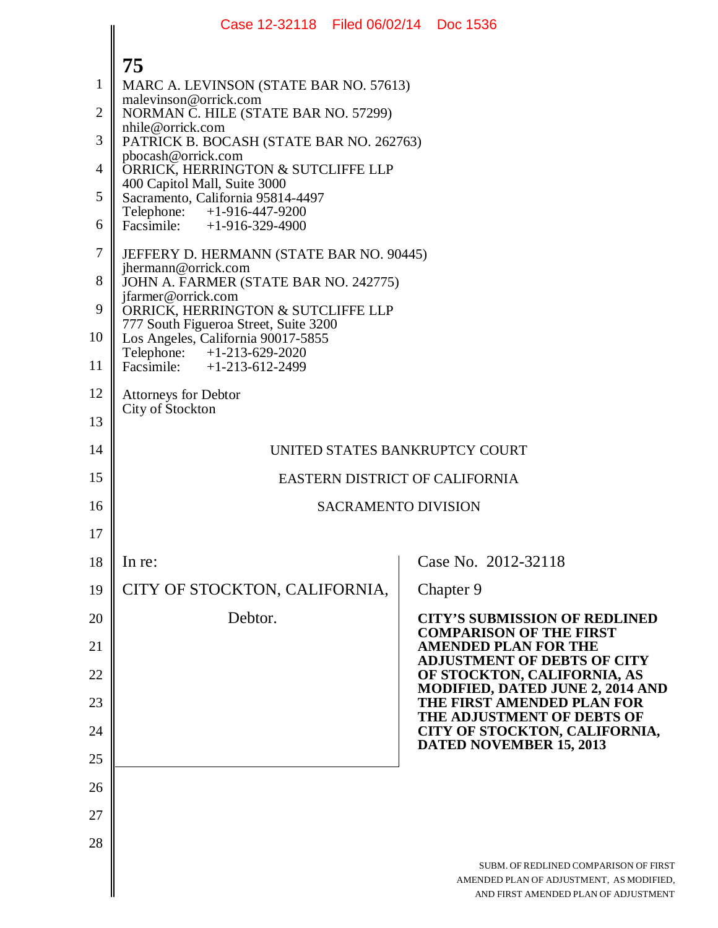|                | Case 12-32118 Filed 06/02/14 Doc 1536                                       |                                                                                                                           |
|----------------|-----------------------------------------------------------------------------|---------------------------------------------------------------------------------------------------------------------------|
|                | 75                                                                          |                                                                                                                           |
| $\mathbf{1}$   | MARC A. LEVINSON (STATE BAR NO. 57613)                                      |                                                                                                                           |
| $\overline{2}$ | malevinson@orrick.com<br>NORMAN C. HILE (STATE BAR NO. 57299)               |                                                                                                                           |
| 3              | nhile@orrick.com<br>PATRICK B. BOCASH (STATE BAR NO. 262763)                |                                                                                                                           |
| 4              | pbocash@orrick.com<br>ORRICK, HERRINGTON & SUTCLIFFE LLP                    |                                                                                                                           |
| 5              | 400 Capitol Mall, Suite 3000<br>Sacramento, California 95814-4497           |                                                                                                                           |
| 6              | Telephone: +1-916-447-9200<br>Facsimile: +1-916-329-4900                    |                                                                                                                           |
| $\tau$         | JEFFERY D. HERMANN (STATE BAR NO. 90445)                                    |                                                                                                                           |
| 8              | jhermann@orrick.com<br>JOHN A. FARMER (STATE BAR NO. 242775)                |                                                                                                                           |
| 9              | jfarmer@orrick.com<br>ORRICK, HERRINGTON & SUTCLIFFE LLP                    |                                                                                                                           |
| 10             | 777 South Figueroa Street, Suite 3200<br>Los Angeles, California 90017-5855 |                                                                                                                           |
| 11             | Telephone: +1-213-629-2020<br>Facsimile: +1-213-612-2499                    |                                                                                                                           |
| 12             | <b>Attorneys for Debtor</b>                                                 |                                                                                                                           |
| 13             | City of Stockton                                                            |                                                                                                                           |
| 14             | UNITED STATES BANKRUPTCY COURT                                              |                                                                                                                           |
| 15             | EASTERN DISTRICT OF CALIFORNIA                                              |                                                                                                                           |
| 16             | <b>SACRAMENTO DIVISION</b>                                                  |                                                                                                                           |
| 17             |                                                                             |                                                                                                                           |
| 18             | In re:                                                                      | Case No. 2012-32118                                                                                                       |
| 19             | CITY OF STOCKTON, CALIFORNIA,                                               | Chapter 9                                                                                                                 |
| 20             | Debtor.                                                                     | <b>CITY'S SUBMISSION OF REDLINED</b><br><b>COMPARISON OF THE FIRST</b>                                                    |
| 21             |                                                                             | <b>AMENDED PLAN FOR THE</b><br><b>ADJUSTMENT OF DEBTS OF CITY</b>                                                         |
| 22             |                                                                             | OF STOCKTON, CALIFORNIA, AS<br>MODIFIED, DATED JUNE 2, 2014 AND                                                           |
| 23             |                                                                             | THE FIRST AMENDED PLAN FOR<br>THE ADJUSTMENT OF DEBTS OF                                                                  |
| 24             |                                                                             | CITY OF STOCKTON, CALIFORNIA,<br><b>DATED NOVEMBER 15, 2013</b>                                                           |
| 25             |                                                                             |                                                                                                                           |
| 26             |                                                                             |                                                                                                                           |
| 27             |                                                                             |                                                                                                                           |
| 28             |                                                                             | SUBM. OF REDLINED COMPARISON OF FIRST<br>AMENDED PLAN OF ADJUSTMENT, AS MODIFIED,<br>AND FIRST AMENDED PLAN OF ADJUSTMENT |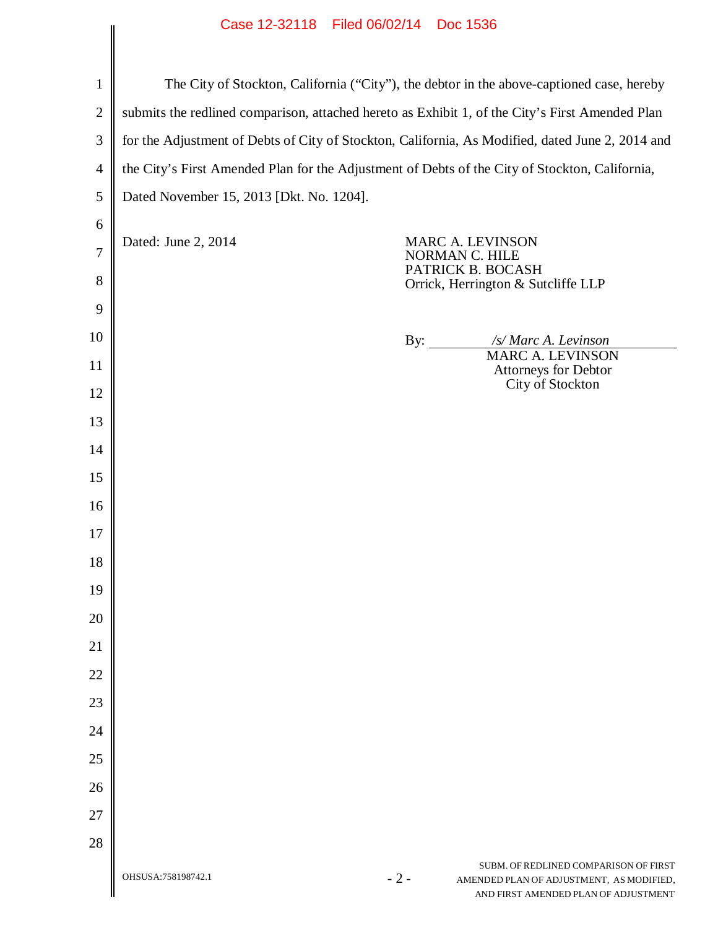|                     | Case IZ-32118 Filed 00/02/14 DOC 1530                                                            |                                                                |                                                                                                                           |  |  |
|---------------------|--------------------------------------------------------------------------------------------------|----------------------------------------------------------------|---------------------------------------------------------------------------------------------------------------------------|--|--|
|                     |                                                                                                  |                                                                |                                                                                                                           |  |  |
| $\mathbf{1}$        | The City of Stockton, California ("City"), the debtor in the above-captioned case, hereby        |                                                                |                                                                                                                           |  |  |
| $\overline{2}$      | submits the redlined comparison, attached hereto as Exhibit 1, of the City's First Amended Plan  |                                                                |                                                                                                                           |  |  |
| 3                   | for the Adjustment of Debts of City of Stockton, California, As Modified, dated June 2, 2014 and |                                                                |                                                                                                                           |  |  |
| $\overline{4}$      | the City's First Amended Plan for the Adjustment of Debts of the City of Stockton, California,   |                                                                |                                                                                                                           |  |  |
| 5                   | Dated November 15, 2013 [Dkt. No. 1204].                                                         |                                                                |                                                                                                                           |  |  |
| 6                   | Dated: June 2, 2014                                                                              | <b>MARC A. LEVINSON</b><br>NORMAN C. HILE<br>PATRICK B. BOCASH |                                                                                                                           |  |  |
| $\overline{7}$<br>8 |                                                                                                  |                                                                |                                                                                                                           |  |  |
|                     |                                                                                                  |                                                                | Orrick, Herrington & Sutcliffe LLP                                                                                        |  |  |
| 9                   |                                                                                                  |                                                                |                                                                                                                           |  |  |
| 10                  |                                                                                                  | By: $\qquad \qquad$                                            | /s/ Marc A. Levinson<br><b>MARC A. LEVINSON</b>                                                                           |  |  |
| 11                  |                                                                                                  |                                                                | Attorneys for Debtor<br>City of Stockton                                                                                  |  |  |
| 12                  |                                                                                                  |                                                                |                                                                                                                           |  |  |
| 13                  |                                                                                                  |                                                                |                                                                                                                           |  |  |
| 14                  |                                                                                                  |                                                                |                                                                                                                           |  |  |
| 15                  |                                                                                                  |                                                                |                                                                                                                           |  |  |
| 16<br>17            |                                                                                                  |                                                                |                                                                                                                           |  |  |
| 18                  |                                                                                                  |                                                                |                                                                                                                           |  |  |
| 19                  |                                                                                                  |                                                                |                                                                                                                           |  |  |
| 20                  |                                                                                                  |                                                                |                                                                                                                           |  |  |
| 21                  |                                                                                                  |                                                                |                                                                                                                           |  |  |
| 22                  |                                                                                                  |                                                                |                                                                                                                           |  |  |
| 23                  |                                                                                                  |                                                                |                                                                                                                           |  |  |
| 24                  |                                                                                                  |                                                                |                                                                                                                           |  |  |
| 25                  |                                                                                                  |                                                                |                                                                                                                           |  |  |
| 26                  |                                                                                                  |                                                                |                                                                                                                           |  |  |
| 27                  |                                                                                                  |                                                                |                                                                                                                           |  |  |
| 28                  |                                                                                                  |                                                                |                                                                                                                           |  |  |
|                     | OHSUSA:758198742.1<br>$-2-$                                                                      |                                                                | SUBM. OF REDLINED COMPARISON OF FIRST<br>AMENDED PLAN OF ADJUSTMENT, AS MODIFIED,<br>AND FIRST AMENDED PLAN OF ADJUSTMENT |  |  |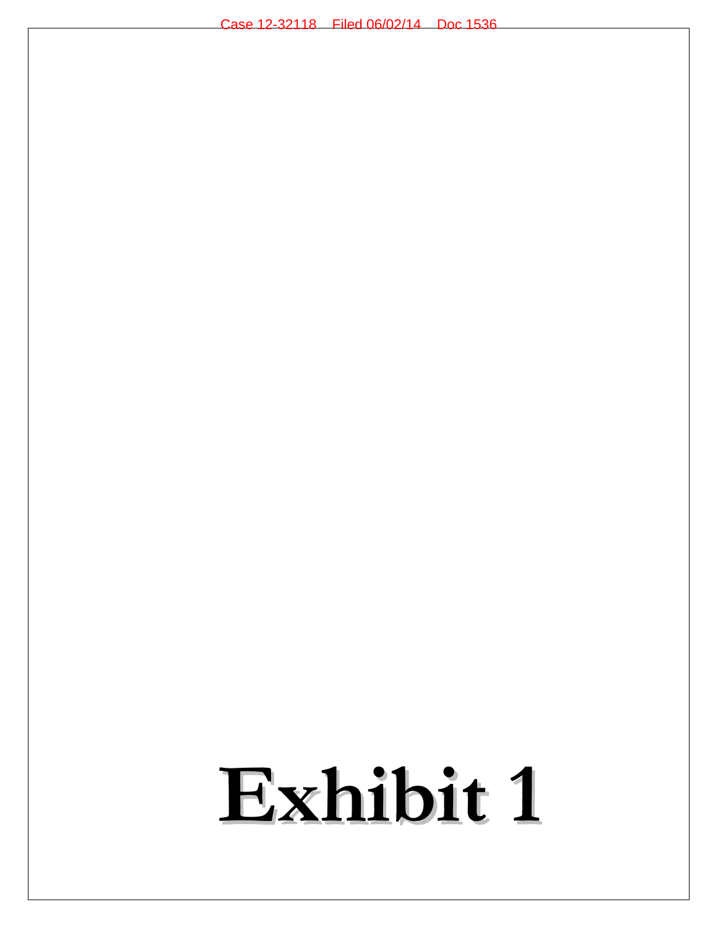# **Exhibit 1**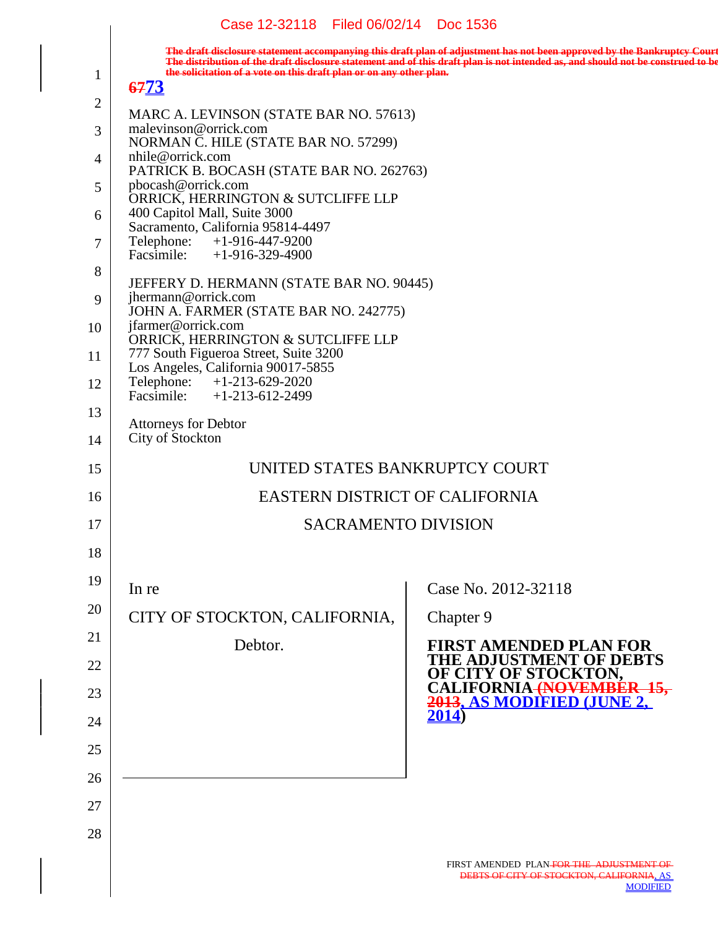|                | Case IZ-32118 Filed 06/02/14 DOC 1536                                              |                                                                                                                                                                                                                                                            |
|----------------|------------------------------------------------------------------------------------|------------------------------------------------------------------------------------------------------------------------------------------------------------------------------------------------------------------------------------------------------------|
|                |                                                                                    | The draft disclosure statement accompanying this draft plan of adjustment has not been approved by the Bankruptcy Court<br>The distribution of the draft disclosure statement and of this draft plan is not intended as, and should not be construed to be |
| 1              | the solicitation of a vote on this draft plan or on any other plan.<br><b>6773</b> |                                                                                                                                                                                                                                                            |
| 2              | MARC A. LEVINSON (STATE BAR NO. 57613)                                             |                                                                                                                                                                                                                                                            |
| $\overline{3}$ | malevinson@orrick.com                                                              |                                                                                                                                                                                                                                                            |
| $\overline{4}$ | NORMAN C. HILE (STATE BAR NO. 57299)<br>nhile@orrick.com                           |                                                                                                                                                                                                                                                            |
| 5              | PATRICK B. BOCASH (STATE BAR NO. 262763)<br>pbocash@orrick.com                     |                                                                                                                                                                                                                                                            |
| 6              | ORRICK, HERRINGTON & SUTCLIFFE LLP<br>400 Capitol Mall, Suite 3000                 |                                                                                                                                                                                                                                                            |
| $\overline{7}$ | Sacramento, California 95814-4497<br>Telephone: +1-916-447-9200                    |                                                                                                                                                                                                                                                            |
| 8              | Facsimile: $+1-916-329-4900$                                                       |                                                                                                                                                                                                                                                            |
| 9              | JEFFERY D. HERMANN (STATE BAR NO. 90445)<br>jhermann@orrick.com                    |                                                                                                                                                                                                                                                            |
| 10             | JOHN A. FARMER (STATE BAR NO. 242775)<br>jfarmer@orrick.com                        |                                                                                                                                                                                                                                                            |
| 11             | ORRICK, HERRINGTON & SUTCLIFFE LLP<br>777 South Figueroa Street, Suite 3200        |                                                                                                                                                                                                                                                            |
| 12             | Los Angeles, California 90017-5855<br>Telephone: +1-213-629-2020                   |                                                                                                                                                                                                                                                            |
|                | Facsimile: $+1-213-612-2499$                                                       |                                                                                                                                                                                                                                                            |
| 13             | <b>Attorneys for Debtor</b>                                                        |                                                                                                                                                                                                                                                            |
| 14             | City of Stockton                                                                   |                                                                                                                                                                                                                                                            |
| 15             | UNITED STATES BANKRUPTCY COURT                                                     |                                                                                                                                                                                                                                                            |
| 16             | EASTERN DISTRICT OF CALIFORNIA                                                     |                                                                                                                                                                                                                                                            |
| 17             | <b>SACRAMENTO DIVISION</b>                                                         |                                                                                                                                                                                                                                                            |
| 18             |                                                                                    |                                                                                                                                                                                                                                                            |
| 19             | In re                                                                              | Case No. 2012-32118                                                                                                                                                                                                                                        |
| 20             | CITY OF STOCKTON, CALIFORNIA,                                                      | Chapter 9                                                                                                                                                                                                                                                  |
| 21             | Debtor.                                                                            | <b>FIRST AMENDED PLAN FOR</b>                                                                                                                                                                                                                              |
| 22             |                                                                                    | <b>THE ADJUSTMENT OF DEBTS</b><br>OF CITY OF STOCKTON,                                                                                                                                                                                                     |
| 23             |                                                                                    | CALIFORNIA <del>(NC</del><br>2013, AS MODIFIED (JUNE 2,                                                                                                                                                                                                    |
| 24             |                                                                                    | 2014)                                                                                                                                                                                                                                                      |
| 25             |                                                                                    |                                                                                                                                                                                                                                                            |
| 26             |                                                                                    |                                                                                                                                                                                                                                                            |
| 27             |                                                                                    |                                                                                                                                                                                                                                                            |
| 28             |                                                                                    |                                                                                                                                                                                                                                                            |
|                |                                                                                    |                                                                                                                                                                                                                                                            |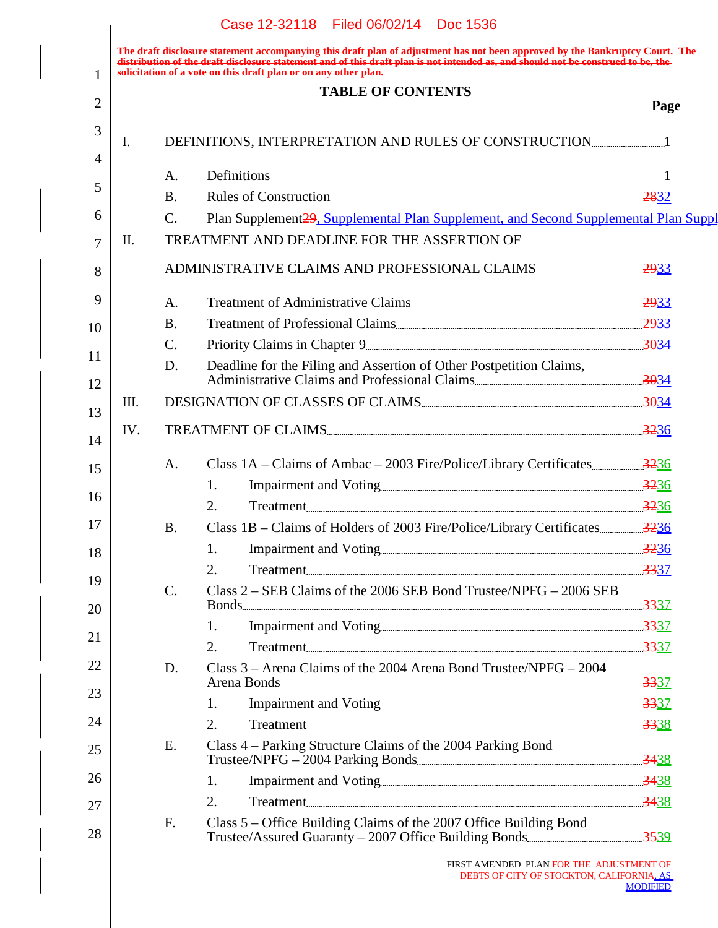|      | <b>TABLE OF CONTENTS</b>                                                                                                   |
|------|----------------------------------------------------------------------------------------------------------------------------|
| Page |                                                                                                                            |
|      | Ι.                                                                                                                         |
|      |                                                                                                                            |
|      | A.<br><b>B.</b><br>Rules of Construction                                                                                   |
|      | Plan Supplement 29, Supplemental Plan Supplement, and Second Supplemental Plan Suppl<br>$C_{\cdot}$                        |
|      | TREATMENT AND DEADLINE FOR THE ASSERTION OF<br>П.                                                                          |
|      | ADMINISTRATIVE CLAIMS AND PROFESSIONAL CLAIMS                                                                              |
|      | A.                                                                                                                         |
|      | <b>B.</b>                                                                                                                  |
|      | $\mathcal{C}$ .                                                                                                            |
|      | Deadline for the Filing and Assertion of Other Postpetition Claims,<br>D.<br>Administrative Claims and Professional Claims |
|      | DESIGNATION OF CLASSES OF CLAIMS<br>III.                                                                                   |
|      | TREATMENT OF CLAIMS<br>IV.                                                                                                 |
|      | A.                                                                                                                         |
|      | 1.                                                                                                                         |
|      | 2.<br>Treatment 3236                                                                                                       |
|      | <b>B.</b>                                                                                                                  |
|      | 1.                                                                                                                         |
|      | Treatment 3337<br>2.                                                                                                       |
|      | Class 2 – SEB Claims of the 2006 SEB Bond Trustee/NPFG – 2006 SEB<br>$\mathcal{C}$ .                                       |
|      | 1.                                                                                                                         |
|      | 2.<br>Treatment 3337                                                                                                       |
|      | D.<br>Class $3 -$ Arena Claims of the 2004 Arena Bond Trustee/NPFG $- 2004$<br>Arena Bonds 2337                            |
|      | 1.                                                                                                                         |
|      | Treatment 3338<br>2.                                                                                                       |
|      | Class 4 – Parking Structure Claims of the 2004 Parking Bond<br>E.                                                          |
|      | 1.                                                                                                                         |
|      | 2.<br>Treatment 3438                                                                                                       |
|      | Class 5 – Office Building Claims of the 2007 Office Building Bond<br>F.                                                    |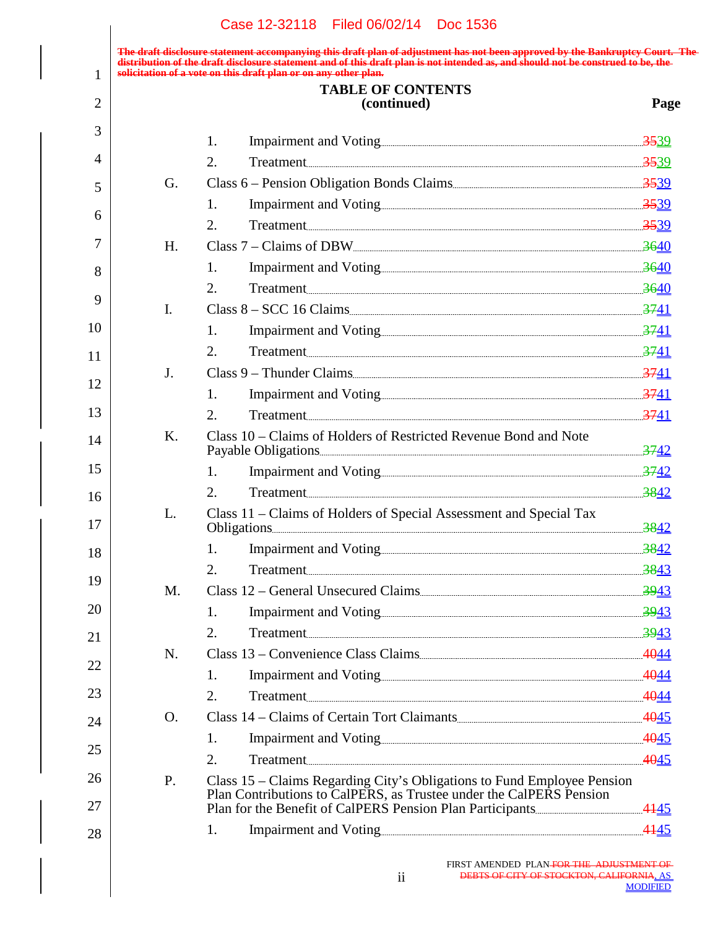**The draft disclosure statement accompanying this draft plan of adjustment has not been approved by the Bankruptcy Court. The distribution of the draft disclosure statement and of this draft plan is not intended as, and should not be construed to be, the solicitation of a vote on this draft plan or on any other plan.**

| 1        |    | solicitation of a vote on this draft plan or on any other plan.                                                                                |             |
|----------|----|------------------------------------------------------------------------------------------------------------------------------------------------|-------------|
| 2        |    | <b>TABLE OF CONTENTS</b><br>(continued)                                                                                                        | Page        |
| 3        |    | 1.                                                                                                                                             |             |
| 4        |    | 2.                                                                                                                                             |             |
| 5        | G. |                                                                                                                                                |             |
|          |    | 1.                                                                                                                                             |             |
| 6        |    | 2.<br>Treatment 3539                                                                                                                           |             |
| 7        | H. |                                                                                                                                                |             |
| 8        |    | 1.                                                                                                                                             |             |
| 9        |    | Treatment 3640<br>2.                                                                                                                           |             |
|          | I. |                                                                                                                                                |             |
| 10       |    | 1.                                                                                                                                             |             |
| 11       |    | 2.<br>Treatment 3741                                                                                                                           |             |
| 12       | J. | Class 9 – Thunder Claims                                                                                                                       |             |
|          |    | 1.                                                                                                                                             |             |
| 13       |    | 2.<br>Treatment 3741                                                                                                                           |             |
| 14       | K. | Class 10 – Claims of Holders of Restricted Revenue Bond and Note                                                                               |             |
| 15       |    | 1.                                                                                                                                             |             |
| 16       |    | 2.<br>Treatment 3842                                                                                                                           |             |
| 17       | L. | Class 11 – Claims of Holders of Special Assessment and Special Tax<br>Obligations 3842                                                         |             |
| 18       |    | Impairment and Voting 2842<br>1.                                                                                                               |             |
|          |    | Treatment 3843<br>2.                                                                                                                           |             |
| 19       | M. | Class 12 – General Unsecured Claims                                                                                                            | <u>3943</u> |
| 20       |    | 1.                                                                                                                                             |             |
| 21       |    | 2.<br>Treatment 3943                                                                                                                           |             |
| 22       | N. | Class 13 – Convenience Class Claims                                                                                                            |             |
|          |    | 1.                                                                                                                                             |             |
| 23       |    | Treatment 4044<br>2.                                                                                                                           |             |
| 24       | Ο. | Class 14 – Claims of Certain Tort Claimants                                                                                                    |             |
| 25       |    | 1.                                                                                                                                             |             |
|          |    | 2.<br>Treatment 4045                                                                                                                           |             |
| 26<br>27 | Ρ. | Class 15 - Claims Regarding City's Obligations to Fund Employee Pension<br>Plan Contributions to CalPERS, as Trustee under the CalPERS Pension |             |
|          |    |                                                                                                                                                |             |
| 28       |    | 1.                                                                                                                                             |             |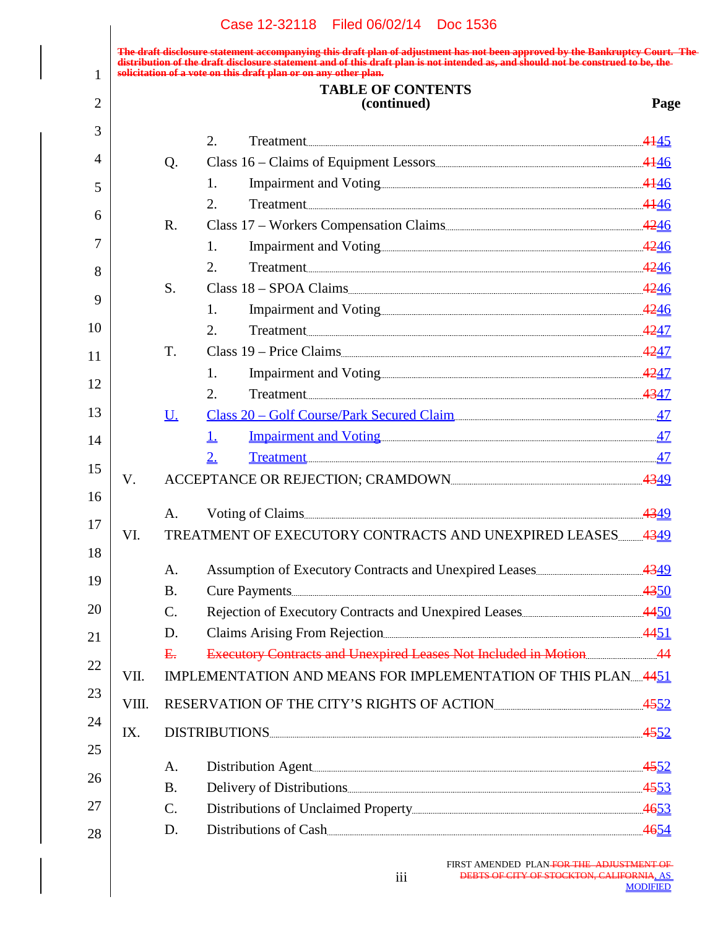|       |                 | The draft disclosure statement accompanying this draft plan of adjustment has not been approved by the Bankruptcy Court. The<br>distribution of the draft disclosure statement and of this draft plan is not intended as, and sho<br>solicitation of a vote on this draft plan or on any other plan. |      |
|-------|-----------------|------------------------------------------------------------------------------------------------------------------------------------------------------------------------------------------------------------------------------------------------------------------------------------------------------|------|
|       |                 | <b>TABLE OF CONTENTS</b>                                                                                                                                                                                                                                                                             |      |
|       |                 | (continued)                                                                                                                                                                                                                                                                                          | Page |
|       |                 | 2.<br>Treatment 4145                                                                                                                                                                                                                                                                                 |      |
|       | Q.              |                                                                                                                                                                                                                                                                                                      |      |
|       |                 | 1.                                                                                                                                                                                                                                                                                                   |      |
|       |                 | Treatment 4146<br>2.                                                                                                                                                                                                                                                                                 |      |
|       | $R_{\cdot}$     |                                                                                                                                                                                                                                                                                                      |      |
|       |                 | 1.                                                                                                                                                                                                                                                                                                   |      |
|       |                 | Treatment 4246<br>2.                                                                                                                                                                                                                                                                                 |      |
|       | S.              | Class $18 -$ SPOA Claims                                                                                                                                                                                                                                                                             |      |
|       |                 | 1.                                                                                                                                                                                                                                                                                                   |      |
|       |                 | Treatment 4247<br>2.                                                                                                                                                                                                                                                                                 |      |
|       | T.              | Class 19 – Price Claims                                                                                                                                                                                                                                                                              |      |
|       |                 | 1.                                                                                                                                                                                                                                                                                                   |      |
|       |                 | 2.<br>Treatment 4347                                                                                                                                                                                                                                                                                 |      |
|       | U.              | Class 20 - Golf Course/Park Secured Claim                                                                                                                                                                                                                                                            |      |
|       |                 | <u>Impairment and Voting [2001]</u><br>Ţ,                                                                                                                                                                                                                                                            |      |
|       |                 | 2.<br>Treatment 47                                                                                                                                                                                                                                                                                   |      |
| V.    |                 |                                                                                                                                                                                                                                                                                                      |      |
|       |                 |                                                                                                                                                                                                                                                                                                      |      |
|       | Α.              |                                                                                                                                                                                                                                                                                                      |      |
| VI.   |                 | TREATMENT OF EXECUTORY CONTRACTS AND UNEXPIRED LEASES 4349                                                                                                                                                                                                                                           |      |
|       | A.              |                                                                                                                                                                                                                                                                                                      |      |
|       | <b>B.</b>       |                                                                                                                                                                                                                                                                                                      |      |
|       | $\mathcal{C}$ . |                                                                                                                                                                                                                                                                                                      |      |
|       | D.              |                                                                                                                                                                                                                                                                                                      |      |
|       | E.              |                                                                                                                                                                                                                                                                                                      |      |
| VII.  |                 | IMPLEMENTATION AND MEANS FOR IMPLEMENTATION OF THIS PLAN4451                                                                                                                                                                                                                                         |      |
| VIII. |                 |                                                                                                                                                                                                                                                                                                      |      |
| IX.   |                 | DISTRIBUTIONS 4552                                                                                                                                                                                                                                                                                   |      |
|       |                 |                                                                                                                                                                                                                                                                                                      |      |
|       | A.              | Distribution Agent                                                                                                                                                                                                                                                                                   |      |
|       | <b>B.</b>       |                                                                                                                                                                                                                                                                                                      |      |
|       | $\mathcal{C}$ . |                                                                                                                                                                                                                                                                                                      |      |
|       | D.              | Distributions of Cash                                                                                                                                                                                                                                                                                |      |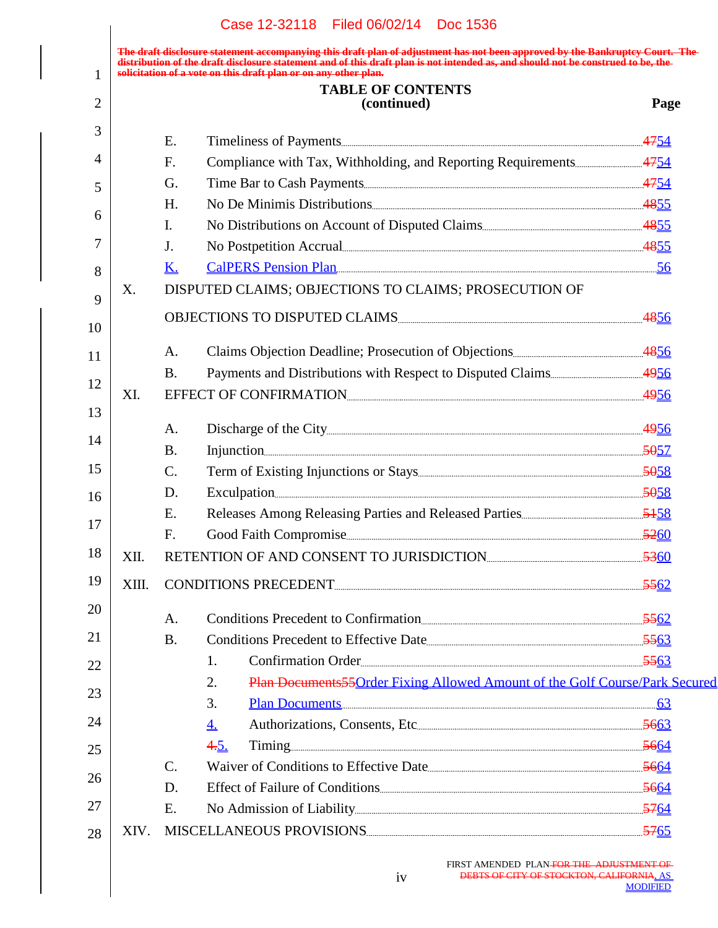|       |                 | solicitation of a vote on this draft plan or on any other plan.<br><b>TABLE OF CONTENTS</b> |      |
|-------|-----------------|---------------------------------------------------------------------------------------------|------|
|       |                 | (continued)                                                                                 | Page |
|       | E.              |                                                                                             |      |
| 4     | $F_{\cdot}$     |                                                                                             |      |
|       | G.              |                                                                                             |      |
|       | H <sub>1</sub>  | No De Minimis Distributions                                                                 |      |
| 6     | $\mathbf{I}$ .  |                                                                                             |      |
|       | J.              | No Postpetition Accrual 2855                                                                |      |
|       | <b>K.</b>       | CalPERS Pension Plan 56                                                                     |      |
| X.    |                 | DISPUTED CLAIMS; OBJECTIONS TO CLAIMS; PROSECUTION OF                                       |      |
|       |                 |                                                                                             |      |
|       | A.              |                                                                                             |      |
| 12    | <b>B.</b>       |                                                                                             |      |
| XI.   |                 | EFFECT OF CONFIRMATION                                                                      |      |
| 13    | A.              |                                                                                             |      |
| 14    | <b>B.</b>       |                                                                                             |      |
|       | $C_{\cdot}$     |                                                                                             |      |
|       | D.              |                                                                                             |      |
|       | E.              |                                                                                             |      |
|       | F.              | Good Faith Compromise <u>Communications</u> and Table 19260                                 |      |
| XII.  |                 | RETENTION OF AND CONSENT TO JURISDICTION                                                    |      |
| XIII. |                 | CONDITIONS PRECEDENT 5562                                                                   |      |
| 20    | A.              | Conditions Precedent to Confirmation                                                        |      |
|       | <b>B.</b>       | Conditions Precedent to Effective Date                                                      |      |
|       |                 | Confirmation Order<br>1.                                                                    |      |
|       |                 | Plan Documents 55 Order Fixing Allowed Amount of the Golf Course/Park Secured<br>2.         |      |
|       |                 | 3.<br><u>Plan Documents</u> 63                                                              |      |
|       |                 | $\underline{4.}$                                                                            |      |
|       |                 | 4.5.                                                                                        |      |
|       | $\mathcal{C}$ . | Waiver of Conditions to Effective Date                                                      |      |
| 26    | D.              |                                                                                             |      |
|       | E.              |                                                                                             |      |
| XIV.  |                 | MISCELLANEOUS PROVISIONS                                                                    |      |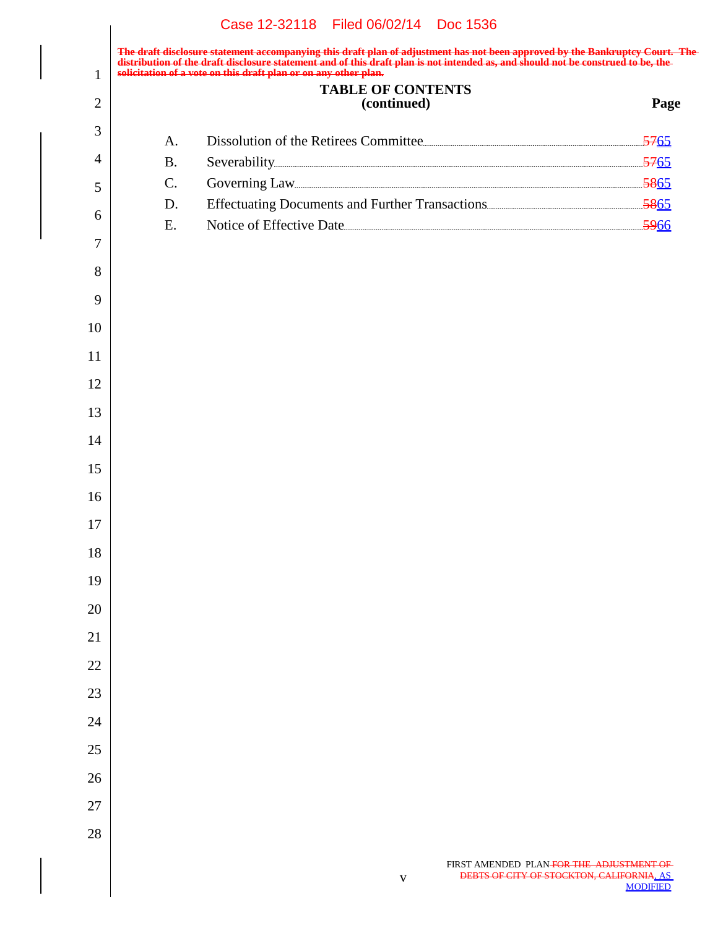|                |                 | Case 12-32118 Filed 06/02/14 Doc 1536                                                                                                                                                                                                                                                                |      |
|----------------|-----------------|------------------------------------------------------------------------------------------------------------------------------------------------------------------------------------------------------------------------------------------------------------------------------------------------------|------|
| $\mathbf{1}$   |                 | The draft disclosure statement accompanying this draft plan of adjustment has not been approved by the Bankruptcy Court. The<br>distribution of the draft disclosure statement and of this draft plan is not intended as, and sho<br>solicitation of a vote on this draft plan or on any other plan. |      |
| $\overline{2}$ |                 | <b>TABLE OF CONTENTS</b><br>(continued)                                                                                                                                                                                                                                                              | Page |
| 3              |                 |                                                                                                                                                                                                                                                                                                      |      |
| 4              | A.<br><b>B.</b> |                                                                                                                                                                                                                                                                                                      |      |
| 5              | $C$ .           |                                                                                                                                                                                                                                                                                                      |      |
|                | D.              |                                                                                                                                                                                                                                                                                                      |      |
| 6              | E.              |                                                                                                                                                                                                                                                                                                      |      |
| $\overline{7}$ |                 |                                                                                                                                                                                                                                                                                                      |      |
| 8              |                 |                                                                                                                                                                                                                                                                                                      |      |
| 9              |                 |                                                                                                                                                                                                                                                                                                      |      |
| 10             |                 |                                                                                                                                                                                                                                                                                                      |      |
| 11             |                 |                                                                                                                                                                                                                                                                                                      |      |
| 12             |                 |                                                                                                                                                                                                                                                                                                      |      |
| 13             |                 |                                                                                                                                                                                                                                                                                                      |      |
| 14             |                 |                                                                                                                                                                                                                                                                                                      |      |
| 15             |                 |                                                                                                                                                                                                                                                                                                      |      |
| 16             |                 |                                                                                                                                                                                                                                                                                                      |      |
| 17             |                 |                                                                                                                                                                                                                                                                                                      |      |
| $18\,$         |                 |                                                                                                                                                                                                                                                                                                      |      |
| 19             |                 |                                                                                                                                                                                                                                                                                                      |      |
| 20             |                 |                                                                                                                                                                                                                                                                                                      |      |
| 21             |                 |                                                                                                                                                                                                                                                                                                      |      |
| $22\,$         |                 |                                                                                                                                                                                                                                                                                                      |      |
| 23             |                 |                                                                                                                                                                                                                                                                                                      |      |
| 24             |                 |                                                                                                                                                                                                                                                                                                      |      |
| 25             |                 |                                                                                                                                                                                                                                                                                                      |      |
| 26             |                 |                                                                                                                                                                                                                                                                                                      |      |
| 27             |                 |                                                                                                                                                                                                                                                                                                      |      |
| 28             |                 |                                                                                                                                                                                                                                                                                                      |      |
|                |                 |                                                                                                                                                                                                                                                                                                      |      |

v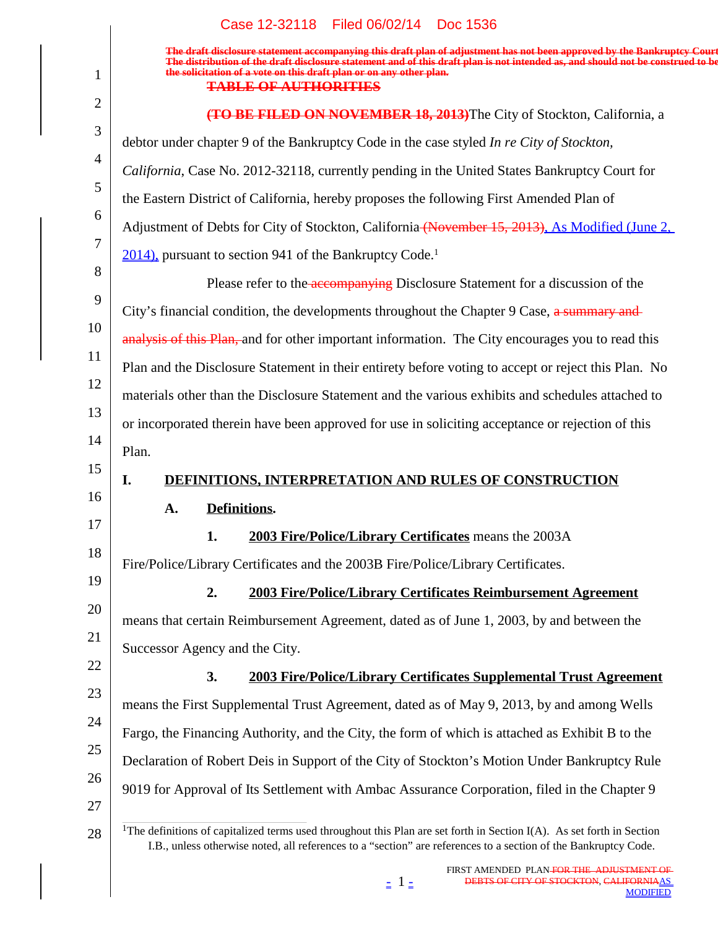**The draft disclosure statement accompanying this draft plan of adjustment has not been approved by the Bankruptcy Court. The distribution of the draft disclosure statement and of this draft plan is not intended as, and should not be construed to be, the solicitation of a vote on this draft plan or on any other plan.**

#### **TABLE OF AUTHORITIES**

1

| $\overline{2}$ | (TO BE FILED ON NOVEMBER 18, 2013) The City of Stockton, California, a                                                                                                                                                                                |
|----------------|-------------------------------------------------------------------------------------------------------------------------------------------------------------------------------------------------------------------------------------------------------|
| 3              | debtor under chapter 9 of the Bankruptcy Code in the case styled In re City of Stockton,                                                                                                                                                              |
| 4              | California, Case No. 2012-32118, currently pending in the United States Bankruptcy Court for                                                                                                                                                          |
| 5              | the Eastern District of California, hereby proposes the following First Amended Plan of                                                                                                                                                               |
| 6              | Adjustment of Debts for City of Stockton, California (November 15, 2013), As Modified (June 2,                                                                                                                                                        |
| 7              | 2014), pursuant to section 941 of the Bankruptcy Code. <sup>1</sup>                                                                                                                                                                                   |
| 8              | Please refer to the accompanying Disclosure Statement for a discussion of the                                                                                                                                                                         |
| 9              | City's financial condition, the developments throughout the Chapter 9 Case, a summary and                                                                                                                                                             |
| 10             | analysis of this Plan, and for other important information. The City encourages you to read this                                                                                                                                                      |
| 11             | Plan and the Disclosure Statement in their entirety before voting to accept or reject this Plan. No                                                                                                                                                   |
| 12             | materials other than the Disclosure Statement and the various exhibits and schedules attached to                                                                                                                                                      |
| 13             | or incorporated therein have been approved for use in soliciting acceptance or rejection of this                                                                                                                                                      |
| 14             | Plan.                                                                                                                                                                                                                                                 |
| 15             | DEFINITIONS, INTERPRETATION AND RULES OF CONSTRUCTION<br>I.                                                                                                                                                                                           |
| 16             | Definitions.<br>A.                                                                                                                                                                                                                                    |
| 17             | 2003 Fire/Police/Library Certificates means the 2003A<br>1.                                                                                                                                                                                           |
| 18             | Fire/Police/Library Certificates and the 2003B Fire/Police/Library Certificates.                                                                                                                                                                      |
| 19             | 2.<br>2003 Fire/Police/Library Certificates Reimbursement Agreement                                                                                                                                                                                   |
| 20             | means that certain Reimbursement Agreement, dated as of June 1, 2003, by and between the                                                                                                                                                              |
| 21<br>22       | Successor Agency and the City.                                                                                                                                                                                                                        |
| 23             | 2003 Fire/Police/Library Certificates Supplemental Trust Agreement<br>3.                                                                                                                                                                              |
| 24             | means the First Supplemental Trust Agreement, dated as of May 9, 2013, by and among Wells                                                                                                                                                             |
| 25             | Fargo, the Financing Authority, and the City, the form of which is attached as Exhibit B to the                                                                                                                                                       |
| 26             | Declaration of Robert Deis in Support of the City of Stockton's Motion Under Bankruptcy Rule                                                                                                                                                          |
| 27             | 9019 for Approval of Its Settlement with Ambac Assurance Corporation, filed in the Chapter 9                                                                                                                                                          |
| 28             | <sup>1</sup> The definitions of capitalized terms used throughout this Plan are set forth in Section I(A). As set forth in Section<br>I.B., unless otherwise noted, all references to a "section" are references to a section of the Bankruptcy Code. |

 $\pm$  1  $\pm$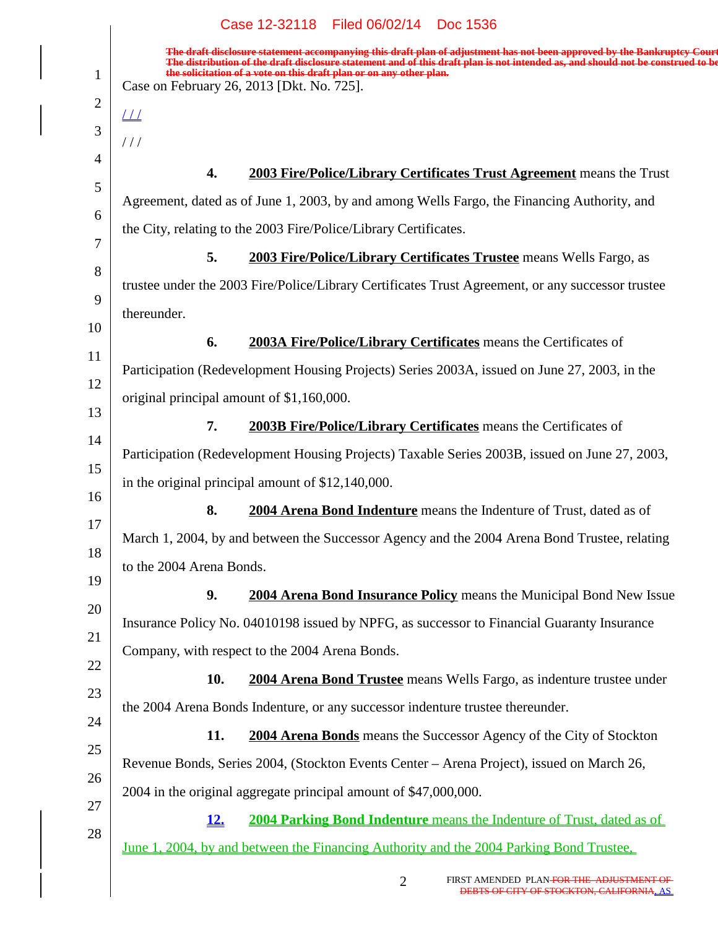1

**The draft disclosure statement accompanying this draft plan of adjustment has not been approved by the Bankruptcy Court. The distribution of the draft disclosure statement and of this draft plan is not intended as, and should not be construed to be, the solicitation of a vote on this draft plan or on any other plan.** Case on February 26, 2013 [Dkt. No. 725].

| $\overline{2}$           |                          |                                                                                                         |
|--------------------------|--------------------------|---------------------------------------------------------------------------------------------------------|
| $\perp\!\!\!\perp$<br>// |                          |                                                                                                         |
|                          | 4.                       | 2003 Fire/Police/Library Certificates Trust Agreement means the Trust                                   |
|                          |                          | Agreement, dated as of June 1, 2003, by and among Wells Fargo, the Financing Authority, and             |
|                          |                          | the City, relating to the 2003 Fire/Police/Library Certificates.                                        |
|                          | 5.                       | 2003 Fire/Police/Library Certificates Trustee means Wells Fargo, as                                     |
|                          |                          | trustee under the 2003 Fire/Police/Library Certificates Trust Agreement, or any successor trustee       |
|                          | thereunder.              |                                                                                                         |
|                          | 6.                       | <b>2003A Fire/Police/Library Certificates</b> means the Certificates of                                 |
|                          |                          | Participation (Redevelopment Housing Projects) Series 2003A, issued on June 27, 2003, in the            |
|                          |                          | original principal amount of \$1,160,000.                                                               |
|                          | 7.                       | <b>2003B Fire/Police/Library Certificates</b> means the Certificates of                                 |
|                          |                          | Participation (Redevelopment Housing Projects) Taxable Series 2003B, issued on June 27, 2003,           |
|                          |                          | in the original principal amount of \$12,140,000.                                                       |
|                          | 8.                       | 2004 Arena Bond Indenture means the Indenture of Trust, dated as of                                     |
|                          |                          | March 1, 2004, by and between the Successor Agency and the 2004 Arena Bond Trustee, relating            |
|                          | to the 2004 Arena Bonds. |                                                                                                         |
|                          | 9.                       | <b>2004 Arena Bond Insurance Policy</b> means the Municipal Bond New Issue                              |
|                          |                          | Insurance Policy No. 04010198 issued by NPFG, as successor to Financial Guaranty Insurance              |
|                          |                          | Company, with respect to the 2004 Arena Bonds.                                                          |
|                          | 10.                      | 2004 Arena Bond Trustee means Wells Fargo, as indenture trustee under                                   |
|                          |                          | the 2004 Arena Bonds Indenture, or any successor indenture trustee thereunder.                          |
|                          | 11.                      | 2004 Arena Bonds means the Successor Agency of the City of Stockton                                     |
|                          |                          | Revenue Bonds, Series 2004, (Stockton Events Center – Arena Project), issued on March 26,               |
|                          |                          | 2004 in the original aggregate principal amount of \$47,000,000.                                        |
|                          | <u>12.</u>               | <b>2004 Parking Bond Indenture</b> means the Indenture of Trust, dated as of                            |
|                          |                          | <u>June 1, 2004, by and between the Financing Authority and the 2004 Parking Bond Trustee.</u>          |
|                          |                          | FIRST AMENDED PLAN-FOR THE ADJUSTMENT OF<br>$\overline{2}$<br>DEBTS OF CITY OF STOCKTON, CALIFORNIA, AS |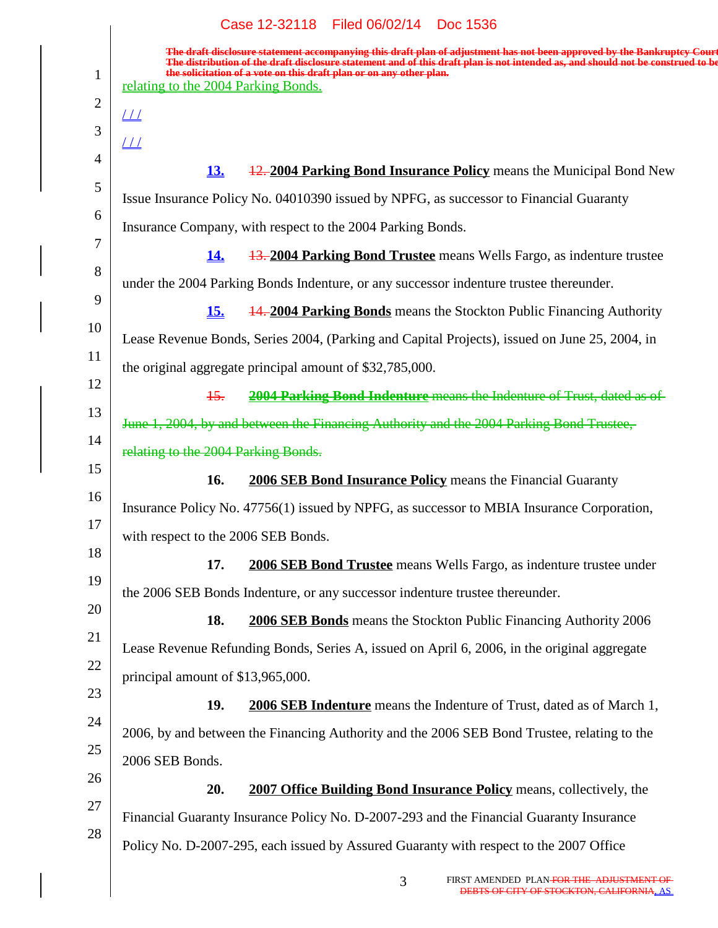1

**The draft disclosure statement accompanying this draft plan of adjustment has not been approved by the Bankruptcy Court. The distribution of the draft disclosure statement and of this draft plan is not intended as, and should not be construed to be, the solicitation of a vote on this draft plan or on any other plan.** relating to the 2004 Parking Bonds.

2 3 4 5 6 7 8 9 10 11 12 13 14 15 16 17 18 19 20 21 22 23 24 25 26 27 28  $\overline{\underline{\mu}}$  $L\bar{L}$ **13.** 12. **2004 Parking Bond Insurance Policy** means the Municipal Bond New Issue Insurance Policy No. 04010390 issued by NPFG, as successor to Financial Guaranty Insurance Company, with respect to the 2004 Parking Bonds. **14.** 13. **2004 Parking Bond Trustee** means Wells Fargo, as indenture trustee under the 2004 Parking Bonds Indenture, or any successor indenture trustee thereunder. **15.** 14. **2004 Parking Bonds** means the Stockton Public Financing Authority Lease Revenue Bonds, Series 2004, (Parking and Capital Projects), issued on June 25, 2004, in the original aggregate principal amount of \$32,785,000. 15. **2004 Parking Bond Indenture** means the Indenture of Trust, dated as of June 1, 2004, by and between the Financing Authority and the 2004 Parking Bond Trustee, relating to the 2004 Parking Bonds. **16. 2006 SEB Bond Insurance Policy** means the Financial Guaranty Insurance Policy No. 47756(1) issued by NPFG, as successor to MBIA Insurance Corporation, with respect to the 2006 SEB Bonds. **17. 2006 SEB Bond Trustee** means Wells Fargo, as indenture trustee under the 2006 SEB Bonds Indenture, or any successor indenture trustee thereunder. **18. 2006 SEB Bonds** means the Stockton Public Financing Authority 2006 Lease Revenue Refunding Bonds, Series A, issued on April 6, 2006, in the original aggregate principal amount of \$13,965,000. **19. 2006 SEB Indenture** means the Indenture of Trust, dated as of March 1, 2006, by and between the Financing Authority and the 2006 SEB Bond Trustee, relating to the 2006 SEB Bonds. **20. 2007 Office Building Bond Insurance Policy** means, collectively, the Financial Guaranty Insurance Policy No. D-2007-293 and the Financial Guaranty Insurance Policy No. D-2007-295, each issued by Assured Guaranty with respect to the 2007 Office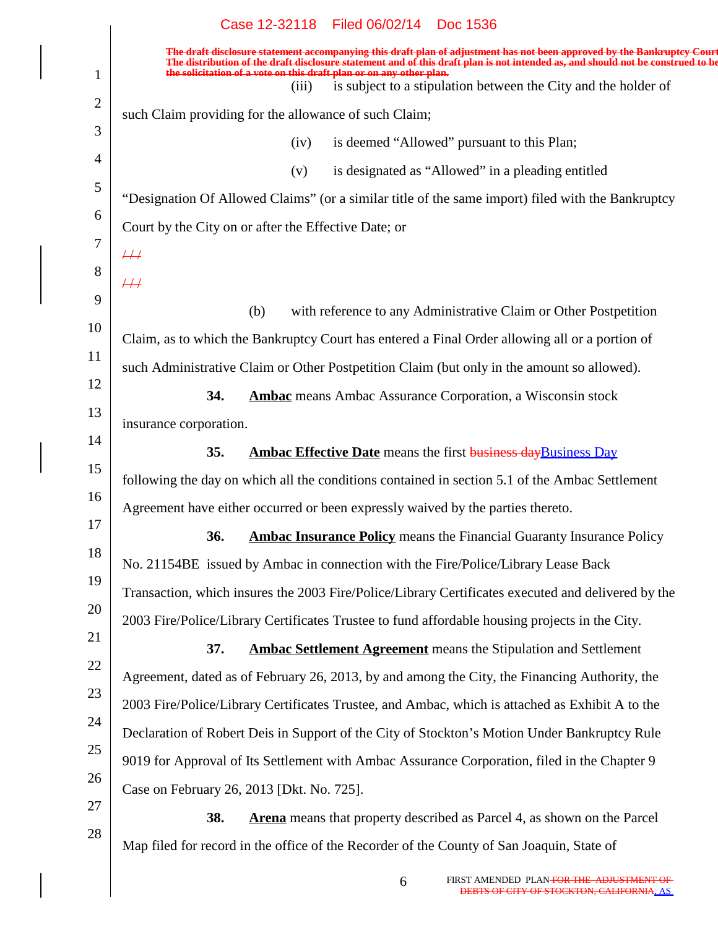|                | Case 12-32118 Filed 06/02/14 Doc 1536                                                                                                                                                                                                                      |
|----------------|------------------------------------------------------------------------------------------------------------------------------------------------------------------------------------------------------------------------------------------------------------|
|                | The draft disclosure statement accompanying this draft plan of adjustment has not been approved by the Bankruptcy Court<br>The distribution of the draft disclosure statement and of this draft plan is not intended as, and should not be construed to be |
| 1              | the solicitation of a vote on this draft plan or on any other plan.<br>is subject to a stipulation between the City and the holder of<br>(iii)                                                                                                             |
| $\overline{2}$ | such Claim providing for the allowance of such Claim;                                                                                                                                                                                                      |
| 3              | is deemed "Allowed" pursuant to this Plan;<br>(iv)                                                                                                                                                                                                         |
| $\overline{4}$ | is designated as "Allowed" in a pleading entitled<br>(v)                                                                                                                                                                                                   |
| 5              | "Designation Of Allowed Claims" (or a similar title of the same import) filed with the Bankruptcy                                                                                                                                                          |
| 6              | Court by the City on or after the Effective Date; or                                                                                                                                                                                                       |
| 7              | $\#$                                                                                                                                                                                                                                                       |
| 8              | #                                                                                                                                                                                                                                                          |
| 9              | with reference to any Administrative Claim or Other Postpetition<br>(b)                                                                                                                                                                                    |
| 10             | Claim, as to which the Bankruptcy Court has entered a Final Order allowing all or a portion of                                                                                                                                                             |
| 11<br>12       | such Administrative Claim or Other Postpetition Claim (but only in the amount so allowed).                                                                                                                                                                 |
| 13             | 34.<br><b>Ambac</b> means Ambac Assurance Corporation, a Wisconsin stock                                                                                                                                                                                   |
| 14             | insurance corporation.                                                                                                                                                                                                                                     |
| 15             | 35.<br><b>Ambac Effective Date</b> means the first <b>business day Business Day</b>                                                                                                                                                                        |
| 16             | following the day on which all the conditions contained in section 5.1 of the Ambac Settlement                                                                                                                                                             |
| 17             | Agreement have either occurred or been expressly waived by the parties thereto.                                                                                                                                                                            |
| 18             | <b>Ambac Insurance Policy</b> means the Financial Guaranty Insurance Policy<br><b>36.</b>                                                                                                                                                                  |
| 19             | No. 21154BE issued by Ambac in connection with the Fire/Police/Library Lease Back                                                                                                                                                                          |
| 20             | Transaction, which insures the 2003 Fire/Police/Library Certificates executed and delivered by the                                                                                                                                                         |
| 21             | 2003 Fire/Police/Library Certificates Trustee to fund affordable housing projects in the City.                                                                                                                                                             |
| 22             | 37.<br><b>Ambac Settlement Agreement</b> means the Stipulation and Settlement                                                                                                                                                                              |
| 23             | Agreement, dated as of February 26, 2013, by and among the City, the Financing Authority, the                                                                                                                                                              |
| 24             | 2003 Fire/Police/Library Certificates Trustee, and Ambac, which is attached as Exhibit A to the                                                                                                                                                            |
| 25             | Declaration of Robert Deis in Support of the City of Stockton's Motion Under Bankruptcy Rule                                                                                                                                                               |
| 26             | 9019 for Approval of Its Settlement with Ambac Assurance Corporation, filed in the Chapter 9                                                                                                                                                               |
| 27             | Case on February 26, 2013 [Dkt. No. 725].                                                                                                                                                                                                                  |
| 28             | 38.<br><b>Arena</b> means that property described as Parcel 4, as shown on the Parcel                                                                                                                                                                      |
|                | Map filed for record in the office of the Recorder of the County of San Joaquin, State of                                                                                                                                                                  |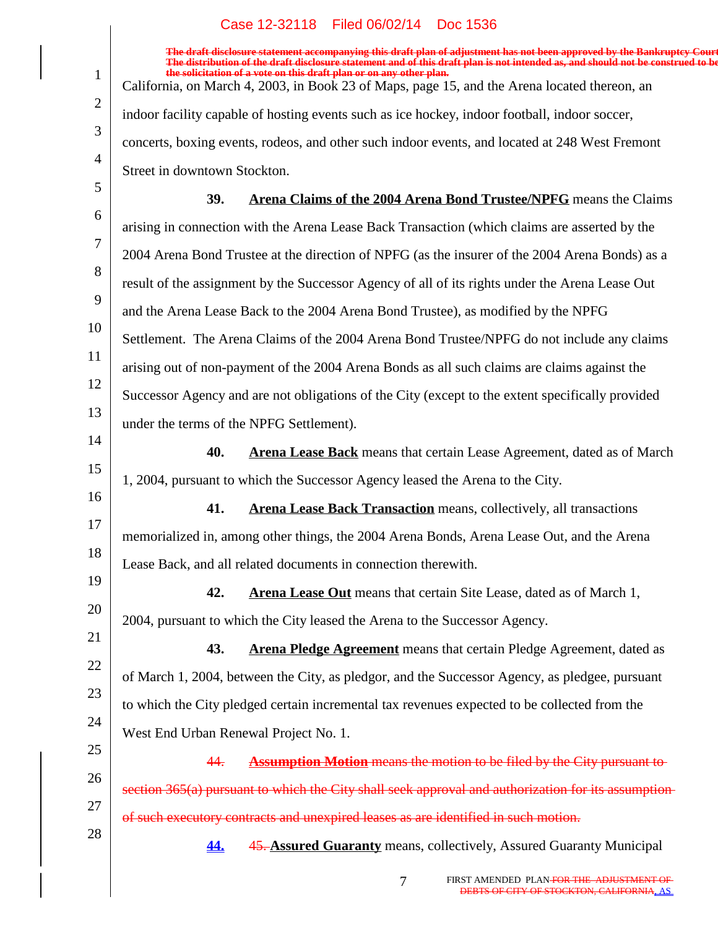|                | Case IZ-92110 Filed 00/02/14 DOC 1990                                                                                                                                                                                             |
|----------------|-----------------------------------------------------------------------------------------------------------------------------------------------------------------------------------------------------------------------------------|
|                | The draft disclosure statement accompanying this draft plan of adjustment has not been approved by the Bankruptcy Court<br>The distribution of the draft disclosure statement and of this draft plan is not intended as, and shou |
| $\mathbf{1}$   | the solicitation of a vote on this draft plan or on any other plan.<br>California, on March 4, 2003, in Book 23 of Maps, page 15, and the Arena located thereon, an                                                               |
| $\overline{2}$ | indoor facility capable of hosting events such as ice hockey, indoor football, indoor soccer,                                                                                                                                     |
| 3              | concerts, boxing events, rodeos, and other such indoor events, and located at 248 West Fremont                                                                                                                                    |
| $\overline{4}$ | Street in downtown Stockton.                                                                                                                                                                                                      |
| 5              | Arena Claims of the 2004 Arena Bond Trustee/NPFG means the Claims<br>39.                                                                                                                                                          |
| 6              | arising in connection with the Arena Lease Back Transaction (which claims are asserted by the                                                                                                                                     |
| 7              | 2004 Arena Bond Trustee at the direction of NPFG (as the insurer of the 2004 Arena Bonds) as a                                                                                                                                    |
| 8              | result of the assignment by the Successor Agency of all of its rights under the Arena Lease Out                                                                                                                                   |
| 9              | and the Arena Lease Back to the 2004 Arena Bond Trustee), as modified by the NPFG                                                                                                                                                 |
| 10             | Settlement. The Arena Claims of the 2004 Arena Bond Trustee/NPFG do not include any claims                                                                                                                                        |
| 11             | arising out of non-payment of the 2004 Arena Bonds as all such claims are claims against the                                                                                                                                      |
| 12             | Successor Agency and are not obligations of the City (except to the extent specifically provided                                                                                                                                  |
| 13             | under the terms of the NPFG Settlement).                                                                                                                                                                                          |
| 14             | 40.<br><b>Arena Lease Back</b> means that certain Lease Agreement, dated as of March                                                                                                                                              |
| 15             | 1, 2004, pursuant to which the Successor Agency leased the Arena to the City.                                                                                                                                                     |
| 16             | 41.<br><b>Arena Lease Back Transaction</b> means, collectively, all transactions                                                                                                                                                  |
| 17             | memorialized in, among other things, the 2004 Arena Bonds, Arena Lease Out, and the Arena                                                                                                                                         |
| 18             | Lease Back, and all related documents in connection therewith.                                                                                                                                                                    |
| 19             | 42.<br>Arena Lease Out means that certain Site Lease, dated as of March 1,                                                                                                                                                        |
| 20             | 2004, pursuant to which the City leased the Arena to the Successor Agency.                                                                                                                                                        |
| 21             | 43.<br><b>Arena Pledge Agreement</b> means that certain Pledge Agreement, dated as                                                                                                                                                |
| 22             | of March 1, 2004, between the City, as pledgor, and the Successor Agency, as pledgee, pursuant                                                                                                                                    |
| 23             | to which the City pledged certain incremental tax revenues expected to be collected from the                                                                                                                                      |
| 24             | West End Urban Renewal Project No. 1.                                                                                                                                                                                             |
| 25             | <b>Assumption Motion</b> means the motion to be filed by the City pursuant to-<br>44.                                                                                                                                             |
| 26             | section 365(a) pursuant to which the City shall seek approval and authorization for its assumption-                                                                                                                               |
| 27             | of such executory contracts and unexpired leases as are identified in such motion.                                                                                                                                                |
| 28             | <b>45. Assured Guaranty means, collectively, Assured Guaranty Municipal</b><br><u>44.</u>                                                                                                                                         |
|                |                                                                                                                                                                                                                                   |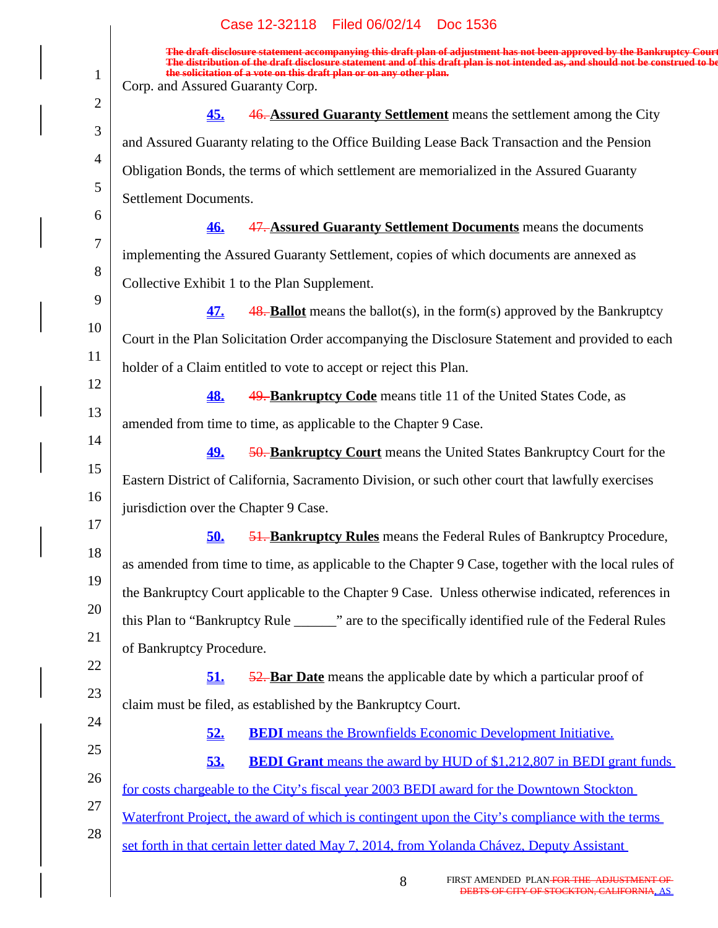|                | Case 12-32118 Filed 06/02/14<br>Doc 1536                                                                                                                                                                                                                   |
|----------------|------------------------------------------------------------------------------------------------------------------------------------------------------------------------------------------------------------------------------------------------------------|
|                | The draft disclosure statement accompanying this draft plan of adjustment has not been approved by the Bankruptcy Court<br>The distribution of the draft disclosure statement and of this draft plan is not intended as, and should not be construed to be |
| $\mathbf{1}$   | the solicitation of a vote on this draft plan or on any other plan.<br>Corp. and Assured Guaranty Corp.                                                                                                                                                    |
| $\overline{2}$ | 46. Assured Guaranty Settlement means the settlement among the City<br><u>45.</u>                                                                                                                                                                          |
| 3              | and Assured Guaranty relating to the Office Building Lease Back Transaction and the Pension                                                                                                                                                                |
| $\overline{4}$ | Obligation Bonds, the terms of which settlement are memorialized in the Assured Guaranty                                                                                                                                                                   |
| 5              | Settlement Documents.                                                                                                                                                                                                                                      |
| 6              | 47. Assured Guaranty Settlement Documents means the documents<br><u>46.</u>                                                                                                                                                                                |
| 7              | implementing the Assured Guaranty Settlement, copies of which documents are annexed as                                                                                                                                                                     |
| 8              | Collective Exhibit 1 to the Plan Supplement.                                                                                                                                                                                                               |
| 9              | <b>48. Ballot</b> means the ballot(s), in the form(s) approved by the Bankruptcy<br>47.                                                                                                                                                                    |
| 10             | Court in the Plan Solicitation Order accompanying the Disclosure Statement and provided to each                                                                                                                                                            |
| 11             | holder of a Claim entitled to vote to accept or reject this Plan.                                                                                                                                                                                          |
| 12             | 49. Bankruptcy Code means title 11 of the United States Code, as<br><u>48.</u>                                                                                                                                                                             |
| 13             | amended from time to time, as applicable to the Chapter 9 Case.                                                                                                                                                                                            |
| 14             | 50. Bankruptcy Court means the United States Bankruptcy Court for the<br><u>49.</u>                                                                                                                                                                        |
| 15             | Eastern District of California, Sacramento Division, or such other court that lawfully exercises                                                                                                                                                           |
| 16             | jurisdiction over the Chapter 9 Case.                                                                                                                                                                                                                      |
| 17             | 51. Bankruptcy Rules means the Federal Rules of Bankruptcy Procedure,<br><u>50.</u>                                                                                                                                                                        |
| 18             | as amended from time to time, as applicable to the Chapter 9 Case, together with the local rules of                                                                                                                                                        |
| 19             | the Bankruptcy Court applicable to the Chapter 9 Case. Unless otherwise indicated, references in                                                                                                                                                           |
| 20             | this Plan to "Bankruptcy Rule _______" are to the specifically identified rule of the Federal Rules                                                                                                                                                        |
| 21             | of Bankruptcy Procedure.                                                                                                                                                                                                                                   |
| 22             | 51.<br>52. Bar Date means the applicable date by which a particular proof of                                                                                                                                                                               |
| 23<br>24       | claim must be filed, as established by the Bankruptcy Court.                                                                                                                                                                                               |
| 25             | <b>BEDI</b> means the Brownfields Economic Development Initiative.<br><u>52.</u>                                                                                                                                                                           |
| 26             | 53.<br><b>BEDI Grant</b> means the award by HUD of \$1,212,807 in BEDI grant funds                                                                                                                                                                         |
| 27             | for costs chargeable to the City's fiscal year 2003 BEDI award for the Downtown Stockton                                                                                                                                                                   |
| 28             | Waterfront Project, the award of which is contingent upon the City's compliance with the terms                                                                                                                                                             |
|                | set forth in that certain letter dated May 7, 2014, from Yolanda Chávez, Deputy Assistant                                                                                                                                                                  |
|                |                                                                                                                                                                                                                                                            |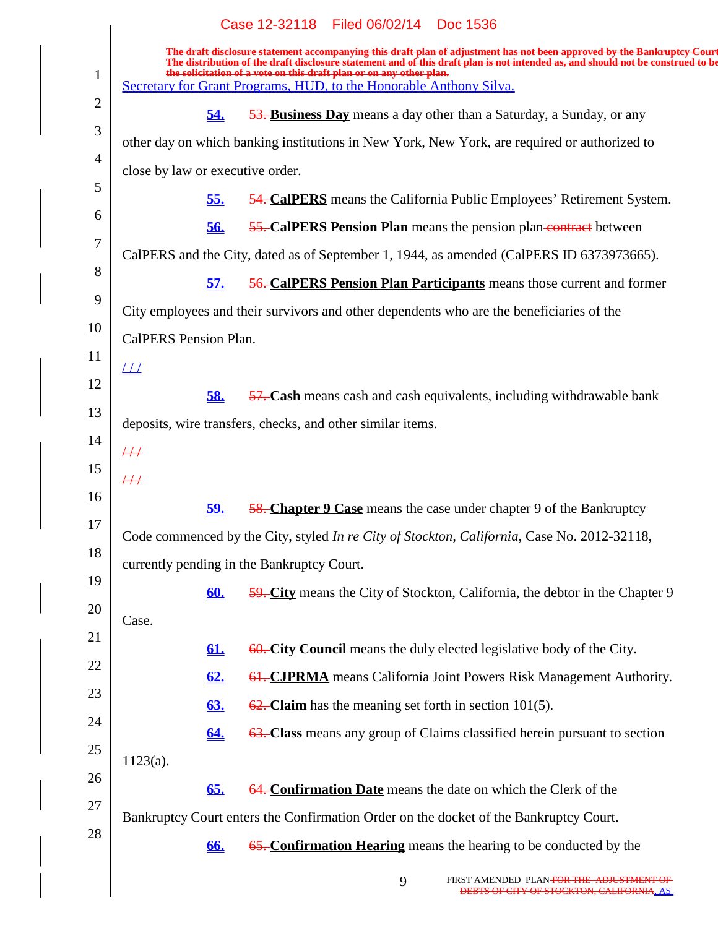|                | Case 12-32118 Filed 06/02/14 Doc 1536                                                                                                                                                                                                                                                                                             |
|----------------|-----------------------------------------------------------------------------------------------------------------------------------------------------------------------------------------------------------------------------------------------------------------------------------------------------------------------------------|
| $\mathbf{1}$   | The draft disclosure statement accompanying this draft plan of adjustment has not been approved by the Bankruptcy Court<br>The distribution of the draft disclosure statement and of this draft plan is not intended as, and should not be construed to be<br>the solicitation of a vote on this draft plan or on any other plan. |
|                | Secretary for Grant Programs, HUD, to the Honorable Anthony Silva.                                                                                                                                                                                                                                                                |
| $\overline{2}$ | 53. Business Day means a day other than a Saturday, a Sunday, or any<br>54.                                                                                                                                                                                                                                                       |
| 3              | other day on which banking institutions in New York, New York, are required or authorized to                                                                                                                                                                                                                                      |
| $\overline{4}$ | close by law or executive order.                                                                                                                                                                                                                                                                                                  |
| 5              | <b>54. CalPERS</b> means the California Public Employees' Retirement System.<br><u>55.</u>                                                                                                                                                                                                                                        |
| 6              | <b>55. CalPERS Pension Plan</b> means the pension plan-contract between<br>56.                                                                                                                                                                                                                                                    |
| 7              | CalPERS and the City, dated as of September 1, 1944, as amended (CalPERS ID 6373973665).                                                                                                                                                                                                                                          |
| 8              | <b>56. CalPERS Pension Plan Participants</b> means those current and former<br><u>57.</u>                                                                                                                                                                                                                                         |
| 9              | City employees and their survivors and other dependents who are the beneficiaries of the                                                                                                                                                                                                                                          |
| 10             | CalPERS Pension Plan.                                                                                                                                                                                                                                                                                                             |
| 11             | $\perp\!\!\!\perp$                                                                                                                                                                                                                                                                                                                |
| 12             | 58.<br>57. Cash means cash and cash equivalents, including withdrawable bank                                                                                                                                                                                                                                                      |
| 13             | deposits, wire transfers, checks, and other similar items.                                                                                                                                                                                                                                                                        |
| 14             | $\#$                                                                                                                                                                                                                                                                                                                              |
| 15             | #                                                                                                                                                                                                                                                                                                                                 |
| 16             | <b>58. Chapter 9 Case</b> means the case under chapter 9 of the Bankruptcy<br><u>59.</u>                                                                                                                                                                                                                                          |
| 17             | Code commenced by the City, styled In re City of Stockton, California, Case No. 2012-32118,                                                                                                                                                                                                                                       |
| 18             | currently pending in the Bankruptcy Court.                                                                                                                                                                                                                                                                                        |
| 19             | 59. City means the City of Stockton, California, the debtor in the Chapter 9<br><u>60.</u>                                                                                                                                                                                                                                        |
| 20             | Case.                                                                                                                                                                                                                                                                                                                             |
| 21             | 60. City Council means the duly elected legislative body of the City.<br><u>61.</u>                                                                                                                                                                                                                                               |
| 22             | <b>61. CJPRMA</b> means California Joint Powers Risk Management Authority.<br>62.                                                                                                                                                                                                                                                 |
| 23             | $\frac{62}{2}$ . Claim has the meaning set forth in section 101(5).<br><b>63.</b>                                                                                                                                                                                                                                                 |
| 24             | 63. Class means any group of Claims classified herein pursuant to section<br><u>64.</u>                                                                                                                                                                                                                                           |
| 25             | $1123(a)$ .                                                                                                                                                                                                                                                                                                                       |
| 26             | 64. Confirmation Date means the date on which the Clerk of the<br>65.                                                                                                                                                                                                                                                             |
| 27             | Bankruptcy Court enters the Confirmation Order on the docket of the Bankruptcy Court.                                                                                                                                                                                                                                             |
| 28             | 65. Confirmation Hearing means the hearing to be conducted by the<br>66.                                                                                                                                                                                                                                                          |
|                |                                                                                                                                                                                                                                                                                                                                   |
|                | FIRST AMENDED PLAN <del>FOR THE ADJUSTMENT OF</del><br>$\Omega$                                                                                                                                                                                                                                                                   |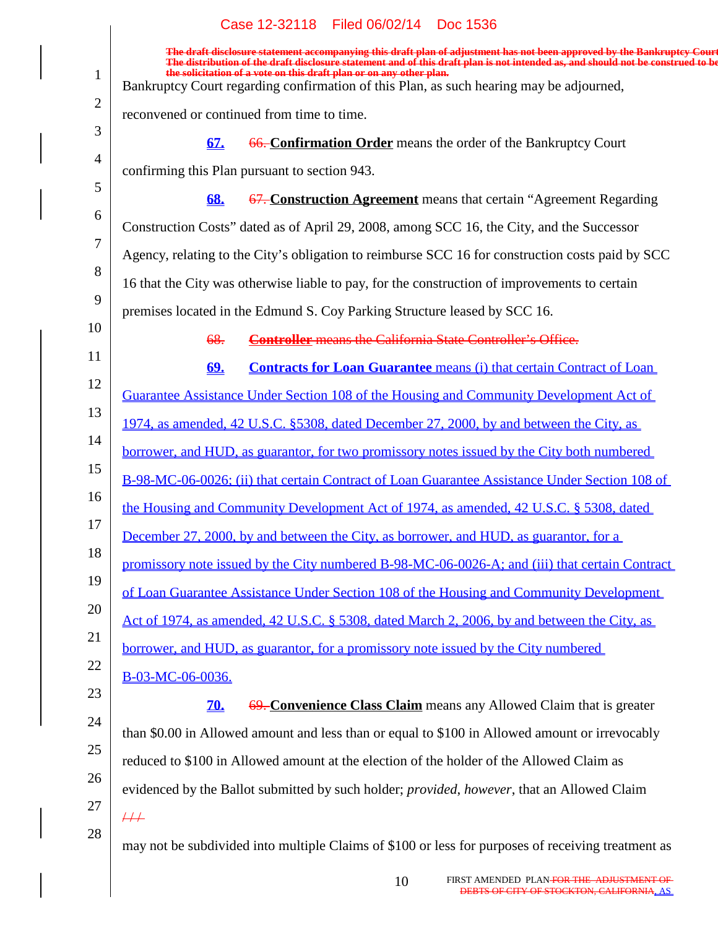|                | Case 12-32118 Filed 06/02/14 Doc 1536                                                                                                                                                                                                                      |
|----------------|------------------------------------------------------------------------------------------------------------------------------------------------------------------------------------------------------------------------------------------------------------|
|                | The draft disclosure statement accompanying this draft plan of adjustment has not been approved by the Bankruptcy Court<br>The distribution of the draft disclosure statement and of this draft plan is not intended as, and should not be construed to be |
| $\mathbf{1}$   | the solicitation of a vote on this draft plan or on any other plan.<br>Bankruptcy Court regarding confirmation of this Plan, as such hearing may be adjourned,                                                                                             |
| $\overline{2}$ | reconvened or continued from time to time.                                                                                                                                                                                                                 |
| 3              | 66. Confirmation Order means the order of the Bankruptcy Court<br>67.                                                                                                                                                                                      |
| $\overline{4}$ | confirming this Plan pursuant to section 943.                                                                                                                                                                                                              |
| 5              | 67. Construction Agreement means that certain "Agreement Regarding"<br>68.                                                                                                                                                                                 |
| 6              | Construction Costs" dated as of April 29, 2008, among SCC 16, the City, and the Successor                                                                                                                                                                  |
| 7              | Agency, relating to the City's obligation to reimburse SCC 16 for construction costs paid by SCC                                                                                                                                                           |
| 8              | 16 that the City was otherwise liable to pay, for the construction of improvements to certain                                                                                                                                                              |
| 9              | premises located in the Edmund S. Coy Parking Structure leased by SCC 16.                                                                                                                                                                                  |
| 10             | <b>Controller</b> means the California State Controller's Office.<br>68.                                                                                                                                                                                   |
| 11             | <b>Contracts for Loan Guarantee means (i) that certain Contract of Loan</b><br><u>69.</u>                                                                                                                                                                  |
| 12             | Guarantee Assistance Under Section 108 of the Housing and Community Development Act of                                                                                                                                                                     |
| 13             | 1974, as amended, 42 U.S.C. §5308, dated December 27, 2000, by and between the City, as                                                                                                                                                                    |
| 14             | borrower, and HUD, as guarantor, for two promissory notes issued by the City both numbered                                                                                                                                                                 |
| 15             | B-98-MC-06-0026; (ii) that certain Contract of Loan Guarantee Assistance Under Section 108 of                                                                                                                                                              |
| 16             | the Housing and Community Development Act of 1974, as amended, 42 U.S.C. § 5308, dated                                                                                                                                                                     |
| 17             | December 27, 2000, by and between the City, as borrower, and HUD, as guarantor, for a                                                                                                                                                                      |
| 18             | promissory note issued by the City numbered B-98-MC-06-0026-A; and (iii) that certain Contract                                                                                                                                                             |
| 19             | of Loan Guarantee Assistance Under Section 108 of the Housing and Community Development                                                                                                                                                                    |
| 20             | Act of 1974, as amended, 42 U.S.C. § 5308, dated March 2, 2006, by and between the City, as                                                                                                                                                                |
| 21<br>22       | borrower, and HUD, as guarantor, for a promissory note issued by the City numbered                                                                                                                                                                         |
| 23             | B-03-MC-06-0036.                                                                                                                                                                                                                                           |
| 24             | 69. Convenience Class Claim means any Allowed Claim that is greater<br><b>70.</b>                                                                                                                                                                          |
| 25             | than \$0.00 in Allowed amount and less than or equal to \$100 in Allowed amount or irrevocably                                                                                                                                                             |
| 26             | reduced to \$100 in Allowed amount at the election of the holder of the Allowed Claim as                                                                                                                                                                   |
| 27             | evidenced by the Ballot submitted by such holder; provided, however, that an Allowed Claim                                                                                                                                                                 |
| 28             | $\overline{++}$                                                                                                                                                                                                                                            |
|                | may not be subdivided into multiple Claims of \$100 or less for purposes of receiving treatment as                                                                                                                                                         |
|                |                                                                                                                                                                                                                                                            |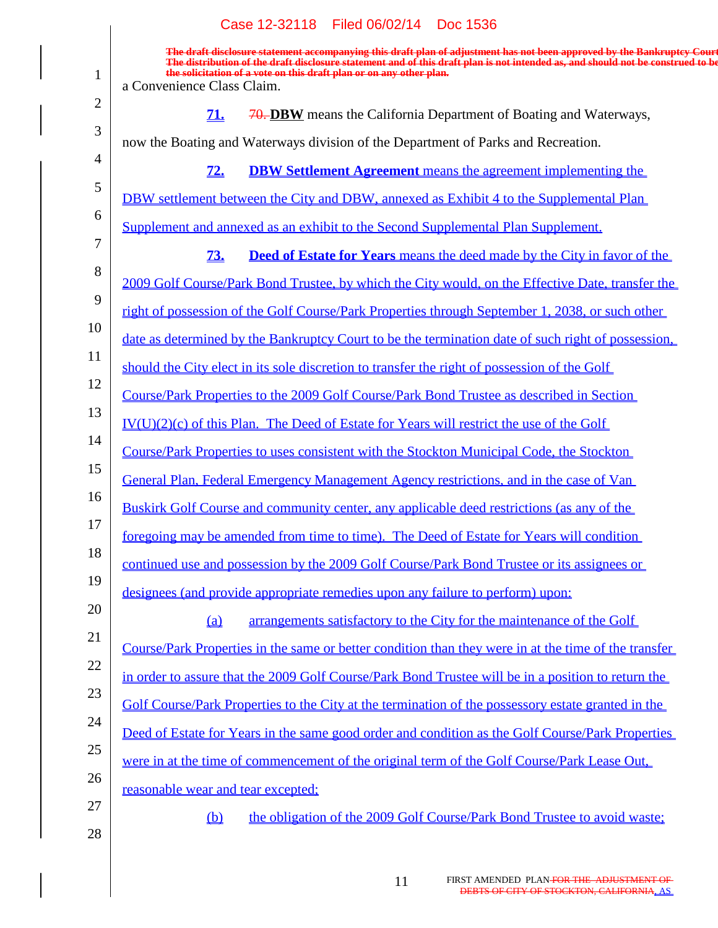|                | Case 12-32118 Filed 06/02/14 Doc 1536                                                                                                                                                                                                                                                                                                                           |
|----------------|-----------------------------------------------------------------------------------------------------------------------------------------------------------------------------------------------------------------------------------------------------------------------------------------------------------------------------------------------------------------|
| 1              | The draft disclosure statement accompanying this draft plan of adjustment has not been approved by the Bankruptcy Court<br>The distribution of the draft disclosure statement and of this draft plan is not intended as, and should not be construed to be<br>the solicitation of a vote on this draft plan or on any other plan.<br>a Convenience Class Claim. |
| $\overline{2}$ | 70. DBW means the California Department of Boating and Waterways,<br><u>71.</u>                                                                                                                                                                                                                                                                                 |
| 3              | now the Boating and Waterways division of the Department of Parks and Recreation.                                                                                                                                                                                                                                                                               |
| $\overline{4}$ | 72.<br><b>DBW Settlement Agreement</b> means the agreement implementing the                                                                                                                                                                                                                                                                                     |
| 5              | DBW settlement between the City and DBW, annexed as Exhibit 4 to the Supplemental Plan                                                                                                                                                                                                                                                                          |
| 6              |                                                                                                                                                                                                                                                                                                                                                                 |
| 7              | Supplement and annexed as an exhibit to the Second Supplemental Plan Supplement.                                                                                                                                                                                                                                                                                |
| 8              | 73.<br><b>Deed of Estate for Years</b> means the deed made by the City in favor of the                                                                                                                                                                                                                                                                          |
| 9              | 2009 Golf Course/Park Bond Trustee, by which the City would, on the Effective Date, transfer the                                                                                                                                                                                                                                                                |
| 10             | right of possession of the Golf Course/Park Properties through September 1, 2038, or such other                                                                                                                                                                                                                                                                 |
| 11             | date as determined by the Bankruptcy Court to be the termination date of such right of possession.                                                                                                                                                                                                                                                              |
| 12             | should the City elect in its sole discretion to transfer the right of possession of the Golf                                                                                                                                                                                                                                                                    |
|                | Course/Park Properties to the 2009 Golf Course/Park Bond Trustee as described in Section                                                                                                                                                                                                                                                                        |
| 13             | $IV(U)(2)(c)$ of this Plan. The Deed of Estate for Years will restrict the use of the Golf                                                                                                                                                                                                                                                                      |
| 14             | Course/Park Properties to uses consistent with the Stockton Municipal Code, the Stockton                                                                                                                                                                                                                                                                        |
| 15             | General Plan, Federal Emergency Management Agency restrictions, and in the case of Van                                                                                                                                                                                                                                                                          |
| 16             | Buskirk Golf Course and community center, any applicable deed restrictions (as any of the                                                                                                                                                                                                                                                                       |
| 17             | foregoing may be amended from time to time). The Deed of Estate for Years will condition                                                                                                                                                                                                                                                                        |
| 18             | continued use and possession by the 2009 Golf Course/Park Bond Trustee or its assignees or                                                                                                                                                                                                                                                                      |
| 19             | designees (and provide appropriate remedies upon any failure to perform) upon:                                                                                                                                                                                                                                                                                  |
| 20             | arrangements satisfactory to the City for the maintenance of the Golf<br>(a)                                                                                                                                                                                                                                                                                    |
| 21             | Course/Park Properties in the same or better condition than they were in at the time of the transfer                                                                                                                                                                                                                                                            |
| 22             | in order to assure that the 2009 Golf Course/Park Bond Trustee will be in a position to return the                                                                                                                                                                                                                                                              |
| 23             | Golf Course/Park Properties to the City at the termination of the possessory estate granted in the                                                                                                                                                                                                                                                              |
| 24             | Deed of Estate for Years in the same good order and condition as the Golf Course/Park Properties                                                                                                                                                                                                                                                                |
| 25             | were in at the time of commencement of the original term of the Golf Course/Park Lease Out,                                                                                                                                                                                                                                                                     |
| 26             | reasonable wear and tear excepted;                                                                                                                                                                                                                                                                                                                              |
| 27             |                                                                                                                                                                                                                                                                                                                                                                 |
| 28             | the obligation of the 2009 Golf Course/Park Bond Trustee to avoid waste;<br>$\underline{\mathbf{b}}$                                                                                                                                                                                                                                                            |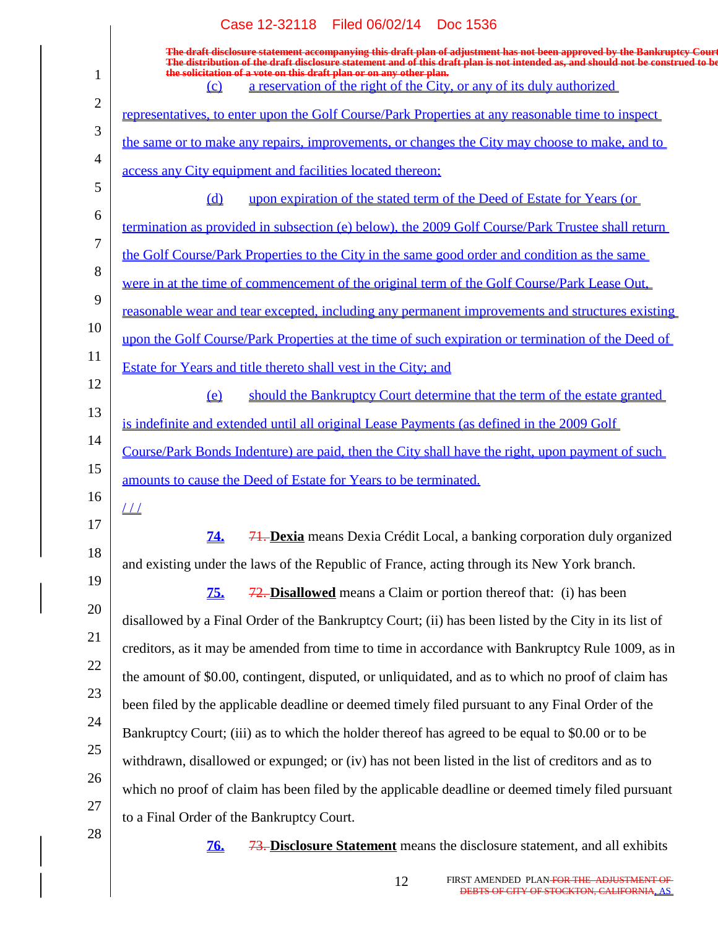|                | Case 12-32118 Filed 06/02/14 Doc 1536                                                                                                                                                                                                                      |
|----------------|------------------------------------------------------------------------------------------------------------------------------------------------------------------------------------------------------------------------------------------------------------|
|                | The draft disclosure statement accompanying this draft plan of adjustment has not been approved by the Bankruptcy Court<br>The distribution of the draft disclosure statement and of this draft plan is not intended as, and should not be construed to be |
| $\mathbf 1$    | the solicitation of a vote on this draft plan or on any other plan.<br>a reservation of the right of the City, or any of its duly authorized<br>$\Omega$                                                                                                   |
| $\overline{2}$ | representatives, to enter upon the Golf Course/Park Properties at any reasonable time to inspect                                                                                                                                                           |
| 3              | the same or to make any repairs, improvements, or changes the City may choose to make, and to                                                                                                                                                              |
| 4              | access any City equipment and facilities located thereon;                                                                                                                                                                                                  |
| 5              | upon expiration of the stated term of the Deed of Estate for Years (or<br>$\Omega$                                                                                                                                                                         |
| 6              | termination as provided in subsection (e) below), the 2009 Golf Course/Park Trustee shall return                                                                                                                                                           |
| 7              | the Golf Course/Park Properties to the City in the same good order and condition as the same                                                                                                                                                               |
| 8              | were in at the time of commencement of the original term of the Golf Course/Park Lease Out,                                                                                                                                                                |
| 9              | <u>reasonable wear and tear excepted, including any permanent improvements and structures existing</u>                                                                                                                                                     |
| 10             | upon the Golf Course/Park Properties at the time of such expiration or termination of the Deed of                                                                                                                                                          |
| 11             | Estate for Years and title thereto shall vest in the City; and                                                                                                                                                                                             |
| 12             | should the Bankruptcy Court determine that the term of the estate granted<br>$\Omega$                                                                                                                                                                      |
| 13             | is indefinite and extended until all original Lease Payments (as defined in the 2009 Golf                                                                                                                                                                  |
| 14             | Course/Park Bonds Indenture) are paid, then the City shall have the right, upon payment of such                                                                                                                                                            |
| 15             | amounts to cause the Deed of Estate for Years to be terminated.                                                                                                                                                                                            |
| 16             | $\sqrt{11}$                                                                                                                                                                                                                                                |
| 17             | 71. Dexia means Dexia Crédit Local, a banking corporation duly organized<br><u>74.</u>                                                                                                                                                                     |
| 18             | and existing under the laws of the Republic of France, acting through its New York branch.                                                                                                                                                                 |
| 19             | <b>75.</b><br>$\frac{72}{72}$ . Disallowed means a Claim or portion thereof that: (i) has been                                                                                                                                                             |
| 20             | disallowed by a Final Order of the Bankruptcy Court; (ii) has been listed by the City in its list of                                                                                                                                                       |
| 21             | creditors, as it may be amended from time to time in accordance with Bankruptcy Rule 1009, as in                                                                                                                                                           |
| 22             | the amount of \$0.00, contingent, disputed, or unliquidated, and as to which no proof of claim has                                                                                                                                                         |
| 23             | been filed by the applicable deadline or deemed timely filed pursuant to any Final Order of the                                                                                                                                                            |
| 24             | Bankruptcy Court; (iii) as to which the holder thereof has agreed to be equal to \$0.00 or to be                                                                                                                                                           |
| 25             | withdrawn, disallowed or expunged; or (iv) has not been listed in the list of creditors and as to                                                                                                                                                          |
| 26             | which no proof of claim has been filed by the applicable deadline or deemed timely filed pursuant                                                                                                                                                          |
| 27             | to a Final Order of the Bankruptcy Court.                                                                                                                                                                                                                  |
| 28             | 73. Disclosure Statement means the disclosure statement, and all exhibits<br><u>76.</u>                                                                                                                                                                    |
|                |                                                                                                                                                                                                                                                            |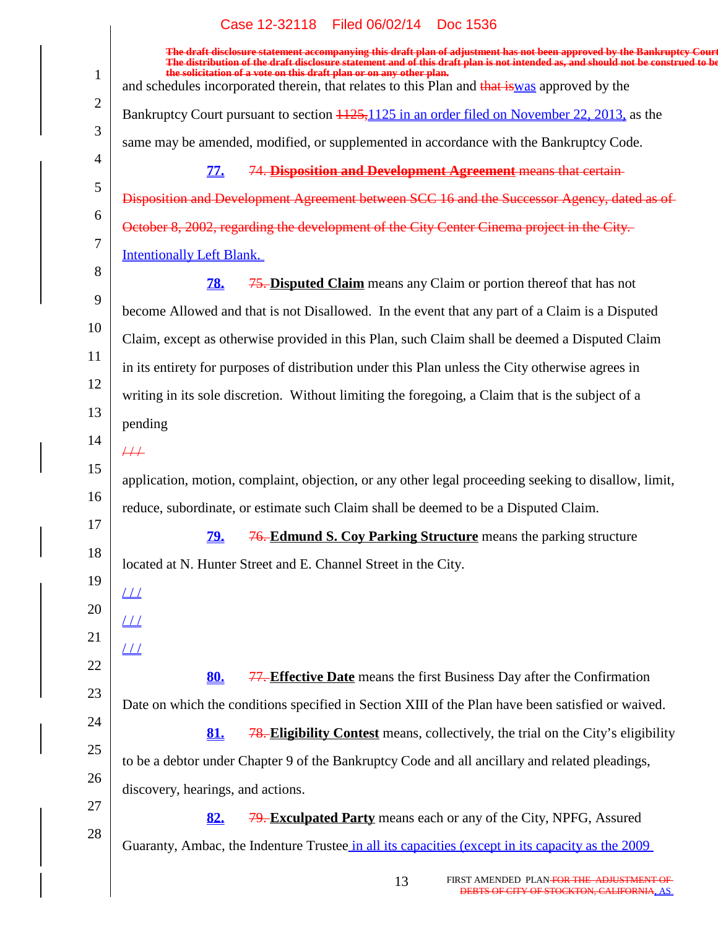$\overline{\phantom{a}}$ 

|                | The draft disclosure statement accompanying this draft plan of adjustment has not been approved by the Bankruptcy Court<br>The distribution of the draft disclosure statement and of this draft plan is not intended as, and should not be construed to be |
|----------------|------------------------------------------------------------------------------------------------------------------------------------------------------------------------------------------------------------------------------------------------------------|
| 1              | the solicitation of a vote on this draft plan or on any other plan.<br>and schedules incorporated therein, that relates to this Plan and that is was approved by the                                                                                       |
| $\overline{2}$ | Bankruptcy Court pursuant to section 1125, 1125 in an order filed on November 22, 2013, as the                                                                                                                                                             |
| 3              | same may be amended, modified, or supplemented in accordance with the Bankruptcy Code.                                                                                                                                                                     |
| $\overline{4}$ |                                                                                                                                                                                                                                                            |
| 5              | 74. Disposition and Development Agreement means that certain-<br><u>77.</u>                                                                                                                                                                                |
| 6              | Disposition and Development Agreement between SCC 16 and the Successor Agency, dated as of                                                                                                                                                                 |
| 7              | October 8, 2002, regarding the development of the City Center Cinema project in the City.                                                                                                                                                                  |
| 8              | <b>Intentionally Left Blank.</b>                                                                                                                                                                                                                           |
| 9              | <b>75. Disputed Claim</b> means any Claim or portion thereof that has not<br>78.                                                                                                                                                                           |
| 10             | become Allowed and that is not Disallowed. In the event that any part of a Claim is a Disputed                                                                                                                                                             |
|                | Claim, except as otherwise provided in this Plan, such Claim shall be deemed a Disputed Claim                                                                                                                                                              |
| 11             | in its entirety for purposes of distribution under this Plan unless the City otherwise agrees in                                                                                                                                                           |
| 12             | writing in its sole discretion. Without limiting the foregoing, a Claim that is the subject of a                                                                                                                                                           |
| 13             | pending                                                                                                                                                                                                                                                    |
| 14             | $\frac{1}{1}$                                                                                                                                                                                                                                              |
| 15             | application, motion, complaint, objection, or any other legal proceeding seeking to disallow, limit,                                                                                                                                                       |
| 16             | reduce, subordinate, or estimate such Claim shall be deemed to be a Disputed Claim.                                                                                                                                                                        |
| 17             | <b>76. Edmund S. Coy Parking Structure</b> means the parking structure<br><u>79.</u>                                                                                                                                                                       |
| 18             | located at N. Hunter Street and E. Channel Street in the City.                                                                                                                                                                                             |
| 19             | $\perp\!\!\!\perp$                                                                                                                                                                                                                                         |
| 20             | $\perp\perp$                                                                                                                                                                                                                                               |
| 21             | $\angle \angle \angle$                                                                                                                                                                                                                                     |
| 22             | 77. Effective Date means the first Business Day after the Confirmation<br>80.                                                                                                                                                                              |
| 23             | Date on which the conditions specified in Section XIII of the Plan have been satisfied or waived.                                                                                                                                                          |
| 24             | <b>78. Eligibility Contest</b> means, collectively, the trial on the City's eligibility<br>81.                                                                                                                                                             |
| 25             |                                                                                                                                                                                                                                                            |
| 26             | to be a debtor under Chapter 9 of the Bankruptcy Code and all ancillary and related pleadings,                                                                                                                                                             |
| 27             | discovery, hearings, and actions.                                                                                                                                                                                                                          |
| 28             | <b>79. Exculpated Party</b> means each or any of the City, NPFG, Assured<br>82.                                                                                                                                                                            |
|                | Guaranty, Ambac, the Indenture Trustee in all its capacities (except in its capacity as the 2009                                                                                                                                                           |
|                |                                                                                                                                                                                                                                                            |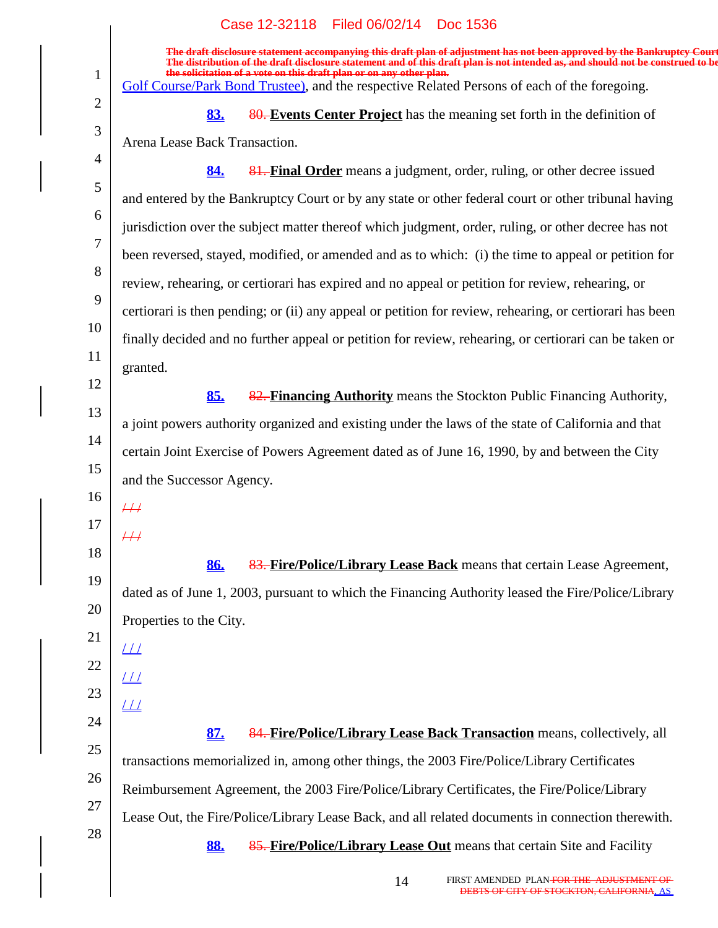|                | Case 12-32118 Filed 06/02/14 Doc 1536                                                                                                                                                                                                                      |
|----------------|------------------------------------------------------------------------------------------------------------------------------------------------------------------------------------------------------------------------------------------------------------|
|                | The draft disclosure statement accompanying this draft plan of adjustment has not been approved by the Bankruptcy Court<br>The distribution of the draft disclosure statement and of this draft plan is not intended as, and should not be construed to be |
| $\mathbf{1}$   | the solicitation of a vote on this draft plan or on any other plan.<br>Golf Course/Park Bond Trustee), and the respective Related Persons of each of the foregoing.                                                                                        |
| $\overline{2}$ | 80. Events Center Project has the meaning set forth in the definition of<br>83.                                                                                                                                                                            |
| $\mathfrak{Z}$ | Arena Lease Back Transaction.                                                                                                                                                                                                                              |
| $\overline{4}$ | 81. Final Order means a judgment, order, ruling, or other decree issued<br>84.                                                                                                                                                                             |
| 5              | and entered by the Bankruptcy Court or by any state or other federal court or other tribunal having                                                                                                                                                        |
| 6              |                                                                                                                                                                                                                                                            |
| 7              | jurisdiction over the subject matter thereof which judgment, order, ruling, or other decree has not                                                                                                                                                        |
| 8              | been reversed, stayed, modified, or amended and as to which: (i) the time to appeal or petition for                                                                                                                                                        |
| 9              | review, rehearing, or certiorari has expired and no appeal or petition for review, rehearing, or                                                                                                                                                           |
| 10             | certiorari is then pending; or (ii) any appeal or petition for review, rehearing, or certiorari has been                                                                                                                                                   |
| 11             | finally decided and no further appeal or petition for review, rehearing, or certiorari can be taken or                                                                                                                                                     |
| 12             | granted.                                                                                                                                                                                                                                                   |
| 13             | 85.<br>82. Financing Authority means the Stockton Public Financing Authority,                                                                                                                                                                              |
|                | a joint powers authority organized and existing under the laws of the state of California and that                                                                                                                                                         |
| 14             | certain Joint Exercise of Powers Agreement dated as of June 16, 1990, by and between the City                                                                                                                                                              |
| 15             | and the Successor Agency.                                                                                                                                                                                                                                  |
| 16             | $\overline{++}$                                                                                                                                                                                                                                            |
| 17             | $\#$                                                                                                                                                                                                                                                       |
| 18             | 83. Fire/Police/Library Lease Back means that certain Lease Agreement,<br>86.                                                                                                                                                                              |
| 19             | dated as of June 1, 2003, pursuant to which the Financing Authority leased the Fire/Police/Library                                                                                                                                                         |
| 20             | Properties to the City.                                                                                                                                                                                                                                    |
| 21             | $\perp\!\!\!\perp$                                                                                                                                                                                                                                         |
| 22             | $\perp\!\!\!\perp$                                                                                                                                                                                                                                         |
| 23             |                                                                                                                                                                                                                                                            |
| 24             | $\perp\!\!\!\perp$                                                                                                                                                                                                                                         |
| 25             | 84. Fire/Police/Library Lease Back Transaction means, collectively, all<br>87.                                                                                                                                                                             |
| 26             | transactions memorialized in, among other things, the 2003 Fire/Police/Library Certificates                                                                                                                                                                |
| 27             | Reimbursement Agreement, the 2003 Fire/Police/Library Certificates, the Fire/Police/Library                                                                                                                                                                |
| 28             | Lease Out, the Fire/Police/Library Lease Back, and all related documents in connection therewith.                                                                                                                                                          |
|                | 85. Fire/Police/Library Lease Out means that certain Site and Facility<br>88.                                                                                                                                                                              |
|                |                                                                                                                                                                                                                                                            |

 $\overline{\phantom{a}}$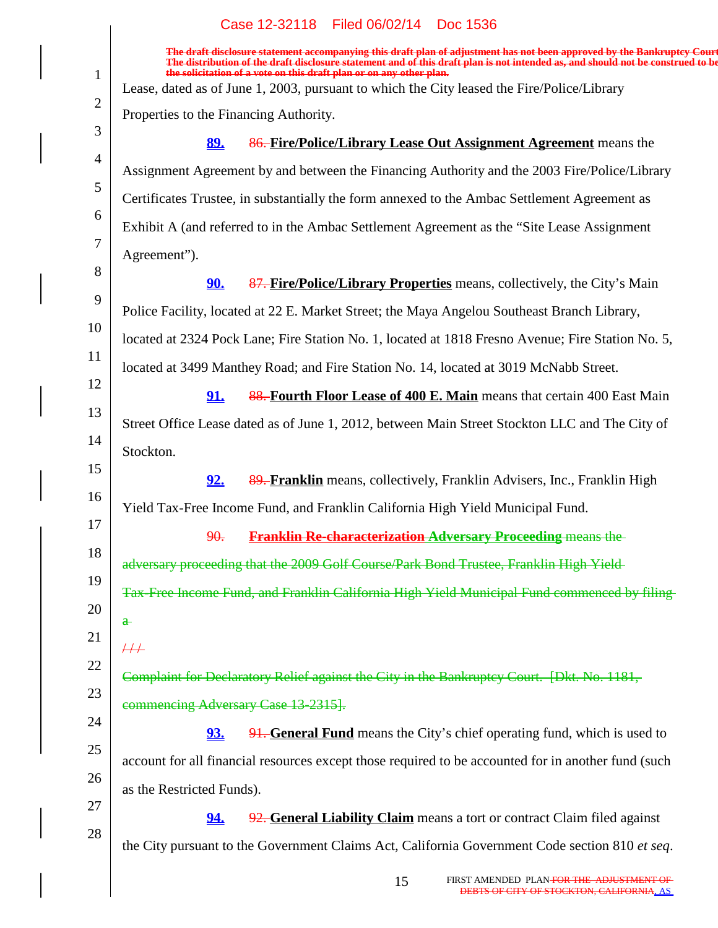|                | Filed 06/02/14 Doc 1536<br>Case 12-32118                                                                                                                                                                                                                                                                                          |
|----------------|-----------------------------------------------------------------------------------------------------------------------------------------------------------------------------------------------------------------------------------------------------------------------------------------------------------------------------------|
|                | The draft disclosure statement accompanying this draft plan of adjustment has not been approved by the Bankruptcy Court<br>The distribution of the draft disclosure statement and of this draft plan is not intended as, and should not be construed to be<br>the solicitation of a vote on this draft plan or on any other plan. |
| $\mathbf{1}$   | Lease, dated as of June 1, 2003, pursuant to which the City leased the Fire/Police/Library                                                                                                                                                                                                                                        |
| $\overline{2}$ | Properties to the Financing Authority.                                                                                                                                                                                                                                                                                            |
| 3              | 86. Fire/Police/Library Lease Out Assignment Agreement means the<br><u>89.</u>                                                                                                                                                                                                                                                    |
| $\overline{4}$ | Assignment Agreement by and between the Financing Authority and the 2003 Fire/Police/Library                                                                                                                                                                                                                                      |
| 5              | Certificates Trustee, in substantially the form annexed to the Ambac Settlement Agreement as                                                                                                                                                                                                                                      |
| 6              | Exhibit A (and referred to in the Ambac Settlement Agreement as the "Site Lease Assignment"                                                                                                                                                                                                                                       |
| 7              | Agreement").                                                                                                                                                                                                                                                                                                                      |
| 8              | 87. Fire/Police/Library Properties means, collectively, the City's Main<br><u>90.</u>                                                                                                                                                                                                                                             |
| 9              | Police Facility, located at 22 E. Market Street; the Maya Angelou Southeast Branch Library,                                                                                                                                                                                                                                       |
| 10             | located at 2324 Pock Lane; Fire Station No. 1, located at 1818 Fresno Avenue; Fire Station No. 5,                                                                                                                                                                                                                                 |
| 11             | located at 3499 Manthey Road; and Fire Station No. 14, located at 3019 McNabb Street.                                                                                                                                                                                                                                             |
| 12             | 88. Fourth Floor Lease of 400 E. Main means that certain 400 East Main<br><u>91.</u>                                                                                                                                                                                                                                              |
| 13             | Street Office Lease dated as of June 1, 2012, between Main Street Stockton LLC and The City of                                                                                                                                                                                                                                    |
| 14             | Stockton.                                                                                                                                                                                                                                                                                                                         |
| 15             | 89. Franklin means, collectively, Franklin Advisers, Inc., Franklin High<br><u>92.</u>                                                                                                                                                                                                                                            |
| 16             | Yield Tax-Free Income Fund, and Franklin California High Yield Municipal Fund.                                                                                                                                                                                                                                                    |
| 17             | <b>Franklin Re-characterization Adversary Proceeding means the-</b><br>90.                                                                                                                                                                                                                                                        |
| 18             | adversary proceeding that the 2009 Golf Course/Park Bond Trustee, Franklin High Yield-                                                                                                                                                                                                                                            |
| 19             | Tax-Free Income Fund, and Franklin California High Yield Municipal Fund commenced by filing-                                                                                                                                                                                                                                      |
| 20             | $\mathbf{a}$                                                                                                                                                                                                                                                                                                                      |
| 21             | $\#$                                                                                                                                                                                                                                                                                                                              |
| 22             | Complaint for Declaratory Relief against the City in the Bankruptcy Court. [Dkt. No. 1181,                                                                                                                                                                                                                                        |
| 23             |                                                                                                                                                                                                                                                                                                                                   |
| 24             | commencing Adversary Case 13-2315].                                                                                                                                                                                                                                                                                               |
| 25             | <b>91. General Fund</b> means the City's chief operating fund, which is used to<br>93.                                                                                                                                                                                                                                            |
| 26             | account for all financial resources except those required to be accounted for in another fund (such                                                                                                                                                                                                                               |
| 27             | as the Restricted Funds).                                                                                                                                                                                                                                                                                                         |
| 28             | 92. General Liability Claim means a tort or contract Claim filed against<br><u>94.</u>                                                                                                                                                                                                                                            |
|                | the City pursuant to the Government Claims Act, California Government Code section 810 et seq.                                                                                                                                                                                                                                    |
|                |                                                                                                                                                                                                                                                                                                                                   |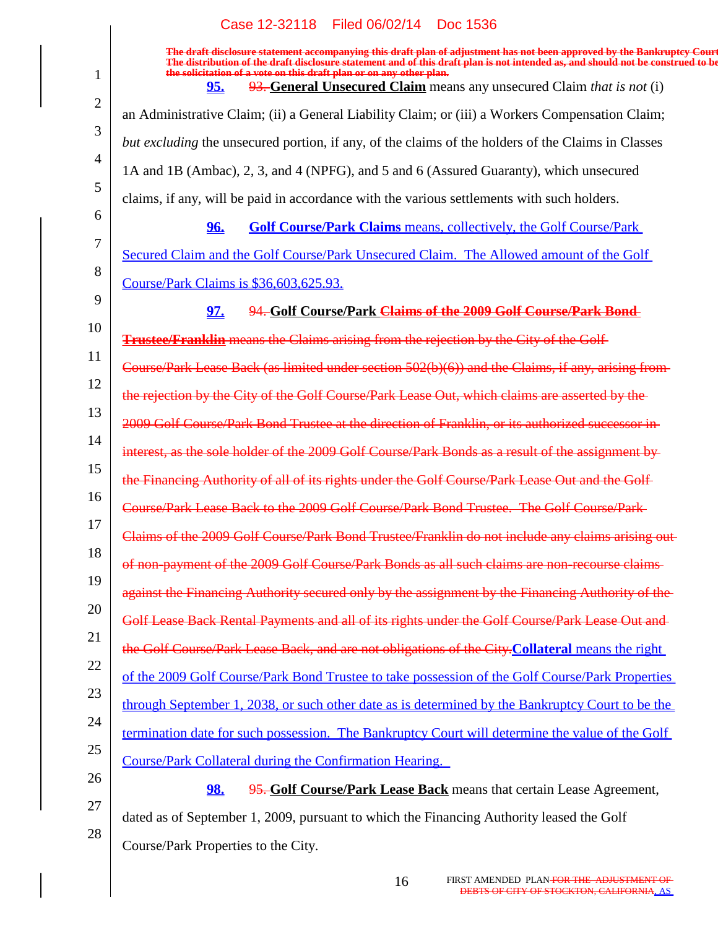1 2 3 4 5 6 7 8 9 10 11 12 13 14 15 16 17 18 19 20 21 22 23 24 25 26 27 28 **The draft disclosure statement accompanying this draft plan of adjustment has not been approved by the Bankruptcy Court. The distribution of the draft disclosure statement and of this draft plan is not intended as, and should not be construed to be, the solicitation of a vote on this draft plan or on any other plan. 95.** 93. **General Unsecured Claim** means any unsecured Claim *that is not* (i) an Administrative Claim; (ii) a General Liability Claim; or (iii) a Workers Compensation Claim; *but excluding* the unsecured portion, if any, of the claims of the holders of the Claims in Classes 1A and 1B (Ambac), 2, 3, and 4 (NPFG), and 5 and 6 (Assured Guaranty), which unsecured claims, if any, will be paid in accordance with the various settlements with such holders. **96. Golf Course/Park Claims** means, collectively, the Golf Course/Park Secured Claim and the Golf Course/Park Unsecured Claim. The Allowed amount of the Golf Course/Park Claims is \$36,603,625.93. **97.** 94. **Golf Course/Park Claims of the 2009 Golf Course/Park Bond Trustee/Franklin** means the Claims arising from the rejection by the City of the Golf Course/Park Lease Back (as limited under section 502(b)(6)) and the Claims, if any, arising from the rejection by the City of the Golf Course/Park Lease Out, which claims are asserted by the 2009 Golf Course/Park Bond Trustee at the direction of Franklin, or its authorized successor in interest, as the sole holder of the 2009 Golf Course/Park Bonds as a result of the assignment by the Financing Authority of all of its rights under the Golf Course/Park Lease Out and the Golf Course/Park Lease Back to the 2009 Golf Course/Park Bond Trustee. The Golf Course/Park Claims of the 2009 Golf Course/Park Bond Trustee/Franklin do not include any claims arising out of non-payment of the 2009 Golf Course/Park Bonds as all such claims are non-recourse claims against the Financing Authority secured only by the assignment by the Financing Authority of the Golf Lease Back Rental Payments and all of its rights under the Golf Course/Park Lease Out and the Golf Course/Park Lease Back, and are not obligations of the City.**Collateral** means the right of the 2009 Golf Course/Park Bond Trustee to take possession of the Golf Course/Park Properties through September 1, 2038, or such other date as is determined by the Bankruptcy Court to be the termination date for such possession. The Bankruptcy Court will determine the value of the Golf Course/Park Collateral during the Confirmation Hearing. **98.** 95. **Golf Course/Park Lease Back** means that certain Lease Agreement, dated as of September 1, 2009, pursuant to which the Financing Authority leased the Golf Course/Park Properties to the City.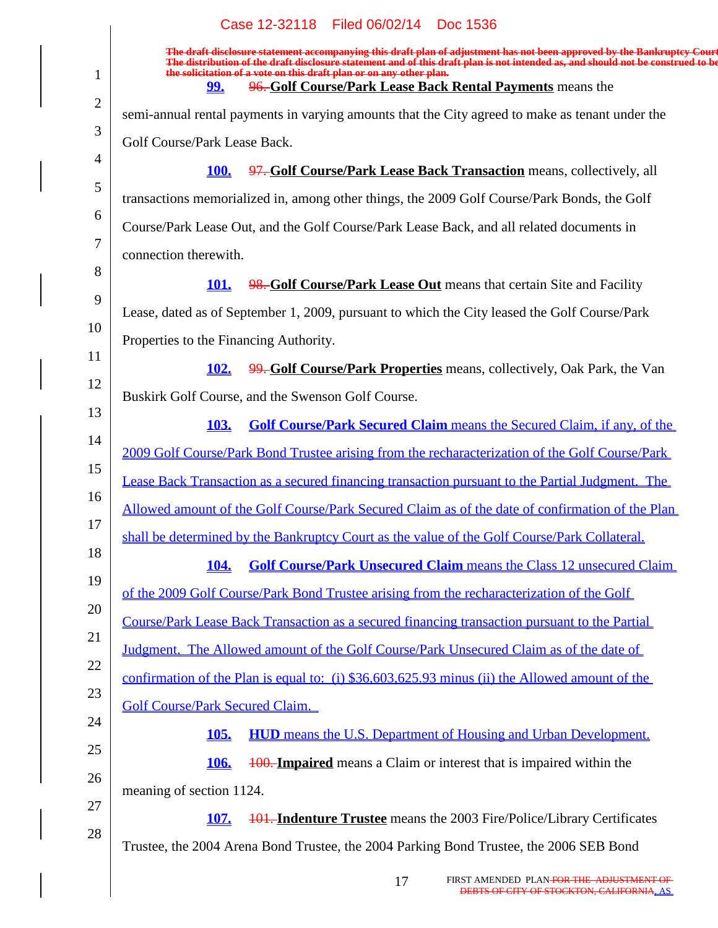|                | Case 12-32118 Filed 06/02/14 Doc 1536                                                                                                                                                                                                                      |
|----------------|------------------------------------------------------------------------------------------------------------------------------------------------------------------------------------------------------------------------------------------------------------|
|                | The draft disclosure statement accompanying this draft plan of adjustment has not been approved by the Bankruptcy Court<br>The distribution of the draft disclosure statement and of this draft plan is not intended as, and should not be construed to be |
| $\mathbf{1}$   | the solicitation of a vote on this draft plan or on any other plan.<br>96. Golf Course/Park Lease Back Rental Payments means the<br><u>99.</u>                                                                                                             |
| $\overline{2}$ | semi-annual rental payments in varying amounts that the City agreed to make as tenant under the                                                                                                                                                            |
| 3              | Golf Course/Park Lease Back.                                                                                                                                                                                                                               |
| $\overline{4}$ | 97. Golf Course/Park Lease Back Transaction means, collectively, all<br><b>100.</b>                                                                                                                                                                        |
| 5              | transactions memorialized in, among other things, the 2009 Golf Course/Park Bonds, the Golf                                                                                                                                                                |
| 6              | Course/Park Lease Out, and the Golf Course/Park Lease Back, and all related documents in                                                                                                                                                                   |
| 7              | connection therewith.                                                                                                                                                                                                                                      |
| 8              | 98. Golf Course/Park Lease Out means that certain Site and Facility<br><b>101.</b>                                                                                                                                                                         |
| 9              | Lease, dated as of September 1, 2009, pursuant to which the City leased the Golf Course/Park                                                                                                                                                               |
| 10             | Properties to the Financing Authority.                                                                                                                                                                                                                     |
| 11             | 99. Golf Course/Park Properties means, collectively, Oak Park, the Van<br><b>102.</b>                                                                                                                                                                      |
| 12             | Buskirk Golf Course, and the Swenson Golf Course.                                                                                                                                                                                                          |
| 13             | <b>Golf Course/Park Secured Claim</b> means the Secured Claim, if any, of the<br><b>103.</b>                                                                                                                                                               |
| 14             | 2009 Golf Course/Park Bond Trustee arising from the recharacterization of the Golf Course/Park                                                                                                                                                             |
| 15             | Lease Back Transaction as a secured financing transaction pursuant to the Partial Judgment. The                                                                                                                                                            |
| 16             | Allowed amount of the Golf Course/Park Secured Claim as of the date of confirmation of the Plan                                                                                                                                                            |
| 17             | shall be determined by the Bankruptcy Court as the value of the Golf Course/Park Collateral.                                                                                                                                                               |
| 18             | <b>Golf Course/Park Unsecured Claim means the Class 12 unsecured Claim</b><br><b>104.</b>                                                                                                                                                                  |
| 19             | of the 2009 Golf Course/Park Bond Trustee arising from the recharacterization of the Golf                                                                                                                                                                  |
| 20             | Course/Park Lease Back Transaction as a secured financing transaction pursuant to the Partial                                                                                                                                                              |
| 21             | Judgment. The Allowed amount of the Golf Course/Park Unsecured Claim as of the date of                                                                                                                                                                     |
| 22             | confirmation of the Plan is equal to: (i) \$36,603,625.93 minus (ii) the Allowed amount of the                                                                                                                                                             |
| 23             | <b>Golf Course/Park Secured Claim.</b>                                                                                                                                                                                                                     |
| 24             | 105.<br><b>HUD</b> means the U.S. Department of Housing and Urban Development.                                                                                                                                                                             |
| 25             | 106.<br><b>100. Impaired</b> means a Claim or interest that is impaired within the                                                                                                                                                                         |
| 26             | meaning of section 1124.                                                                                                                                                                                                                                   |
| 27             | 107.<br><b>101. Indenture Trustee</b> means the 2003 Fire/Police/Library Certificates                                                                                                                                                                      |
| 28             | Trustee, the 2004 Arena Bond Trustee, the 2004 Parking Bond Trustee, the 2006 SEB Bond                                                                                                                                                                     |
|                |                                                                                                                                                                                                                                                            |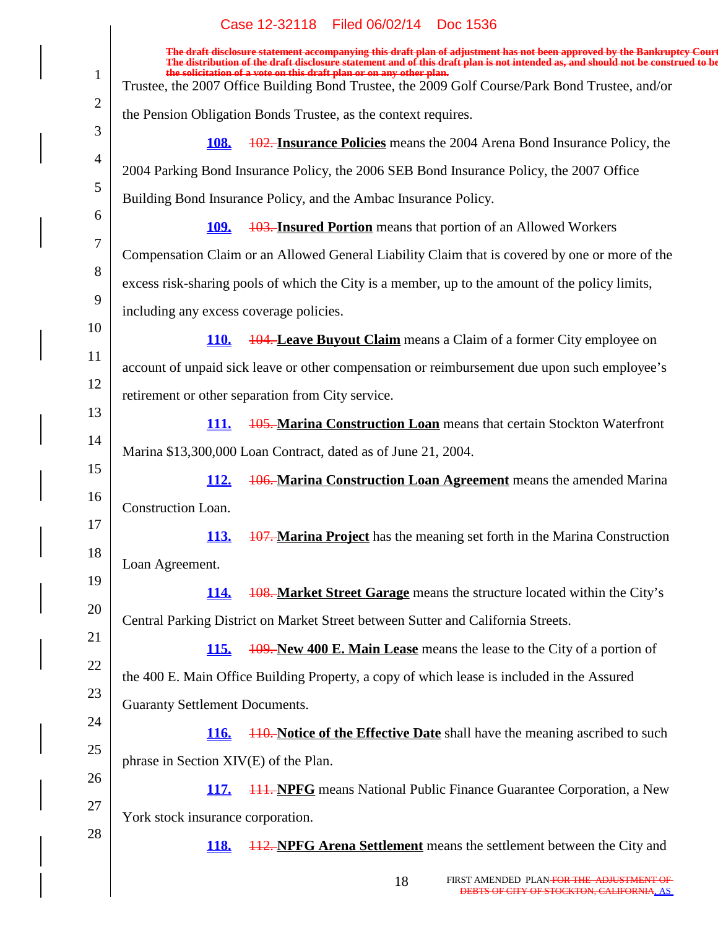|                | Case 12-32118 Filed 06/02/14 Doc 1536                                                                                                                                                                                                                      |
|----------------|------------------------------------------------------------------------------------------------------------------------------------------------------------------------------------------------------------------------------------------------------------|
|                | The draft disclosure statement accompanying this draft plan of adjustment has not been approved by the Bankruptcy Court<br>The distribution of the draft disclosure statement and of this draft plan is not intended as, and should not be construed to be |
| $\mathbf{1}$   | the solicitation of a vote on this draft plan or on any other plan.<br>Trustee, the 2007 Office Building Bond Trustee, the 2009 Golf Course/Park Bond Trustee, and/or                                                                                      |
| $\overline{2}$ | the Pension Obligation Bonds Trustee, as the context requires.                                                                                                                                                                                             |
| 3              | 102. Insurance Policies means the 2004 Arena Bond Insurance Policy, the<br><b>108.</b>                                                                                                                                                                     |
| $\overline{4}$ | 2004 Parking Bond Insurance Policy, the 2006 SEB Bond Insurance Policy, the 2007 Office                                                                                                                                                                    |
| 5              | Building Bond Insurance Policy, and the Ambac Insurance Policy.                                                                                                                                                                                            |
| 6              | <b>103. Insured Portion</b> means that portion of an Allowed Workers<br><u>109.</u>                                                                                                                                                                        |
| 7              | Compensation Claim or an Allowed General Liability Claim that is covered by one or more of the                                                                                                                                                             |
| 8              | excess risk-sharing pools of which the City is a member, up to the amount of the policy limits,                                                                                                                                                            |
| 9              | including any excess coverage policies.                                                                                                                                                                                                                    |
| 10             | <b>104. Leave Buyout Claim</b> means a Claim of a former City employee on<br><b>110.</b>                                                                                                                                                                   |
| 11             | account of unpaid sick leave or other compensation or reimbursement due upon such employee's                                                                                                                                                               |
| 12             | retirement or other separation from City service.                                                                                                                                                                                                          |
| 13             | 105. Marina Construction Loan means that certain Stockton Waterfront<br><b>111.</b>                                                                                                                                                                        |
| 14             | Marina \$13,300,000 Loan Contract, dated as of June 21, 2004.                                                                                                                                                                                              |
| 15             | <b>106. Marina Construction Loan Agreement</b> means the amended Marina<br><u>112.</u>                                                                                                                                                                     |
| 16             | Construction Loan.                                                                                                                                                                                                                                         |
| 17             | <b>107. Marina Project</b> has the meaning set forth in the Marina Construction<br><u>113.</u>                                                                                                                                                             |
| 18             | Loan Agreement.                                                                                                                                                                                                                                            |
| 19<br>20       | <b>108. Market Street Garage</b> means the structure located within the City's<br><b>114.</b>                                                                                                                                                              |
| 21             | Central Parking District on Market Street between Sutter and California Streets.                                                                                                                                                                           |
| 22             | <b>115.</b><br><b>109. New 400 E. Main Lease</b> means the lease to the City of a portion of                                                                                                                                                               |
| 23             | the 400 E. Main Office Building Property, a copy of which lease is included in the Assured                                                                                                                                                                 |
| 24             | <b>Guaranty Settlement Documents.</b>                                                                                                                                                                                                                      |
| 25             | 116.<br><b>110. Notice of the Effective Date</b> shall have the meaning ascribed to such                                                                                                                                                                   |
| 26             | phrase in Section XIV(E) of the Plan.                                                                                                                                                                                                                      |
| 27             | <b>117.</b><br><b>444. NPFG</b> means National Public Finance Guarantee Corporation, a New                                                                                                                                                                 |
| 28             | York stock insurance corporation.                                                                                                                                                                                                                          |
|                | <b>118.</b><br><b>112. NPFG Arena Settlement</b> means the settlement between the City and                                                                                                                                                                 |
|                |                                                                                                                                                                                                                                                            |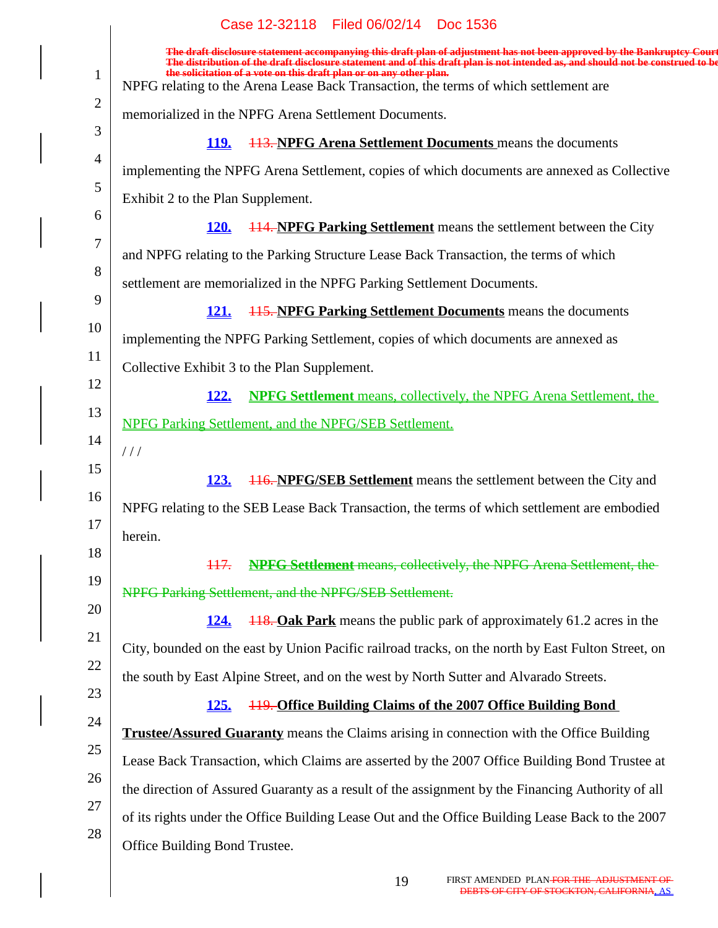|                | Case 12-32118<br>Filed 06/02/14 Doc 1536                                                                                                                                                                                                                                                                                                                                                         |
|----------------|--------------------------------------------------------------------------------------------------------------------------------------------------------------------------------------------------------------------------------------------------------------------------------------------------------------------------------------------------------------------------------------------------|
| $\mathbf{1}$   | The draft disclosure statement accompanying this draft plan of adjustment has not been approved by the Bankruptcy Court<br>The distribution of the draft disclosure statement and of this draft plan is not intended as, and shou<br>the solicitation of a vote on this draft plan or on any other plan.<br>NPFG relating to the Arena Lease Back Transaction, the terms of which settlement are |
| $\overline{2}$ | memorialized in the NPFG Arena Settlement Documents.                                                                                                                                                                                                                                                                                                                                             |
| 3              | <b>113. NPFG Arena Settlement Documents</b> means the documents<br><u>119.</u>                                                                                                                                                                                                                                                                                                                   |
| $\overline{4}$ | implementing the NPFG Arena Settlement, copies of which documents are annexed as Collective                                                                                                                                                                                                                                                                                                      |
| 5              | Exhibit 2 to the Plan Supplement.                                                                                                                                                                                                                                                                                                                                                                |
| 6              | <b>114. NPFG Parking Settlement</b> means the settlement between the City<br><b>120.</b>                                                                                                                                                                                                                                                                                                         |
| 7              | and NPFG relating to the Parking Structure Lease Back Transaction, the terms of which                                                                                                                                                                                                                                                                                                            |
| 8              | settlement are memorialized in the NPFG Parking Settlement Documents.                                                                                                                                                                                                                                                                                                                            |
| 9              | <b>115. NPFG Parking Settlement Documents</b> means the documents<br><u>121.</u>                                                                                                                                                                                                                                                                                                                 |
| 10             | implementing the NPFG Parking Settlement, copies of which documents are annexed as                                                                                                                                                                                                                                                                                                               |
| 11             | Collective Exhibit 3 to the Plan Supplement.                                                                                                                                                                                                                                                                                                                                                     |
| 12             | <b>NPFG Settlement</b> means, collectively, the NPFG Arena Settlement, the<br><u>122.</u>                                                                                                                                                                                                                                                                                                        |
| 13             | <b>NPFG Parking Settlement, and the NPFG/SEB Settlement.</b>                                                                                                                                                                                                                                                                                                                                     |
| 14             | 111                                                                                                                                                                                                                                                                                                                                                                                              |
| 15             | 123.<br><b>116. NPFG/SEB Settlement</b> means the settlement between the City and                                                                                                                                                                                                                                                                                                                |
| 16             | NPFG relating to the SEB Lease Back Transaction, the terms of which settlement are embodied                                                                                                                                                                                                                                                                                                      |
| 17             | herein.                                                                                                                                                                                                                                                                                                                                                                                          |
| 18             | <b>NPFG Settlement means, collectively, the NPFG Arena Settlement, the-</b><br>447.                                                                                                                                                                                                                                                                                                              |
| 19             | NPFG Parking Settlement, and the NPFG/SEB Settlement.                                                                                                                                                                                                                                                                                                                                            |
| 20             | <b>118. Oak Park</b> means the public park of approximately 61.2 acres in the<br><b>124.</b>                                                                                                                                                                                                                                                                                                     |
| 21             | City, bounded on the east by Union Pacific railroad tracks, on the north by East Fulton Street, on                                                                                                                                                                                                                                                                                               |
| 22             | the south by East Alpine Street, and on the west by North Sutter and Alvarado Streets.                                                                                                                                                                                                                                                                                                           |
| 23             | <b>119. Office Building Claims of the 2007 Office Building Bond</b><br><u>125.</u>                                                                                                                                                                                                                                                                                                               |
| 24             | <b>Trustee/Assured Guaranty</b> means the Claims arising in connection with the Office Building                                                                                                                                                                                                                                                                                                  |
| 25             | Lease Back Transaction, which Claims are asserted by the 2007 Office Building Bond Trustee at                                                                                                                                                                                                                                                                                                    |
| 26             | the direction of Assured Guaranty as a result of the assignment by the Financing Authority of all                                                                                                                                                                                                                                                                                                |
| 27             | of its rights under the Office Building Lease Out and the Office Building Lease Back to the 2007                                                                                                                                                                                                                                                                                                 |
| 28             | Office Building Bond Trustee.                                                                                                                                                                                                                                                                                                                                                                    |
|                |                                                                                                                                                                                                                                                                                                                                                                                                  |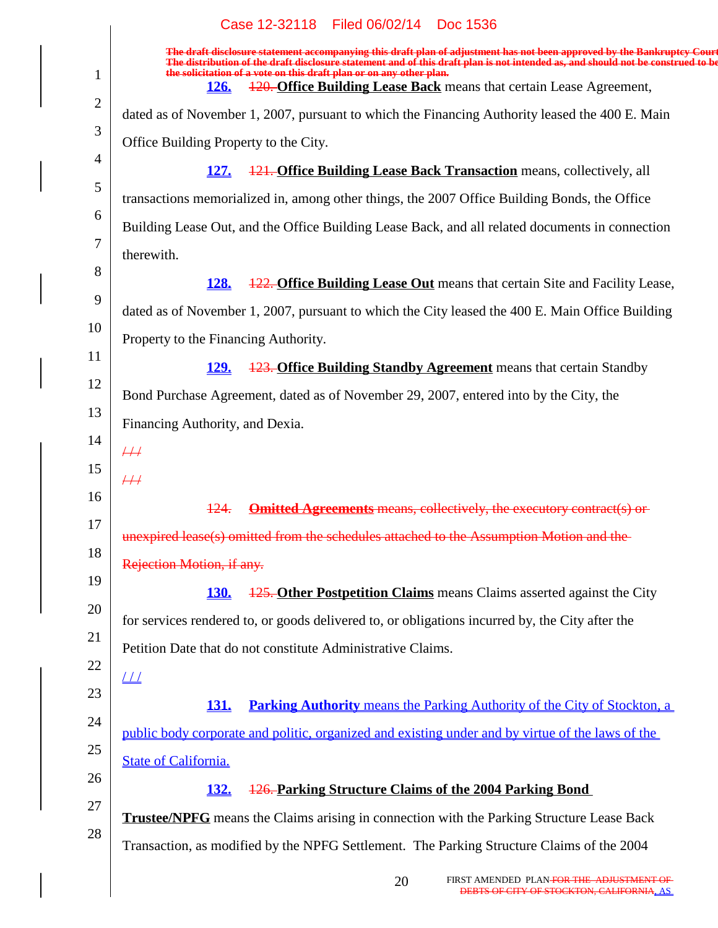|                | Case 12-32118 Filed 06/02/14 Doc 1536                                                                                                                                                                                                                                                                             |
|----------------|-------------------------------------------------------------------------------------------------------------------------------------------------------------------------------------------------------------------------------------------------------------------------------------------------------------------|
| $\mathbf{1}$   | The draft disclosure statement accompanying this draft plan of adjustment has not been approved by the Bankruptcy Court<br>bution of the draft disclosure statement and of this draft plan is not intended as, and should not be construed<br>the solicitation of a vote on this draft plan or on any other plan. |
| $\overline{2}$ | 120. Office Building Lease Back means that certain Lease Agreement,<br><b>126.</b>                                                                                                                                                                                                                                |
| 3              | dated as of November 1, 2007, pursuant to which the Financing Authority leased the 400 E. Main                                                                                                                                                                                                                    |
|                | Office Building Property to the City.                                                                                                                                                                                                                                                                             |
| $\overline{4}$ | 121. Office Building Lease Back Transaction means, collectively, all<br><b>127.</b>                                                                                                                                                                                                                               |
| 5              | transactions memorialized in, among other things, the 2007 Office Building Bonds, the Office                                                                                                                                                                                                                      |
| 6              | Building Lease Out, and the Office Building Lease Back, and all related documents in connection                                                                                                                                                                                                                   |
| 7              | therewith.                                                                                                                                                                                                                                                                                                        |
| 8              | <b>128.</b><br><b>122. Office Building Lease Out</b> means that certain Site and Facility Lease,                                                                                                                                                                                                                  |
| 9              | dated as of November 1, 2007, pursuant to which the City leased the 400 E. Main Office Building                                                                                                                                                                                                                   |
| 10             | Property to the Financing Authority.                                                                                                                                                                                                                                                                              |
| 11             | <b>123. Office Building Standby Agreement</b> means that certain Standby<br><u>129.</u>                                                                                                                                                                                                                           |
| 12             | Bond Purchase Agreement, dated as of November 29, 2007, entered into by the City, the                                                                                                                                                                                                                             |
| 13             | Financing Authority, and Dexia.                                                                                                                                                                                                                                                                                   |
| 14             | $\#$                                                                                                                                                                                                                                                                                                              |
| 15             | $\overline{++}$                                                                                                                                                                                                                                                                                                   |
| 16             | 124.<br><b>Omitted Agreements means, collectively, the executory contract(s) or</b>                                                                                                                                                                                                                               |
| 17             | unexpired lease(s) omitted from the schedules attached to the Assumption Motion and the                                                                                                                                                                                                                           |
| 18             | Rejection Motion, if any.                                                                                                                                                                                                                                                                                         |
| 19             | <b>125. Other Postpetition Claims</b> means Claims asserted against the City<br><b>130.</b>                                                                                                                                                                                                                       |
| 20             | for services rendered to, or goods delivered to, or obligations incurred by, the City after the                                                                                                                                                                                                                   |
| 21             | Petition Date that do not constitute Administrative Claims.                                                                                                                                                                                                                                                       |
| 22             | $\perp\!\!\!\perp$                                                                                                                                                                                                                                                                                                |
| 23             | <b>Parking Authority</b> means the Parking Authority of the City of Stockton, a<br><u>131.</u>                                                                                                                                                                                                                    |
| 24             | public body corporate and politic, organized and existing under and by virtue of the laws of the                                                                                                                                                                                                                  |
| 25             | <b>State of California.</b>                                                                                                                                                                                                                                                                                       |
| 26             | 126. Parking Structure Claims of the 2004 Parking Bond<br><u>132.</u>                                                                                                                                                                                                                                             |
| 27             | <b>Trustee/NPFG</b> means the Claims arising in connection with the Parking Structure Lease Back                                                                                                                                                                                                                  |
| 28             | Transaction, as modified by the NPFG Settlement. The Parking Structure Claims of the 2004                                                                                                                                                                                                                         |
|                |                                                                                                                                                                                                                                                                                                                   |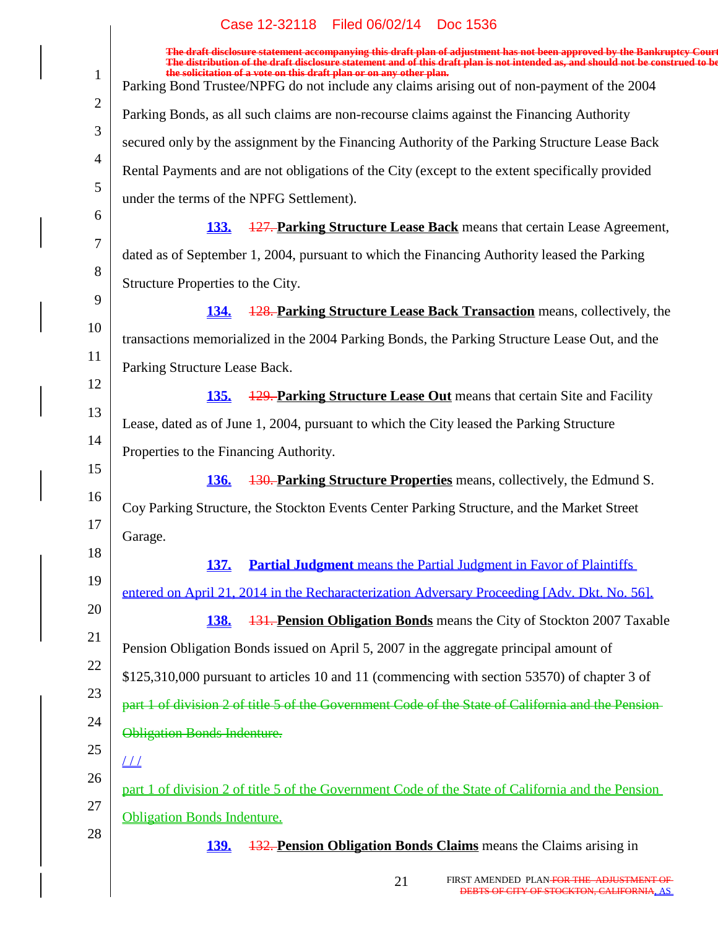|                | Case IZ-92110 Filed 00/02/14 DOC 1990                                                                                                                                                                                             |
|----------------|-----------------------------------------------------------------------------------------------------------------------------------------------------------------------------------------------------------------------------------|
|                | The draft disclosure statement accompanying this draft plan of adjustment has not been approved by the Bankruptcy Court<br>The distribution of the draft disclosure statement and of this draft plan is not intended as, and shou |
| $\mathbf{1}$   | the solicitation of a vote on this draft plan or on any other plan.<br>Parking Bond Trustee/NPFG do not include any claims arising out of non-payment of the 2004                                                                 |
| $\overline{2}$ | Parking Bonds, as all such claims are non-recourse claims against the Financing Authority                                                                                                                                         |
| 3              | secured only by the assignment by the Financing Authority of the Parking Structure Lease Back                                                                                                                                     |
| $\overline{4}$ | Rental Payments and are not obligations of the City (except to the extent specifically provided                                                                                                                                   |
| 5              | under the terms of the NPFG Settlement).                                                                                                                                                                                          |
| 6              | 127. Parking Structure Lease Back means that certain Lease Agreement,<br><u>133.</u>                                                                                                                                              |
| 7              | dated as of September 1, 2004, pursuant to which the Financing Authority leased the Parking                                                                                                                                       |
| 8              | Structure Properties to the City.                                                                                                                                                                                                 |
| 9              | 128. Parking Structure Lease Back Transaction means, collectively, the<br><b>134.</b>                                                                                                                                             |
| 10             | transactions memorialized in the 2004 Parking Bonds, the Parking Structure Lease Out, and the                                                                                                                                     |
| 11             | Parking Structure Lease Back.                                                                                                                                                                                                     |
| 12             | <b>129. Parking Structure Lease Out</b> means that certain Site and Facility<br><u>135.</u>                                                                                                                                       |
| 13             | Lease, dated as of June 1, 2004, pursuant to which the City leased the Parking Structure                                                                                                                                          |
| 14             | Properties to the Financing Authority.                                                                                                                                                                                            |
| 15             | 130. Parking Structure Properties means, collectively, the Edmund S.<br><b>136.</b>                                                                                                                                               |
| 16             | Coy Parking Structure, the Stockton Events Center Parking Structure, and the Market Street                                                                                                                                        |
| 17             | Garage.                                                                                                                                                                                                                           |
| 18             | <b>Partial Judgment</b> means the Partial Judgment in Favor of Plaintiffs<br><b>137.</b>                                                                                                                                          |
| 19             | entered on April 21, 2014 in the Recharacterization Adversary Proceeding [Adv. Dkt. No. 56].                                                                                                                                      |
| 20             | <b>131. Pension Obligation Bonds</b> means the City of Stockton 2007 Taxable<br><b>138.</b>                                                                                                                                       |
| 21             | Pension Obligation Bonds issued on April 5, 2007 in the aggregate principal amount of                                                                                                                                             |
| 22             | \$125,310,000 pursuant to articles 10 and 11 (commencing with section 53570) of chapter 3 of                                                                                                                                      |
| 23             | part 1 of division 2 of title 5 of the Government Code of the State of California and the Pension-                                                                                                                                |
| 24             | <b>Obligation Bonds Indenture.</b>                                                                                                                                                                                                |
| 25             | $\perp\!\!\!\perp$                                                                                                                                                                                                                |
| 26             | part 1 of division 2 of title 5 of the Government Code of the State of California and the Pension                                                                                                                                 |
| 27             | <b>Obligation Bonds Indenture.</b>                                                                                                                                                                                                |
| 28             | <b>132. Pension Obligation Bonds Claims</b> means the Claims arising in<br><u>139.</u>                                                                                                                                            |
|                |                                                                                                                                                                                                                                   |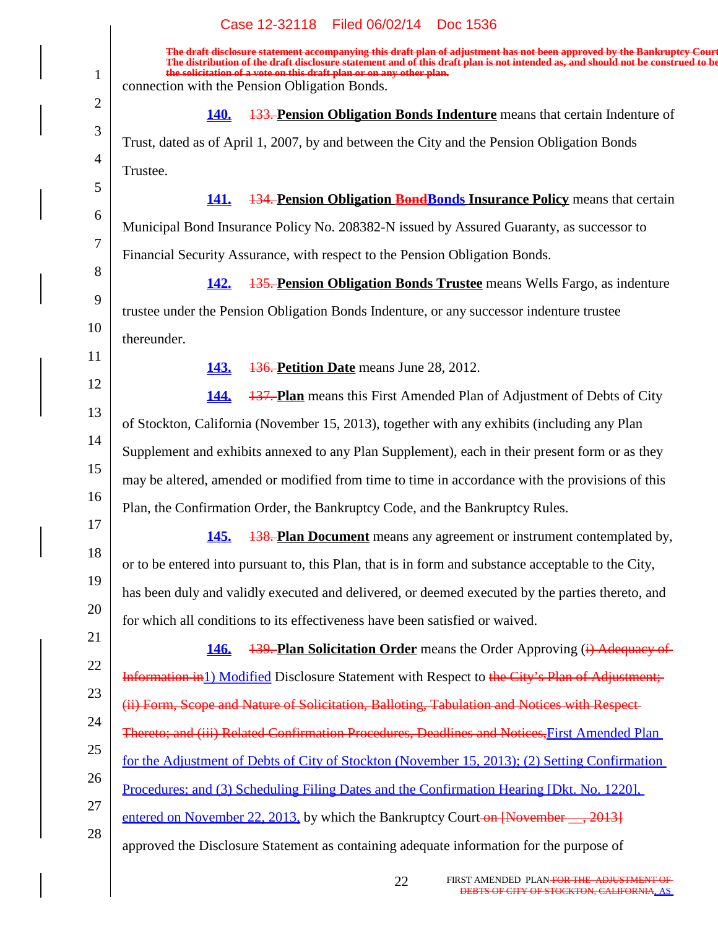|                | Case 12-32118<br>Filed 06/02/14<br>Doc 1536                                                                                                                                                                                                                                                                                                                                        |
|----------------|------------------------------------------------------------------------------------------------------------------------------------------------------------------------------------------------------------------------------------------------------------------------------------------------------------------------------------------------------------------------------------|
| $\mathbf{1}$   | The draft disclosure statement accompanying this draft plan of adjustment has not been approved by the Bankruptcy Court<br>The distribution of the draft disclosure statement and of this draft plan is not intended as, and should not be construed to be<br>the solicitation of a vote on this draft plan or on any other plan.<br>connection with the Pension Obligation Bonds. |
| $\overline{2}$ | <b>133. Pension Obligation Bonds Indenture</b> means that certain Indenture of<br><b>140.</b>                                                                                                                                                                                                                                                                                      |
| 3              | Trust, dated as of April 1, 2007, by and between the City and the Pension Obligation Bonds                                                                                                                                                                                                                                                                                         |
| $\overline{4}$ | Trustee.                                                                                                                                                                                                                                                                                                                                                                           |
| 5              | <b>134. Pension Obligation Bond Bonds Insurance Policy means that certain</b><br><b>141.</b>                                                                                                                                                                                                                                                                                       |
| 6              | Municipal Bond Insurance Policy No. 208382-N issued by Assured Guaranty, as successor to                                                                                                                                                                                                                                                                                           |
| 7              | Financial Security Assurance, with respect to the Pension Obligation Bonds.                                                                                                                                                                                                                                                                                                        |
| $8\,$          | <b>142.</b><br><b>135. Pension Obligation Bonds Trustee</b> means Wells Fargo, as indenture                                                                                                                                                                                                                                                                                        |
| 9              | trustee under the Pension Obligation Bonds Indenture, or any successor indenture trustee                                                                                                                                                                                                                                                                                           |
| 10             | thereunder.                                                                                                                                                                                                                                                                                                                                                                        |
| 11             | 136. Petition Date means June 28, 2012.<br><b>143.</b>                                                                                                                                                                                                                                                                                                                             |
| 12             | 144.<br><b>137. Plan</b> means this First Amended Plan of Adjustment of Debts of City                                                                                                                                                                                                                                                                                              |
| 13             | of Stockton, California (November 15, 2013), together with any exhibits (including any Plan                                                                                                                                                                                                                                                                                        |
| 14             |                                                                                                                                                                                                                                                                                                                                                                                    |
| 15             | Supplement and exhibits annexed to any Plan Supplement), each in their present form or as they                                                                                                                                                                                                                                                                                     |
| 16             | may be altered, amended or modified from time to time in accordance with the provisions of this                                                                                                                                                                                                                                                                                    |
| 17             | Plan, the Confirmation Order, the Bankruptcy Code, and the Bankruptcy Rules.                                                                                                                                                                                                                                                                                                       |
| 18             | <u>145.</u><br><b>138. Plan Document</b> means any agreement or instrument contemplated by,                                                                                                                                                                                                                                                                                        |
| 19             | or to be entered into pursuant to, this Plan, that is in form and substance acceptable to the City,                                                                                                                                                                                                                                                                                |
| 20             | has been duly and validly executed and delivered, or deemed executed by the parties thereto, and                                                                                                                                                                                                                                                                                   |
| 21             | for which all conditions to its effectiveness have been satisfied or waived.                                                                                                                                                                                                                                                                                                       |
| 22             | 146.<br><b>139. Plan Solicitation Order</b> means the Order Approving (i) Adequacy of                                                                                                                                                                                                                                                                                              |
| 23             | Information in 1) Modified Disclosure Statement with Respect to the City's Plan of Adjustment;                                                                                                                                                                                                                                                                                     |
| 24             | (ii) Form, Scope and Nature of Solicitation, Balloting, Tabulation and Notices with Respect-                                                                                                                                                                                                                                                                                       |
| 25             | Thereto; and (iii) Related Confirmation Procedures, Deadlines and Notices, First Amended Plan                                                                                                                                                                                                                                                                                      |
| 26             | <u>for the Adjustment of Debts of City of Stockton (November 15, 2013); (2) Setting Confirmation</u>                                                                                                                                                                                                                                                                               |
| 27             | <u>Procedures; and (3) Scheduling Filing Dates and the Confirmation Hearing [Dkt. No. 1220].</u>                                                                                                                                                                                                                                                                                   |
| 28             | entered on November 22, 2013, by which the Bankruptcy Court-on [November __, 2013]                                                                                                                                                                                                                                                                                                 |
|                | approved the Disclosure Statement as containing adequate information for the purpose of                                                                                                                                                                                                                                                                                            |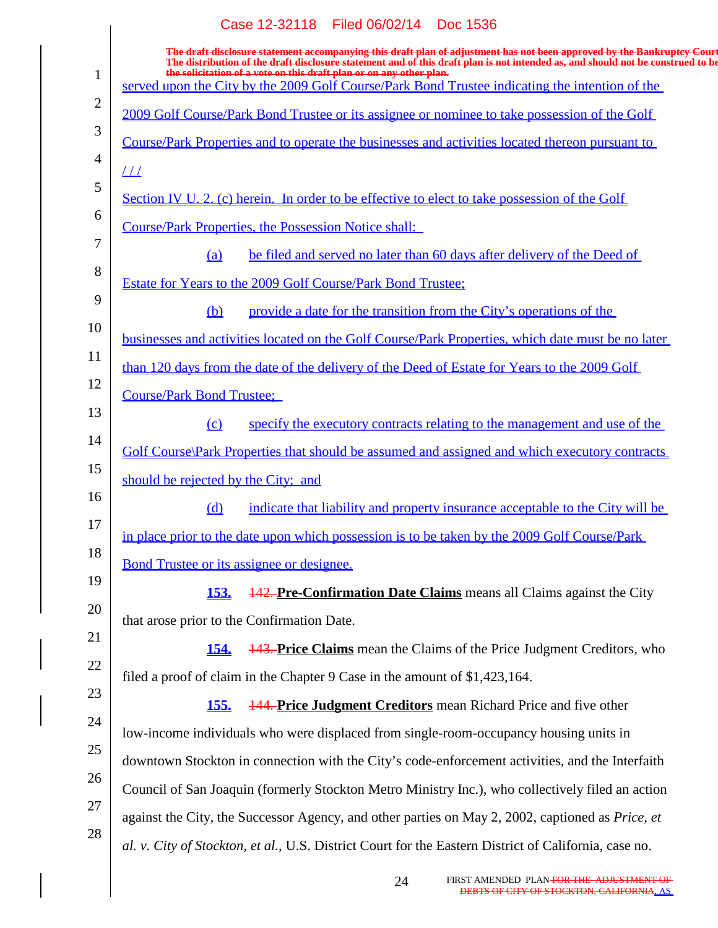|                | Case 12-32118 Filed 06/02/14 Doc 1536                                                                                                                                                                                                                      |
|----------------|------------------------------------------------------------------------------------------------------------------------------------------------------------------------------------------------------------------------------------------------------------|
|                | The draft disclosure statement accompanying this draft plan of adjustment has not been approved by the Bankruptcy Court<br>The distribution of the draft disclosure statement and of this draft plan is not intended as, and should not be construed to be |
| $\mathbf{1}$   | the solicitation of a vote on this draft plan or on any other plan.<br>served upon the City by the 2009 Golf Course/Park Bond Trustee indicating the intention of the                                                                                      |
| $\overline{2}$ | 2009 Golf Course/Park Bond Trustee or its assignee or nominee to take possession of the Golf                                                                                                                                                               |
| 3              | Course/Park Properties and to operate the businesses and activities located thereon pursuant to                                                                                                                                                            |
| $\overline{4}$ | $\perp\!\!\!\perp$                                                                                                                                                                                                                                         |
| 5              | Section IV U. 2. (c) herein. In order to be effective to elect to take possession of the Golf                                                                                                                                                              |
| 6              | <b>Course/Park Properties, the Possession Notice shall:</b>                                                                                                                                                                                                |
| 7              | be filed and served no later than 60 days after delivery of the Deed of<br>(a)                                                                                                                                                                             |
| 8              | Estate for Years to the 2009 Golf Course/Park Bond Trustee;                                                                                                                                                                                                |
| 9              | provide a date for the transition from the City's operations of the<br>(b)                                                                                                                                                                                 |
| 10             | businesses and activities located on the Golf Course/Park Properties, which date must be no later                                                                                                                                                          |
| 11             | than 120 days from the date of the delivery of the Deed of Estate for Years to the 2009 Golf                                                                                                                                                               |
| 12             | <b>Course/Park Bond Trustee;</b>                                                                                                                                                                                                                           |
| 13             | specify the executory contracts relating to the management and use of the<br>$\Omega$                                                                                                                                                                      |
| 14             | Golf Course\Park Properties that should be assumed and assigned and which executory contracts                                                                                                                                                              |
| 15             | should be rejected by the City; and                                                                                                                                                                                                                        |
| 16<br>17       | indicate that liability and property insurance acceptable to the City will be<br>(d)                                                                                                                                                                       |
| 18             | in place prior to the date upon which possession is to be taken by the 2009 Golf Course/Park                                                                                                                                                               |
| 19             | Bond Trustee or its assignee or designee.                                                                                                                                                                                                                  |
| 20             | <u>153.</u><br><b>142. Pre-Confirmation Date Claims</b> means all Claims against the City                                                                                                                                                                  |
| 21             | that arose prior to the Confirmation Date.                                                                                                                                                                                                                 |
| 22             | <b>443. Price Claims</b> mean the Claims of the Price Judgment Creditors, who<br><u>154.</u>                                                                                                                                                               |
| 23             | filed a proof of claim in the Chapter 9 Case in the amount of \$1,423,164.                                                                                                                                                                                 |
| 24             | <b>144. Price Judgment Creditors</b> mean Richard Price and five other<br><u>155.</u>                                                                                                                                                                      |
| 25             | low-income individuals who were displaced from single-room-occupancy housing units in                                                                                                                                                                      |
| 26             | downtown Stockton in connection with the City's code-enforcement activities, and the Interfaith                                                                                                                                                            |
| 27             | Council of San Joaquin (formerly Stockton Metro Ministry Inc.), who collectively filed an action                                                                                                                                                           |
| 28             | against the City, the Successor Agency, and other parties on May 2, 2002, captioned as Price, et                                                                                                                                                           |
|                | al. v. City of Stockton, et al., U.S. District Court for the Eastern District of California, case no.                                                                                                                                                      |
|                |                                                                                                                                                                                                                                                            |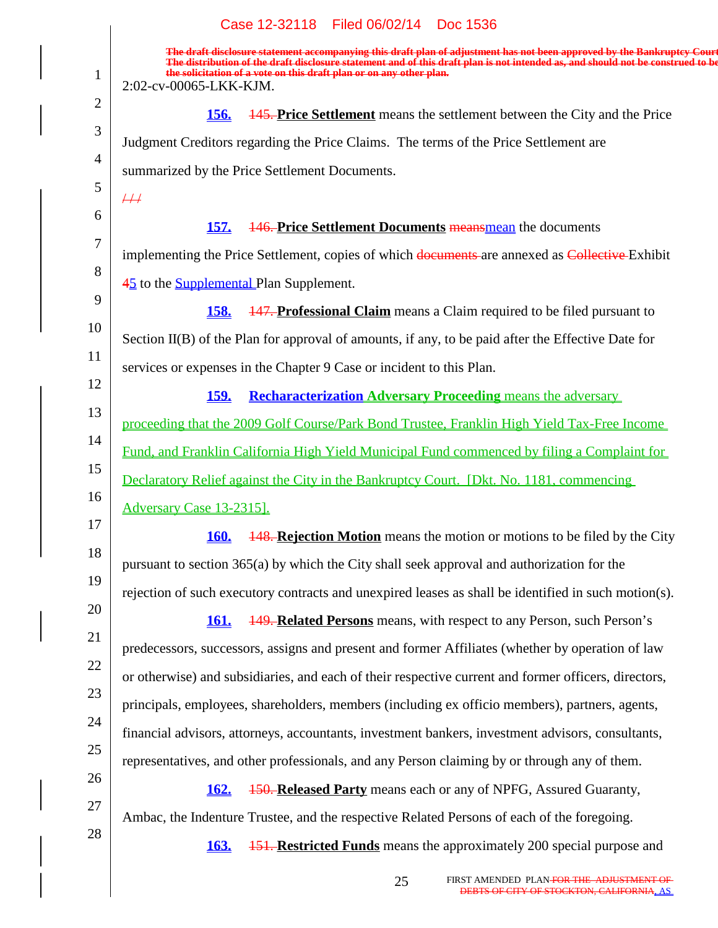|                | Case 12-32118 Filed 06/02/14 Doc 1536                                                                                                                                                                                                                                                                                                                       |
|----------------|-------------------------------------------------------------------------------------------------------------------------------------------------------------------------------------------------------------------------------------------------------------------------------------------------------------------------------------------------------------|
| $\mathbf{1}$   | The draft disclosure statement accompanying this draft plan of adjustment has not been approved by the Bankruptcy Court<br>The distribution of the draft disclosure statement and of this draft plan is not intended as, and should not be construed to be<br>the solicitation of a vote on this draft plan or on any other plan.<br>2:02-cv-00065-LKK-KJM. |
| $\overline{2}$ |                                                                                                                                                                                                                                                                                                                                                             |
| 3              | <b>145. Price Settlement</b> means the settlement between the City and the Price<br><u>156.</u>                                                                                                                                                                                                                                                             |
| $\overline{4}$ | Judgment Creditors regarding the Price Claims. The terms of the Price Settlement are                                                                                                                                                                                                                                                                        |
| 5              | summarized by the Price Settlement Documents.                                                                                                                                                                                                                                                                                                               |
| 6              | $\overline{++}$                                                                                                                                                                                                                                                                                                                                             |
| 7              | <b>146. Price Settlement Documents meansmean</b> the documents<br><u>157.</u>                                                                                                                                                                                                                                                                               |
| 8              | implementing the Price Settlement, copies of which documents are annexed as Collective Exhibit                                                                                                                                                                                                                                                              |
| 9              | 45 to the <b>Supplemental</b> Plan Supplement.                                                                                                                                                                                                                                                                                                              |
| 10             | <b>147. Professional Claim</b> means a Claim required to be filed pursuant to<br><b>158.</b>                                                                                                                                                                                                                                                                |
| 11             | Section II(B) of the Plan for approval of amounts, if any, to be paid after the Effective Date for                                                                                                                                                                                                                                                          |
| 12             | services or expenses in the Chapter 9 Case or incident to this Plan.                                                                                                                                                                                                                                                                                        |
| 13             | <b>Recharacterization Adversary Proceeding means the adversary</b><br><u>159.</u>                                                                                                                                                                                                                                                                           |
| 14             | proceeding that the 2009 Golf Course/Park Bond Trustee, Franklin High Yield Tax-Free Income                                                                                                                                                                                                                                                                 |
| 15             | Fund, and Franklin California High Yield Municipal Fund commenced by filing a Complaint for                                                                                                                                                                                                                                                                 |
| 16             | Declaratory Relief against the City in the Bankruptcy Court. [Dkt. No. 1181, commencing]                                                                                                                                                                                                                                                                    |
| 17             | <b>Adversary Case 13-23151.</b>                                                                                                                                                                                                                                                                                                                             |
| 18             | <b>160.</b><br><b>148. Rejection Motion</b> means the motion or motions to be filed by the City                                                                                                                                                                                                                                                             |
| 19             | pursuant to section 365(a) by which the City shall seek approval and authorization for the                                                                                                                                                                                                                                                                  |
| 20             | rejection of such executory contracts and unexpired leases as shall be identified in such motion(s).                                                                                                                                                                                                                                                        |
| 21             | <b>149. Related Persons</b> means, with respect to any Person, such Person's<br><b>161.</b>                                                                                                                                                                                                                                                                 |
|                | predecessors, successors, assigns and present and former Affiliates (whether by operation of law                                                                                                                                                                                                                                                            |
| 22<br>23       | or otherwise) and subsidiaries, and each of their respective current and former officers, directors,                                                                                                                                                                                                                                                        |
|                | principals, employees, shareholders, members (including ex officio members), partners, agents,                                                                                                                                                                                                                                                              |
| 24             | financial advisors, attorneys, accountants, investment bankers, investment advisors, consultants,                                                                                                                                                                                                                                                           |
| 25             | representatives, and other professionals, and any Person claiming by or through any of them.                                                                                                                                                                                                                                                                |
| 26             | <b>150. Released Party</b> means each or any of NPFG, Assured Guaranty,<br><b>162.</b>                                                                                                                                                                                                                                                                      |
| 27             | Ambac, the Indenture Trustee, and the respective Related Persons of each of the foregoing.                                                                                                                                                                                                                                                                  |
| 28             | <b>151. Restricted Funds</b> means the approximately 200 special purpose and<br><b>163.</b>                                                                                                                                                                                                                                                                 |
|                |                                                                                                                                                                                                                                                                                                                                                             |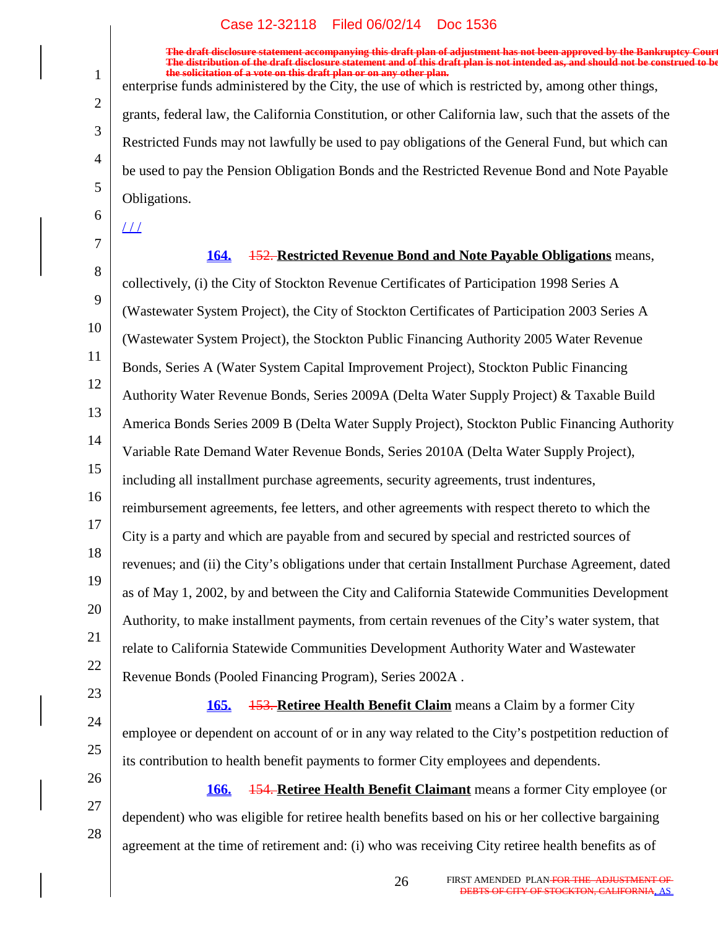**The draft disclosure statement accompanying this draft plan of adjustment has not been approved by the Bankruptcy Court. The distribution of the draft disclosure statement and of this draft plan is not intended as, and should not be construed to be, the solicitation of a vote on this draft plan or on any other plan.**

enterprise funds administered by the City, the use of which is restricted by, among other things,

grants, federal law, the California Constitution, or other California law, such that the assets of the Restricted Funds may not lawfully be used to pay obligations of the General Fund, but which can be used to pay the Pension Obligation Bonds and the Restricted Revenue Bond and Note Payable Obligations.

 $\perp\!\!\!\perp$ 

1

2

3

4

5

6

7

24

25

26

27

28

8 9 10 11 12 13 14 15 16 17 18 19 20 21 22 23 **164.** 152. **Restricted Revenue Bond and Note Payable Obligations** means, collectively, (i) the City of Stockton Revenue Certificates of Participation 1998 Series A (Wastewater System Project), the City of Stockton Certificates of Participation 2003 Series A (Wastewater System Project), the Stockton Public Financing Authority 2005 Water Revenue Bonds, Series A (Water System Capital Improvement Project), Stockton Public Financing Authority Water Revenue Bonds, Series 2009A (Delta Water Supply Project) & Taxable Build America Bonds Series 2009 B (Delta Water Supply Project), Stockton Public Financing Authority Variable Rate Demand Water Revenue Bonds, Series 2010A (Delta Water Supply Project), including all installment purchase agreements, security agreements, trust indentures, reimbursement agreements, fee letters, and other agreements with respect thereto to which the City is a party and which are payable from and secured by special and restricted sources of revenues; and (ii) the City's obligations under that certain Installment Purchase Agreement, dated as of May 1, 2002, by and between the City and California Statewide Communities Development Authority, to make installment payments, from certain revenues of the City's water system, that relate to California Statewide Communities Development Authority Water and Wastewater Revenue Bonds (Pooled Financing Program), Series 2002A .

**165.** 153. **Retiree Health Benefit Claim** means a Claim by a former City employee or dependent on account of or in any way related to the City's postpetition reduction of its contribution to health benefit payments to former City employees and dependents.

**166.** 154. **Retiree Health Benefit Claimant** means a former City employee (or dependent) who was eligible for retiree health benefits based on his or her collective bargaining agreement at the time of retirement and: (i) who was receiving City retiree health benefits as of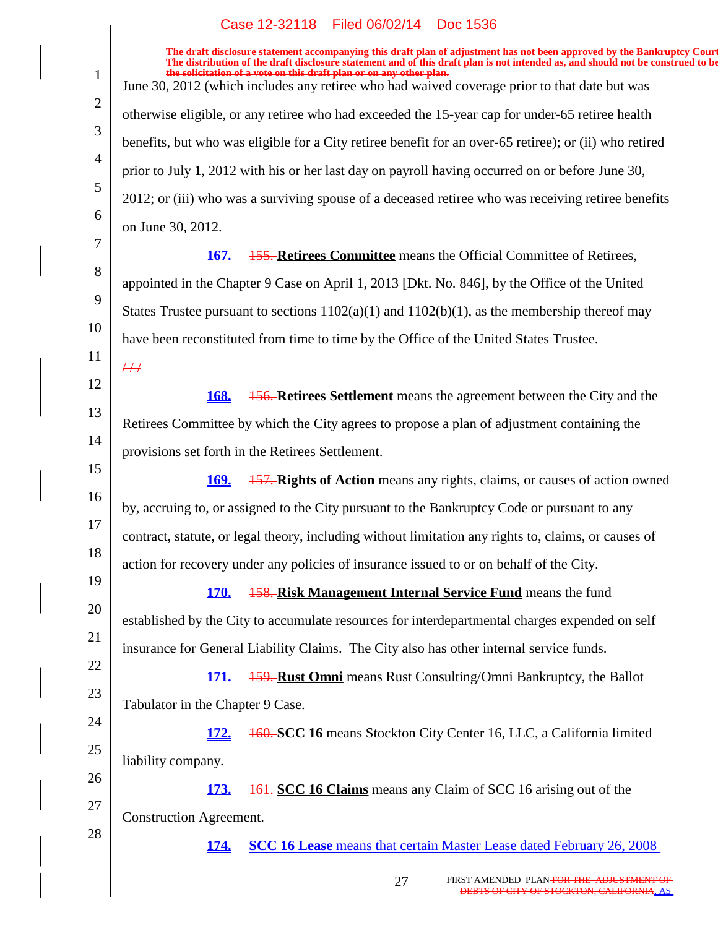|                | Case IZ-32118 Filed 00/02/14 DOC 1930                                                                                                                                                                                                                                                                                             |
|----------------|-----------------------------------------------------------------------------------------------------------------------------------------------------------------------------------------------------------------------------------------------------------------------------------------------------------------------------------|
| $\mathbf{1}$   | The draft disclosure statement accompanying this draft plan of adjustment has not been approved by the Bankruptcy Court<br>The distribution of the draft disclosure statement and of this draft plan is not intended as, and should not be construed to be<br>the solicitation of a vote on this draft plan or on any other plan. |
| $\overline{2}$ | June 30, 2012 (which includes any retiree who had waived coverage prior to that date but was                                                                                                                                                                                                                                      |
| 3              | otherwise eligible, or any retiree who had exceeded the 15-year cap for under-65 retiree health                                                                                                                                                                                                                                   |
| $\overline{4}$ | benefits, but who was eligible for a City retiree benefit for an over-65 retiree); or (ii) who retired                                                                                                                                                                                                                            |
| 5              | prior to July 1, 2012 with his or her last day on payroll having occurred on or before June 30,                                                                                                                                                                                                                                   |
| 6              | 2012; or (iii) who was a surviving spouse of a deceased retiree who was receiving retiree benefits                                                                                                                                                                                                                                |
| 7              | on June 30, 2012.                                                                                                                                                                                                                                                                                                                 |
| 8              | <b>155. Retirees Committee</b> means the Official Committee of Retirees,<br><b>167.</b>                                                                                                                                                                                                                                           |
| 9              | appointed in the Chapter 9 Case on April 1, 2013 [Dkt. No. 846], by the Office of the United                                                                                                                                                                                                                                      |
|                | States Trustee pursuant to sections $1102(a)(1)$ and $1102(b)(1)$ , as the membership thereof may                                                                                                                                                                                                                                 |
| 10             | have been reconstituted from time to time by the Office of the United States Trustee.                                                                                                                                                                                                                                             |
| 11             | #                                                                                                                                                                                                                                                                                                                                 |
| 12             | 168.<br><b>156. Retirees Settlement</b> means the agreement between the City and the                                                                                                                                                                                                                                              |
| 13             | Retirees Committee by which the City agrees to propose a plan of adjustment containing the                                                                                                                                                                                                                                        |
| 14             | provisions set forth in the Retirees Settlement.                                                                                                                                                                                                                                                                                  |
| 15             | <b>157. Rights of Action</b> means any rights, claims, or causes of action owned<br><u>169.</u>                                                                                                                                                                                                                                   |
| 16             | by, accruing to, or assigned to the City pursuant to the Bankruptcy Code or pursuant to any                                                                                                                                                                                                                                       |
| 17             | contract, statute, or legal theory, including without limitation any rights to, claims, or causes of                                                                                                                                                                                                                              |
| 18             | action for recovery under any policies of insurance issued to or on behalf of the City.                                                                                                                                                                                                                                           |
| 19             | <b>158. Risk Management Internal Service Fund</b> means the fund<br><b>170.</b>                                                                                                                                                                                                                                                   |
| 20             | established by the City to accumulate resources for interdepartmental charges expended on self                                                                                                                                                                                                                                    |
| 21             |                                                                                                                                                                                                                                                                                                                                   |
| 22             | insurance for General Liability Claims. The City also has other internal service funds.                                                                                                                                                                                                                                           |
| 23             | <b>159. Rust Omni</b> means Rust Consulting/Omni Bankruptcy, the Ballot<br><b>171.</b>                                                                                                                                                                                                                                            |
| 24             | Tabulator in the Chapter 9 Case.                                                                                                                                                                                                                                                                                                  |
| 25             | 160. SCC 16 means Stockton City Center 16, LLC, a California limited<br><u>172.</u>                                                                                                                                                                                                                                               |
| 26             | liability company.                                                                                                                                                                                                                                                                                                                |
| 27             | <b>161. SCC 16 Claims</b> means any Claim of SCC 16 arising out of the<br><u>173.</u>                                                                                                                                                                                                                                             |
|                | <b>Construction Agreement.</b>                                                                                                                                                                                                                                                                                                    |
| 28             | <b>SCC 16 Lease</b> means that certain Master Lease dated February 26, 2008<br><b>174.</b>                                                                                                                                                                                                                                        |
|                |                                                                                                                                                                                                                                                                                                                                   |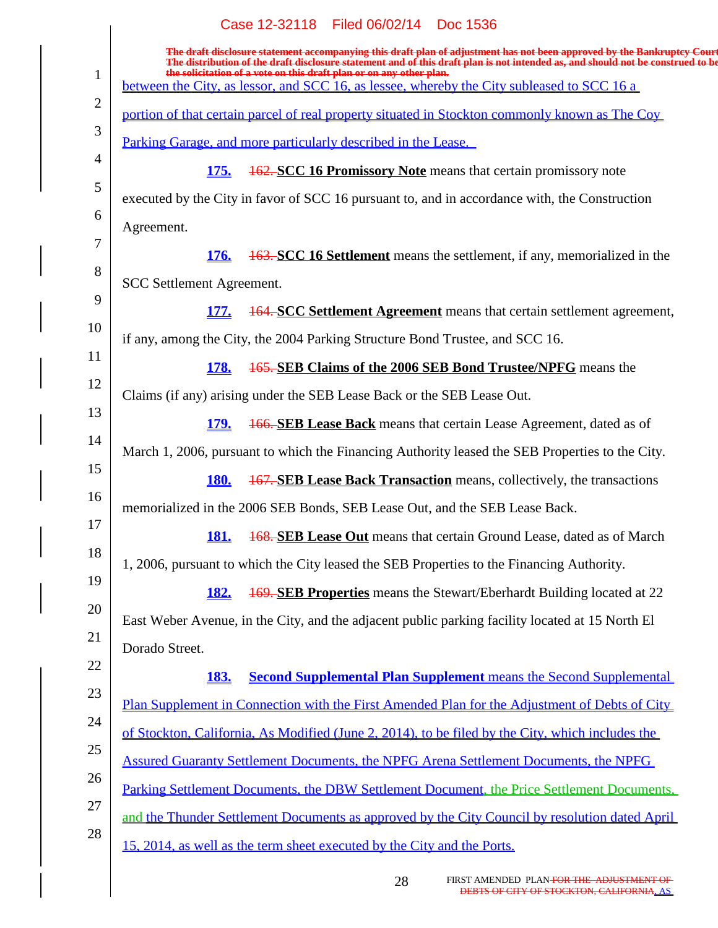|                | Case 12-32118 Filed 06/02/14 Doc 1536                                                                                                                                                                                                                      |
|----------------|------------------------------------------------------------------------------------------------------------------------------------------------------------------------------------------------------------------------------------------------------------|
|                | The draft disclosure statement accompanying this draft plan of adjustment has not been approved by the Bankruptcy Court<br>The distribution of the draft disclosure statement and of this draft plan is not intended as, and should not be construed to be |
| $\mathbf{1}$   | the solicitation of a vote on this draft plan or on any other plan.<br>between the City, as lessor, and SCC 16, as lessee, whereby the City subleased to SCC 16 a                                                                                          |
| $\overline{2}$ | portion of that certain parcel of real property situated in Stockton commonly known as The Coy                                                                                                                                                             |
| 3              | <u>Parking Garage, and more particularly described in the Lease.</u>                                                                                                                                                                                       |
| $\overline{4}$ | <b>162. SCC 16 Promissory Note</b> means that certain promissory note<br><b>175.</b>                                                                                                                                                                       |
| 5              | executed by the City in favor of SCC 16 pursuant to, and in accordance with, the Construction                                                                                                                                                              |
| 6              | Agreement.                                                                                                                                                                                                                                                 |
| 7              | <b>163. SCC 16 Settlement</b> means the settlement, if any, memorialized in the<br><b>176.</b>                                                                                                                                                             |
| 8              | <b>SCC Settlement Agreement.</b>                                                                                                                                                                                                                           |
| 9              | <b>164. SCC Settlement Agreement</b> means that certain settlement agreement,<br><b>177.</b>                                                                                                                                                               |
| 10             | if any, among the City, the 2004 Parking Structure Bond Trustee, and SCC 16.                                                                                                                                                                               |
| 11<br>12       | 165. SEB Claims of the 2006 SEB Bond Trustee/NPFG means the<br><b>178.</b>                                                                                                                                                                                 |
| 13             | Claims (if any) arising under the SEB Lease Back or the SEB Lease Out.                                                                                                                                                                                     |
| 14             | <b>166. SEB Lease Back</b> means that certain Lease Agreement, dated as of<br><b>179.</b>                                                                                                                                                                  |
| 15             | March 1, 2006, pursuant to which the Financing Authority leased the SEB Properties to the City.                                                                                                                                                            |
| 16             | <b>167. SEB Lease Back Transaction</b> means, collectively, the transactions<br><b>180.</b>                                                                                                                                                                |
| 17             | memorialized in the 2006 SEB Bonds, SEB Lease Out, and the SEB Lease Back.                                                                                                                                                                                 |
| 18             | <b>168. SEB Lease Out</b> means that certain Ground Lease, dated as of March<br><b>181.</b>                                                                                                                                                                |
| 19             | 1, 2006, pursuant to which the City leased the SEB Properties to the Financing Authority.                                                                                                                                                                  |
| 20             | <b>169. SEB Properties</b> means the Stewart/Eberhardt Building located at 22<br><b>182.</b>                                                                                                                                                               |
| 21             | East Weber Avenue, in the City, and the adjacent public parking facility located at 15 North El                                                                                                                                                            |
| 22             | Dorado Street.                                                                                                                                                                                                                                             |
| 23             | <b>Second Supplemental Plan Supplement</b> means the Second Supplemental<br><b>183.</b>                                                                                                                                                                    |
| 24             | Plan Supplement in Connection with the First Amended Plan for the Adjustment of Debts of City                                                                                                                                                              |
| 25             | of Stockton, California, As Modified (June 2, 2014), to be filed by the City, which includes the                                                                                                                                                           |
| 26             | <b>Assured Guaranty Settlement Documents, the NPFG Arena Settlement Documents, the NPFG</b>                                                                                                                                                                |
| 27             | Parking Settlement Documents, the DBW Settlement Document, the Price Settlement Documents,                                                                                                                                                                 |
| 28             | and the Thunder Settlement Documents as approved by the City Council by resolution dated April                                                                                                                                                             |
|                | 15, 2014, as well as the term sheet executed by the City and the Ports.                                                                                                                                                                                    |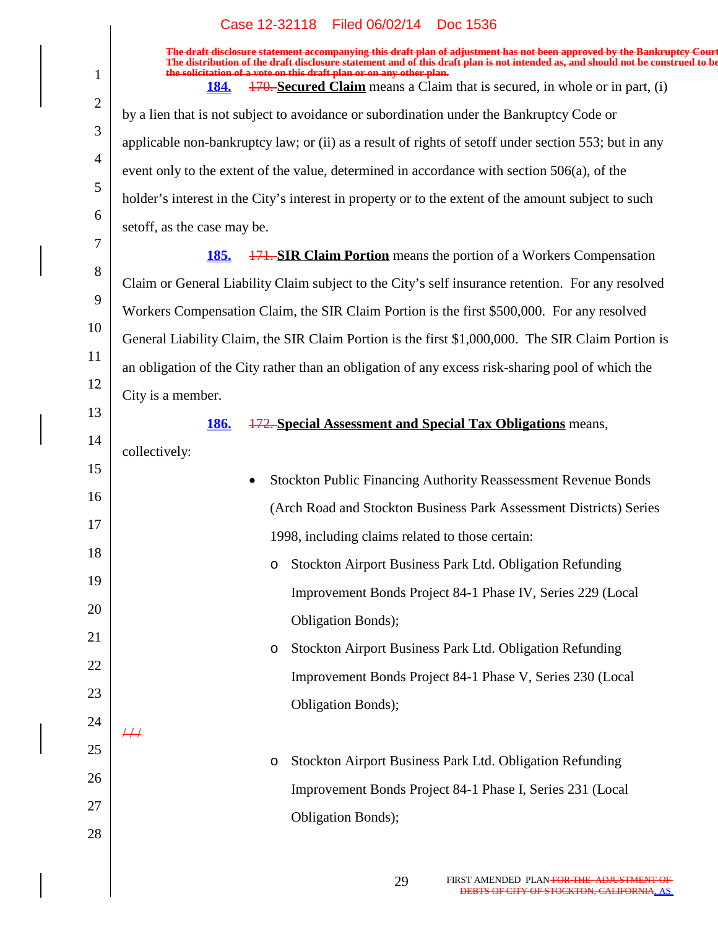1

**The draft disclosure statement accompanying this draft plan of adjustment has not been approved by the Bankruptcy Court. The distribution of the draft disclosure statement and of this draft plan is not intended as, and should not be construed to be, the solicitation of a vote on this draft plan or on any other plan.**

**184.** 170. **Secured Claim** means a Claim that is secured, in whole or in part, (i)

2 3 4 5 6 7 8 9 10 11 12 13 14 15 16 17 18 19 20 21 22 23 24 25 26 27 28 by a lien that is not subject to avoidance or subordination under the Bankruptcy Code or applicable non-bankruptcy law; or (ii) as a result of rights of setoff under section 553; but in any event only to the extent of the value, determined in accordance with section 506(a), of the holder's interest in the City's interest in property or to the extent of the amount subject to such setoff, as the case may be. **185.** 171. **SIR Claim Portion** means the portion of a Workers Compensation Claim or General Liability Claim subject to the City's self insurance retention. For any resolved Workers Compensation Claim, the SIR Claim Portion is the first \$500,000. For any resolved General Liability Claim, the SIR Claim Portion is the first \$1,000,000. The SIR Claim Portion is an obligation of the City rather than an obligation of any excess risk-sharing pool of which the City is a member. **186.** 172. **Special Assessment and Special Tax Obligations** means, collectively: Stockton Public Financing Authority Reassessment Revenue Bonds (Arch Road and Stockton Business Park Assessment Districts) Series 1998, including claims related to those certain: o Stockton Airport Business Park Ltd. Obligation Refunding Improvement Bonds Project 84-1 Phase IV, Series 229 (Local Obligation Bonds); o Stockton Airport Business Park Ltd. Obligation Refunding Improvement Bonds Project 84-1 Phase V, Series 230 (Local Obligation Bonds);  $/$  /  $/$ o Stockton Airport Business Park Ltd. Obligation Refunding Improvement Bonds Project 84-1 Phase I, Series 231 (Local Obligation Bonds);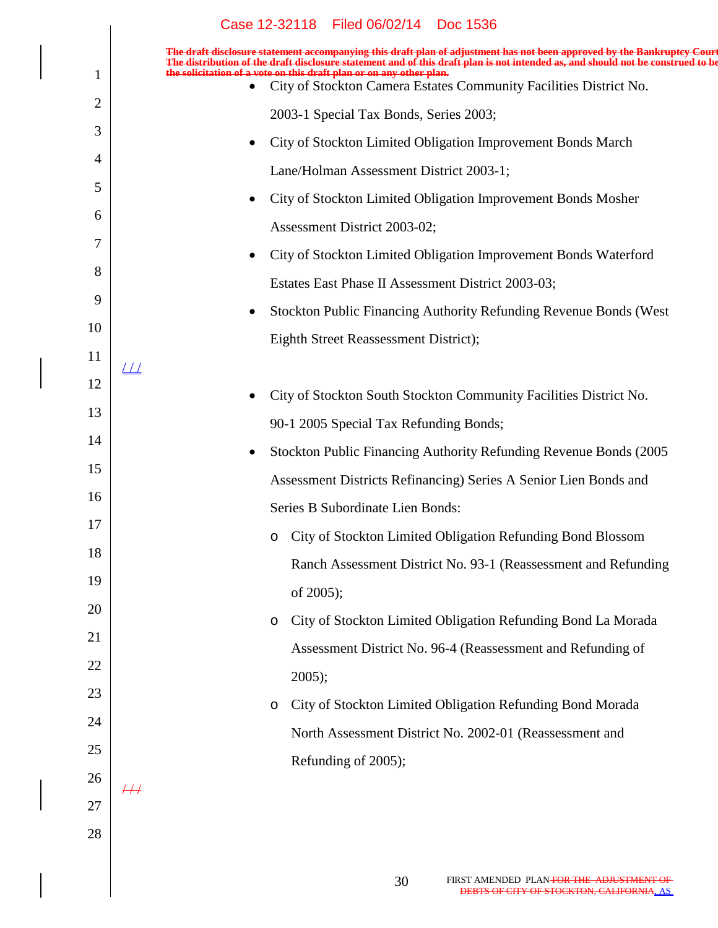|    | Case 12-32118 Filed 06/02/14<br>Doc 1536                                                                                                                                                                                                                   |
|----|------------------------------------------------------------------------------------------------------------------------------------------------------------------------------------------------------------------------------------------------------------|
|    | The draft disclosure statement accompanying this draft plan of adjustment has not been approved by the Bankruptcy Court<br>The distribution of the draft disclosure statement and of this draft plan is not intended as, and should not be construed to be |
|    | the solicitation of a vote on this draft plan or on any other plan.<br>City of Stockton Camera Estates Community Facilities District No.<br>$\bullet$                                                                                                      |
| 2  | 2003-1 Special Tax Bonds, Series 2003;                                                                                                                                                                                                                     |
| 3  | City of Stockton Limited Obligation Improvement Bonds March<br>$\bullet$                                                                                                                                                                                   |
| 4  | Lane/Holman Assessment District 2003-1;                                                                                                                                                                                                                    |
| 5  | City of Stockton Limited Obligation Improvement Bonds Mosher<br>$\bullet$                                                                                                                                                                                  |
| 6  | Assessment District 2003-02;                                                                                                                                                                                                                               |
| 7  | City of Stockton Limited Obligation Improvement Bonds Waterford<br>$\bullet$                                                                                                                                                                               |
| 8  | Estates East Phase II Assessment District 2003-03;                                                                                                                                                                                                         |
| 9  | Stockton Public Financing Authority Refunding Revenue Bonds (West<br>$\bullet$                                                                                                                                                                             |
| 10 | Eighth Street Reassessment District);                                                                                                                                                                                                                      |
| 11 | $\perp\!\!\!\perp$                                                                                                                                                                                                                                         |
| 12 | City of Stockton South Stockton Community Facilities District No.<br>$\bullet$                                                                                                                                                                             |
| 13 | 90-1 2005 Special Tax Refunding Bonds;                                                                                                                                                                                                                     |
| 14 | Stockton Public Financing Authority Refunding Revenue Bonds (2005)<br>$\bullet$                                                                                                                                                                            |
| 15 | Assessment Districts Refinancing) Series A Senior Lien Bonds and                                                                                                                                                                                           |
| 16 | Series B Subordinate Lien Bonds:                                                                                                                                                                                                                           |
| 17 | City of Stockton Limited Obligation Refunding Bond Blossom<br>$\circ$                                                                                                                                                                                      |
| 18 | Ranch Assessment District No. 93-1 (Reassessment and Refunding                                                                                                                                                                                             |
| 19 | of 2005);                                                                                                                                                                                                                                                  |
| 20 | City of Stockton Limited Obligation Refunding Bond La Morada<br>$\circ$                                                                                                                                                                                    |
| 21 | Assessment District No. 96-4 (Reassessment and Refunding of                                                                                                                                                                                                |
| 22 | $2005$ ;                                                                                                                                                                                                                                                   |
| 23 | City of Stockton Limited Obligation Refunding Bond Morada<br>$\circ$                                                                                                                                                                                       |
| 24 | North Assessment District No. 2002-01 (Reassessment and                                                                                                                                                                                                    |
| 25 | Refunding of 2005);                                                                                                                                                                                                                                        |
| 26 | $\overline{+}\overline{+}$                                                                                                                                                                                                                                 |
| 27 |                                                                                                                                                                                                                                                            |
| 28 |                                                                                                                                                                                                                                                            |
|    |                                                                                                                                                                                                                                                            |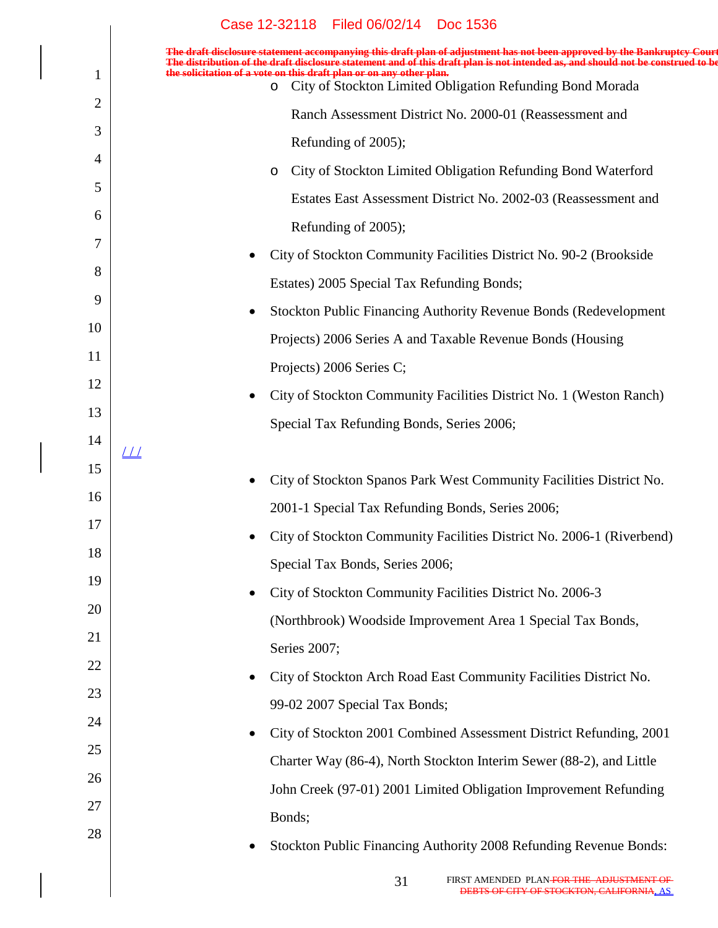|                | Case 12-32118 Filed 06/02/14 Doc 1536                                                                                                                                                                                                                      |
|----------------|------------------------------------------------------------------------------------------------------------------------------------------------------------------------------------------------------------------------------------------------------------|
|                | The draft disclosure statement accompanying this draft plan of adjustment has not been approved by the Bankruptcy Court<br>The distribution of the draft disclosure statement and of this draft plan is not intended as, and should not be construed to be |
| $\mathbf{1}$   | the solicitation of a vote on this draft plan or on any other plan.<br>o City of Stockton Limited Obligation Refunding Bond Morada                                                                                                                         |
| $\overline{2}$ | Ranch Assessment District No. 2000-01 (Reassessment and                                                                                                                                                                                                    |
| 3              | Refunding of 2005);                                                                                                                                                                                                                                        |
| $\overline{4}$ | City of Stockton Limited Obligation Refunding Bond Waterford<br>$\circ$                                                                                                                                                                                    |
| 5              | Estates East Assessment District No. 2002-03 (Reassessment and                                                                                                                                                                                             |
| 6              | Refunding of 2005);                                                                                                                                                                                                                                        |
| 7              | City of Stockton Community Facilities District No. 90-2 (Brookside                                                                                                                                                                                         |
| 8              | Estates) 2005 Special Tax Refunding Bonds;                                                                                                                                                                                                                 |
| 9              | Stockton Public Financing Authority Revenue Bonds (Redevelopment                                                                                                                                                                                           |
| 10             | Projects) 2006 Series A and Taxable Revenue Bonds (Housing                                                                                                                                                                                                 |
| 11             | Projects) 2006 Series C;                                                                                                                                                                                                                                   |
| 12             | City of Stockton Community Facilities District No. 1 (Weston Ranch)                                                                                                                                                                                        |
| 13             | Special Tax Refunding Bonds, Series 2006;                                                                                                                                                                                                                  |
| 14             | <u> 1 1</u>                                                                                                                                                                                                                                                |
| 15             | City of Stockton Spanos Park West Community Facilities District No.                                                                                                                                                                                        |
| 16             | 2001-1 Special Tax Refunding Bonds, Series 2006;                                                                                                                                                                                                           |
| 17             | City of Stockton Community Facilities District No. 2006-1 (Riverbend)                                                                                                                                                                                      |
| 18             | Special Tax Bonds, Series 2006;                                                                                                                                                                                                                            |
| 19             | City of Stockton Community Facilities District No. 2006-3<br>$\bullet$                                                                                                                                                                                     |
| 20             | (Northbrook) Woodside Improvement Area 1 Special Tax Bonds,                                                                                                                                                                                                |
| 21             | Series 2007;                                                                                                                                                                                                                                               |
| 22             | City of Stockton Arch Road East Community Facilities District No.                                                                                                                                                                                          |
| 23             | 99-02 2007 Special Tax Bonds;                                                                                                                                                                                                                              |
| 24             | City of Stockton 2001 Combined Assessment District Refunding, 2001                                                                                                                                                                                         |
| 25             | Charter Way (86-4), North Stockton Interim Sewer (88-2), and Little                                                                                                                                                                                        |
| 26             | John Creek (97-01) 2001 Limited Obligation Improvement Refunding                                                                                                                                                                                           |
| 27             | Bonds;                                                                                                                                                                                                                                                     |
| 28             | Stockton Public Financing Authority 2008 Refunding Revenue Bonds:                                                                                                                                                                                          |
|                |                                                                                                                                                                                                                                                            |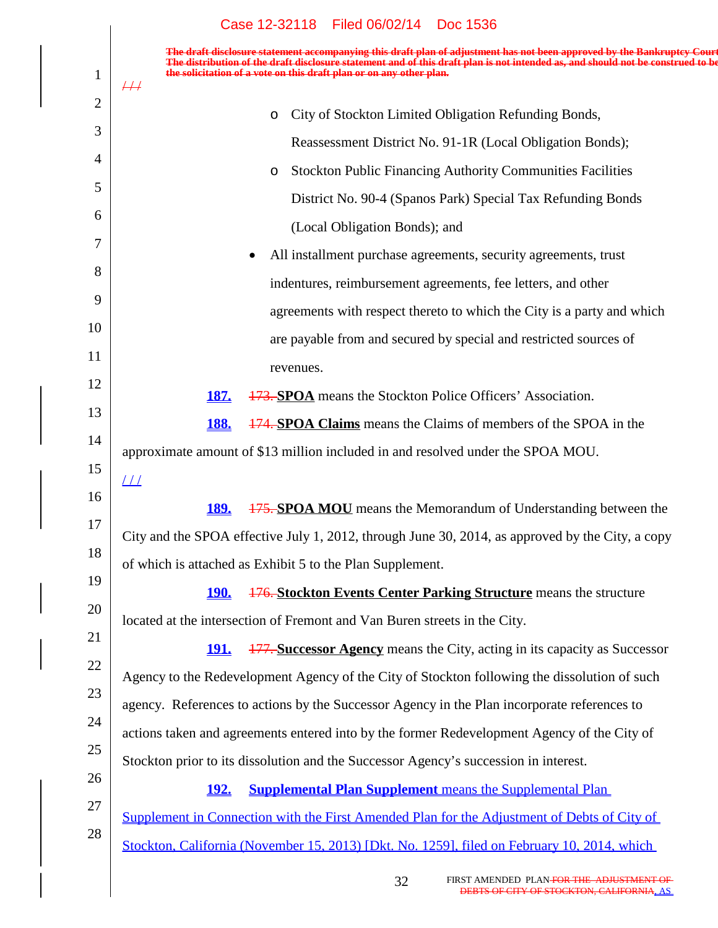$\overline{\phantom{a}}$ 

| $\mathbf{1}$ | The draft disclosure statement accompanying this draft plan of adjustment has not been approved by the Bankruptcy Court<br>listribution of the draft disclosure statement and of this draft plan is not intended as, and should not be construed to be<br>the solicitation of a vote on this draft plan or on any other plan.<br>$\#$ |
|--------------|---------------------------------------------------------------------------------------------------------------------------------------------------------------------------------------------------------------------------------------------------------------------------------------------------------------------------------------|
| 2            |                                                                                                                                                                                                                                                                                                                                       |
| 3            | City of Stockton Limited Obligation Refunding Bonds,<br>$\circ$                                                                                                                                                                                                                                                                       |
| 4            | Reassessment District No. 91-1R (Local Obligation Bonds);                                                                                                                                                                                                                                                                             |
| 5            | <b>Stockton Public Financing Authority Communities Facilities</b><br>$\circ$                                                                                                                                                                                                                                                          |
|              | District No. 90-4 (Spanos Park) Special Tax Refunding Bonds                                                                                                                                                                                                                                                                           |
| 6            | (Local Obligation Bonds); and                                                                                                                                                                                                                                                                                                         |
| 7            | All installment purchase agreements, security agreements, trust                                                                                                                                                                                                                                                                       |
| 8            | indentures, reimbursement agreements, fee letters, and other                                                                                                                                                                                                                                                                          |
| 9            | agreements with respect thereto to which the City is a party and which                                                                                                                                                                                                                                                                |
| 10           | are payable from and secured by special and restricted sources of                                                                                                                                                                                                                                                                     |
| 11           | revenues.                                                                                                                                                                                                                                                                                                                             |
| 12           | 173. SPOA means the Stockton Police Officers' Association.<br>187.                                                                                                                                                                                                                                                                    |
| 13           | <b>174. SPOA Claims</b> means the Claims of members of the SPOA in the<br><b>188.</b>                                                                                                                                                                                                                                                 |
| 14           |                                                                                                                                                                                                                                                                                                                                       |
| 15           | approximate amount of \$13 million included in and resolved under the SPOA MOU.                                                                                                                                                                                                                                                       |
| 16           | $\perp\!\!\!\perp$                                                                                                                                                                                                                                                                                                                    |
| 17           | <b>189.</b><br><b>175. SPOA MOU</b> means the Memorandum of Understanding between the                                                                                                                                                                                                                                                 |
| 18           | City and the SPOA effective July 1, 2012, through June 30, 2014, as approved by the City, a copy                                                                                                                                                                                                                                      |
| 19           | of which is attached as Exhibit 5 to the Plan Supplement.                                                                                                                                                                                                                                                                             |
|              | 176. Stockton Events Center Parking Structure means the structure<br><u>190.</u>                                                                                                                                                                                                                                                      |
| 20           | located at the intersection of Fremont and Van Buren streets in the City.                                                                                                                                                                                                                                                             |
| 21           | <b>177. Successor Agency</b> means the City, acting in its capacity as Successor<br><u> 191.</u>                                                                                                                                                                                                                                      |
| 22           | Agency to the Redevelopment Agency of the City of Stockton following the dissolution of such                                                                                                                                                                                                                                          |
| 23           | agency. References to actions by the Successor Agency in the Plan incorporate references to                                                                                                                                                                                                                                           |
| 24           | actions taken and agreements entered into by the former Redevelopment Agency of the City of                                                                                                                                                                                                                                           |
| 25           | Stockton prior to its dissolution and the Successor Agency's succession in interest.                                                                                                                                                                                                                                                  |
| 26           | <b>Supplemental Plan Supplement</b> means the Supplemental Plan<br><u>192.</u>                                                                                                                                                                                                                                                        |
| 27           | Supplement in Connection with the First Amended Plan for the Adjustment of Debts of City of                                                                                                                                                                                                                                           |
| 28           |                                                                                                                                                                                                                                                                                                                                       |
|              | Stockton, California (November 15, 2013) [Dkt. No. 1259], filed on February 10, 2014, which                                                                                                                                                                                                                                           |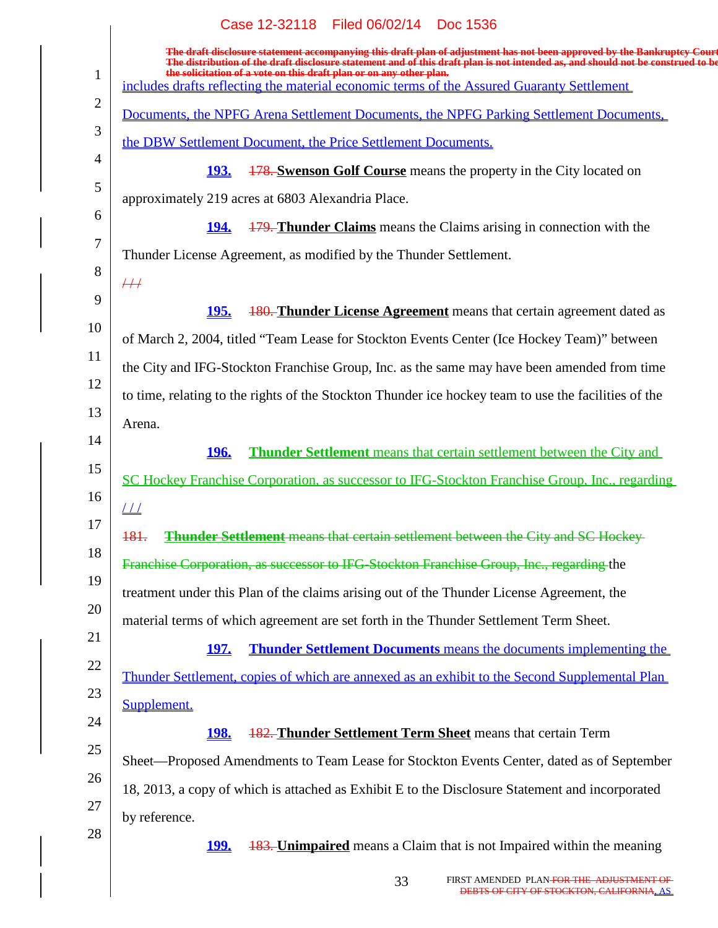|                | Case 12-32118 Filed 06/02/14 Doc 1536                                                                                                                                                                                                                                                                                             |
|----------------|-----------------------------------------------------------------------------------------------------------------------------------------------------------------------------------------------------------------------------------------------------------------------------------------------------------------------------------|
| $\mathbf{1}$   | The draft disclosure statement accompanying this draft plan of adjustment has not been approved by the Bankruptcy Court<br>The distribution of the draft disclosure statement and of this draft plan is not intended as, and should not be construed to be<br>the solicitation of a vote on this draft plan or on any other plan. |
|                | includes drafts reflecting the material economic terms of the Assured Guaranty Settlement                                                                                                                                                                                                                                         |
| $\overline{2}$ | Documents, the NPFG Arena Settlement Documents, the NPFG Parking Settlement Documents,                                                                                                                                                                                                                                            |
| 3              | the DBW Settlement Document, the Price Settlement Documents.                                                                                                                                                                                                                                                                      |
| $\overline{4}$ | <u>193.</u><br><b>178. Swenson Golf Course</b> means the property in the City located on                                                                                                                                                                                                                                          |
| 5              | approximately 219 acres at 6803 Alexandria Place.                                                                                                                                                                                                                                                                                 |
| 6              | <b>179. Thunder Claims</b> means the Claims arising in connection with the<br><u><b>194.</b></u>                                                                                                                                                                                                                                  |
| 7              | Thunder License Agreement, as modified by the Thunder Settlement.                                                                                                                                                                                                                                                                 |
| 8              | #                                                                                                                                                                                                                                                                                                                                 |
| 9              | <b>180. Thunder License Agreement</b> means that certain agreement dated as<br><u>195.</u>                                                                                                                                                                                                                                        |
| 10             | of March 2, 2004, titled "Team Lease for Stockton Events Center (Ice Hockey Team)" between                                                                                                                                                                                                                                        |
| 11             | the City and IFG-Stockton Franchise Group, Inc. as the same may have been amended from time                                                                                                                                                                                                                                       |
| 12             | to time, relating to the rights of the Stockton Thunder ice hockey team to use the facilities of the                                                                                                                                                                                                                              |
| 13             | Arena.                                                                                                                                                                                                                                                                                                                            |
| 14             | <b>Thunder Settlement</b> means that certain settlement between the City and<br><u>196.</u>                                                                                                                                                                                                                                       |
| 15             | SC Hockey Franchise Corporation, as successor to IFG-Stockton Franchise Group, Inc., regarding                                                                                                                                                                                                                                    |
| 16             | $\perp\!\!\!\perp$                                                                                                                                                                                                                                                                                                                |
| 17             | <b>Thunder Settlement</b> means that certain settlement between the City and SC Hockey-<br><del>181.</del>                                                                                                                                                                                                                        |
| 18             | Franchise Corporation, as successor to IFG-Stockton Franchise Group, Inc., regarding the                                                                                                                                                                                                                                          |
| 19             | treatment under this Plan of the claims arising out of the Thunder License Agreement, the                                                                                                                                                                                                                                         |
| 20             | material terms of which agreement are set forth in the Thunder Settlement Term Sheet.                                                                                                                                                                                                                                             |
| 21             | <b>Thunder Settlement Documents</b> means the documents implementing the<br><u>197.</u>                                                                                                                                                                                                                                           |
| 22             | Thunder Settlement, copies of which are annexed as an exhibit to the Second Supplemental Plan                                                                                                                                                                                                                                     |
| 23             | Supplement.                                                                                                                                                                                                                                                                                                                       |
| 24             | <b>182. Thunder Settlement Term Sheet</b> means that certain Term<br><u>198.</u>                                                                                                                                                                                                                                                  |
| 25             | Sheet—Proposed Amendments to Team Lease for Stockton Events Center, dated as of September                                                                                                                                                                                                                                         |
| 26             | 18, 2013, a copy of which is attached as Exhibit E to the Disclosure Statement and incorporated                                                                                                                                                                                                                                   |
| 27             | by reference.                                                                                                                                                                                                                                                                                                                     |
| 28             | <b>183. Unimpaired</b> means a Claim that is not Impaired within the meaning<br><u>199.</u>                                                                                                                                                                                                                                       |
|                |                                                                                                                                                                                                                                                                                                                                   |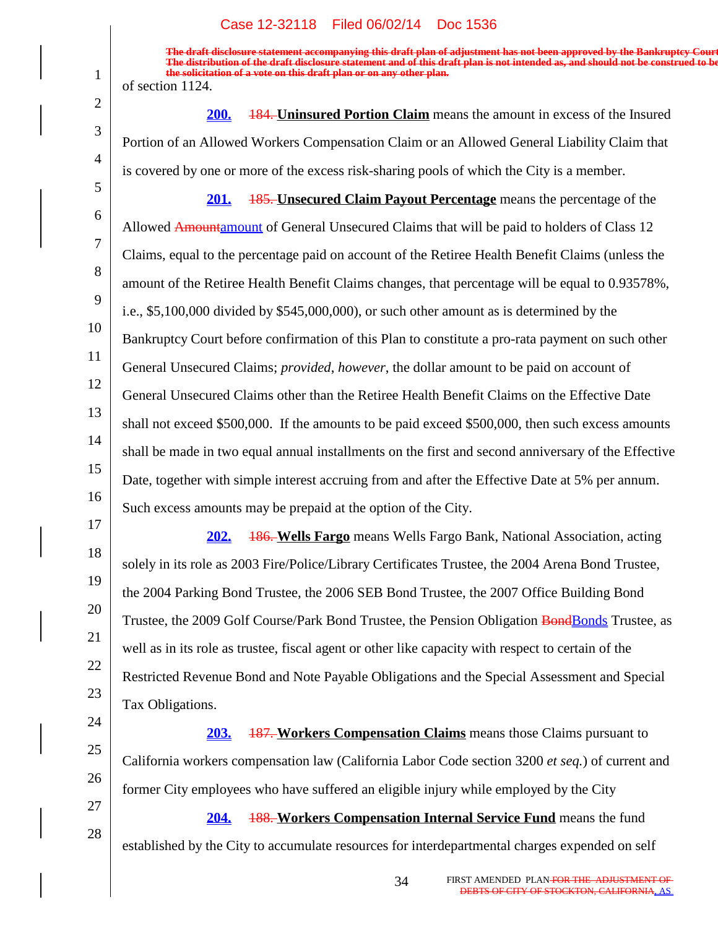1

2

3

4

5

17

18

21

22

23

24

25

26

27

28

**The draft disclosure statement accompanying this draft plan of adjustment has not been approved by the Bankruptcy Court. The distribution of the draft disclosure statement and of this draft plan is not intended as, and should not be construed to be, the solicitation of a vote on this draft plan or on any other plan.** of section 1124.

**200.** 184. **Uninsured Portion Claim** means the amount in excess of the Insured Portion of an Allowed Workers Compensation Claim or an Allowed General Liability Claim that is covered by one or more of the excess risk-sharing pools of which the City is a member.

6 7 8 9 10 11 12 13 14 15 16 **201.** 185. **Unsecured Claim Payout Percentage** means the percentage of the Allowed Amountamount of General Unsecured Claims that will be paid to holders of Class 12 Claims, equal to the percentage paid on account of the Retiree Health Benefit Claims (unless the amount of the Retiree Health Benefit Claims changes, that percentage will be equal to 0.93578%, i.e., \$5,100,000 divided by \$545,000,000), or such other amount as is determined by the Bankruptcy Court before confirmation of this Plan to constitute a pro-rata payment on such other General Unsecured Claims; *provided*, *however*, the dollar amount to be paid on account of General Unsecured Claims other than the Retiree Health Benefit Claims on the Effective Date shall not exceed \$500,000. If the amounts to be paid exceed \$500,000, then such excess amounts shall be made in two equal annual installments on the first and second anniversary of the Effective Date, together with simple interest accruing from and after the Effective Date at 5% per annum. Such excess amounts may be prepaid at the option of the City.

19 20 **202.** 186. **Wells Fargo** means Wells Fargo Bank, National Association, acting solely in its role as 2003 Fire/Police/Library Certificates Trustee, the 2004 Arena Bond Trustee, the 2004 Parking Bond Trustee, the 2006 SEB Bond Trustee, the 2007 Office Building Bond Trustee, the 2009 Golf Course/Park Bond Trustee, the Pension Obligation BondBonds Trustee, as well as in its role as trustee, fiscal agent or other like capacity with respect to certain of the Restricted Revenue Bond and Note Payable Obligations and the Special Assessment and Special Tax Obligations.

**203.** 187. **Workers Compensation Claims** means those Claims pursuant to California workers compensation law (California Labor Code section 3200 *et seq.*) of current and former City employees who have suffered an eligible injury while employed by the City

**204.** 188. **Workers Compensation Internal Service Fund** means the fund established by the City to accumulate resources for interdepartmental charges expended on self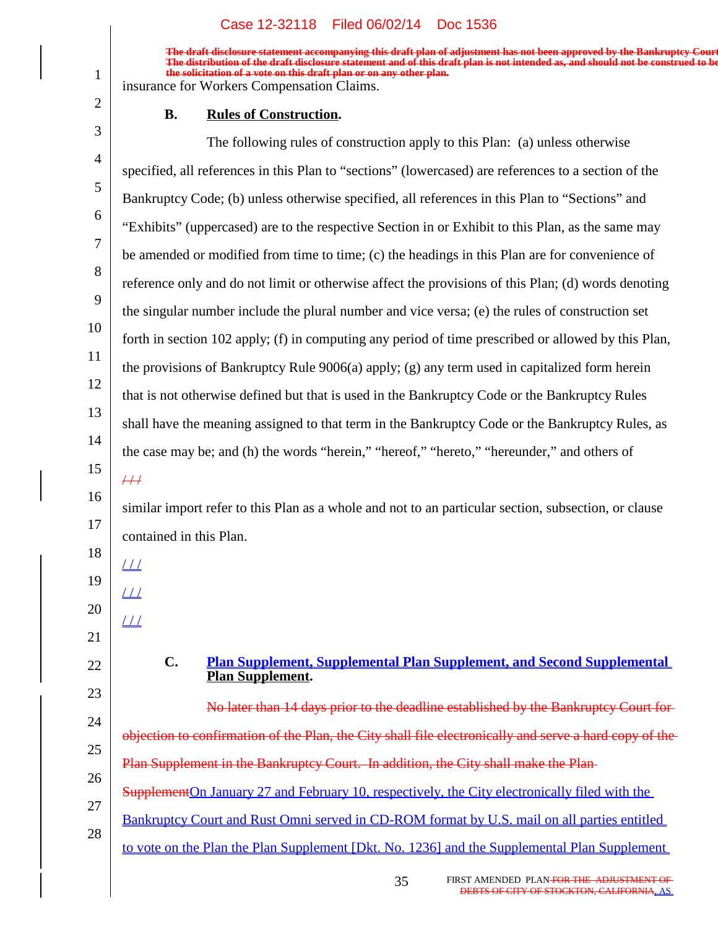**The draft disclosure statement accompanying this draft plan of adjustment has not been approved by the Bankruptcy Court. The distribution of the draft disclosure statement and of this draft plan is not intended as, and should not be construed to be, the solicitation of a vote on this draft plan or on any other plan.**

insurance for Workers Compensation Claims.

1

2

#### **Rules of Construction.**

3 4 5 6 7 8 9 10 11 12 13 14 15 16 17 18 19 20 21 22 23 24 25 26 27 28 The following rules of construction apply to this Plan: (a) unless otherwise specified, all references in this Plan to "sections" (lowercased) are references to a section of the Bankruptcy Code; (b) unless otherwise specified, all references in this Plan to "Sections" and "Exhibits" (uppercased) are to the respective Section in or Exhibit to this Plan, as the same may be amended or modified from time to time; (c) the headings in this Plan are for convenience of reference only and do not limit or otherwise affect the provisions of this Plan; (d) words denoting the singular number include the plural number and vice versa; (e) the rules of construction set forth in section 102 apply; (f) in computing any period of time prescribed or allowed by this Plan, the provisions of Bankruptcy Rule 9006(a) apply; (g) any term used in capitalized form herein that is not otherwise defined but that is used in the Bankruptcy Code or the Bankruptcy Rules shall have the meaning assigned to that term in the Bankruptcy Code or the Bankruptcy Rules, as the case may be; and (h) the words "herein," "hereof," "hereto," "hereunder," and others of  $/ 1$ similar import refer to this Plan as a whole and not to an particular section, subsection, or clause contained in this Plan.  $\angle\!\!\!\perp\!\!\!\perp$  $11/$  $11/$ **C. Plan Supplement, Supplemental Plan Supplement, and Second Supplemental Plan Supplement.** No later than 14 days prior to the deadline established by the Bankruptcy Court for objection to confirmation of the Plan, the City shall file electronically and serve a hard copy of the Plan Supplement in the Bankruptcy Court. In addition, the City shall make the Plan Supplement On January 27 and February 10, respectively, the City electronically filed with the Bankruptcy Court and Rust Omni served in CD-ROM format by U.S. mail on all parties entitled to vote on the Plan the Plan Supplement [Dkt. No. 1236] and the Supplemental Plan Supplement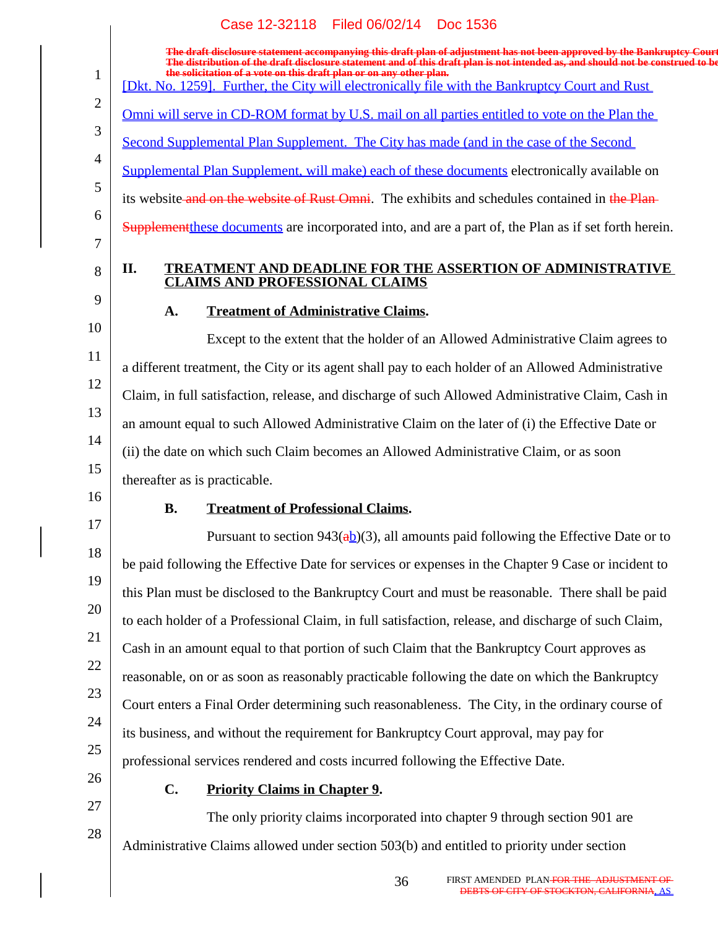|                | Case 12-32118 Filed 06/02/14 Doc 1536                                                                                                                                                                                                                                                                                             |
|----------------|-----------------------------------------------------------------------------------------------------------------------------------------------------------------------------------------------------------------------------------------------------------------------------------------------------------------------------------|
| $\mathbf{1}$   | The draft disclosure statement accompanying this draft plan of adjustment has not been approved by the Bankruptcy Court<br>The distribution of the draft disclosure statement and of this draft plan is not intended as, and should not be construed to be<br>the solicitation of a vote on this draft plan or on any other plan. |
| $\overline{2}$ | [Dkt. No. 1259]. Further, the City will electronically file with the Bankruptcy Court and Rust                                                                                                                                                                                                                                    |
|                | <u>Omni will serve in CD-ROM format by U.S. mail on all parties entitled to vote on the Plan the</u>                                                                                                                                                                                                                              |
| 3              | Second Supplemental Plan Supplement. The City has made (and in the case of the Second                                                                                                                                                                                                                                             |
| $\overline{4}$ | Supplemental Plan Supplement, will make) each of these documents electronically available on                                                                                                                                                                                                                                      |
| 5              | its website and on the website of Rust Omni. The exhibits and schedules contained in the Plan-                                                                                                                                                                                                                                    |
| 6<br>7         | <b>Supplement</b> these documents are incorporated into, and are a part of, the Plan as if set forth herein.                                                                                                                                                                                                                      |
| 8              | TREATMENT AND DEADLINE FOR THE ASSERTION OF ADMINISTRATIVE<br>II.<br><b>CLAIMS AND PROFESSIONAL CLAIMS</b>                                                                                                                                                                                                                        |
| 9              | <b>Treatment of Administrative Claims.</b><br>A.                                                                                                                                                                                                                                                                                  |
| 10             | Except to the extent that the holder of an Allowed Administrative Claim agrees to                                                                                                                                                                                                                                                 |
| 11             | a different treatment, the City or its agent shall pay to each holder of an Allowed Administrative                                                                                                                                                                                                                                |
| 12             | Claim, in full satisfaction, release, and discharge of such Allowed Administrative Claim, Cash in                                                                                                                                                                                                                                 |
| 13             | an amount equal to such Allowed Administrative Claim on the later of (i) the Effective Date or                                                                                                                                                                                                                                    |
| 14             | (ii) the date on which such Claim becomes an Allowed Administrative Claim, or as soon                                                                                                                                                                                                                                             |
| 15             | thereafter as is practicable.                                                                                                                                                                                                                                                                                                     |
| 16             | <b>B.</b><br><b>Treatment of Professional Claims.</b>                                                                                                                                                                                                                                                                             |
| 17             | Pursuant to section 943( $a\underline{b}$ )(3), all amounts paid following the Effective Date or to                                                                                                                                                                                                                               |
| 18             | be paid following the Effective Date for services or expenses in the Chapter 9 Case or incident to                                                                                                                                                                                                                                |
| 19             | this Plan must be disclosed to the Bankruptcy Court and must be reasonable. There shall be paid                                                                                                                                                                                                                                   |
| 20             | to each holder of a Professional Claim, in full satisfaction, release, and discharge of such Claim,                                                                                                                                                                                                                               |
| 21             | Cash in an amount equal to that portion of such Claim that the Bankruptcy Court approves as                                                                                                                                                                                                                                       |
| 22             | reasonable, on or as soon as reasonably practicable following the date on which the Bankruptcy                                                                                                                                                                                                                                    |
| 23             | Court enters a Final Order determining such reasonableness. The City, in the ordinary course of                                                                                                                                                                                                                                   |
| 24             | its business, and without the requirement for Bankruptcy Court approval, may pay for                                                                                                                                                                                                                                              |
| 25             | professional services rendered and costs incurred following the Effective Date.                                                                                                                                                                                                                                                   |
| 26             | C.<br><b>Priority Claims in Chapter 9.</b>                                                                                                                                                                                                                                                                                        |
| 27             | The only priority claims incorporated into chapter 9 through section 901 are                                                                                                                                                                                                                                                      |
| 28             | Administrative Claims allowed under section 503(b) and entitled to priority under section                                                                                                                                                                                                                                         |
|                |                                                                                                                                                                                                                                                                                                                                   |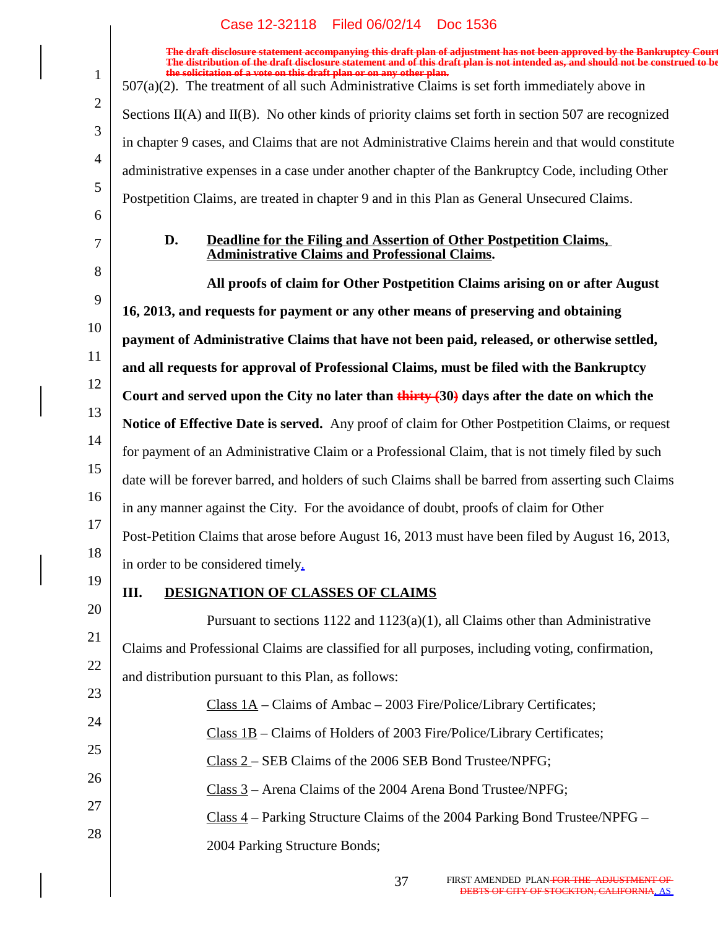|                | Case IZ-92110 Filed 00/02/14 FD0C 1990                                                                                                                                                                                                                                                                   |
|----------------|----------------------------------------------------------------------------------------------------------------------------------------------------------------------------------------------------------------------------------------------------------------------------------------------------------|
|                | The draft disclosure statement accompanying this draft plan of adjustment has not been approved by the Bankruptcy Court<br>The distribution of the draft disclosure statement and of this draft plan is not intended as, and shou<br>the solicitation of a vote on this draft plan or on any other plan. |
| $\mathbf{1}$   | $507(a)(2)$ . The treatment of all such Administrative Claims is set forth immediately above in                                                                                                                                                                                                          |
| 2              | Sections $II(A)$ and $II(B)$ . No other kinds of priority claims set forth in section 507 are recognized                                                                                                                                                                                                 |
| 3              | in chapter 9 cases, and Claims that are not Administrative Claims herein and that would constitute                                                                                                                                                                                                       |
| $\overline{4}$ | administrative expenses in a case under another chapter of the Bankruptcy Code, including Other                                                                                                                                                                                                          |
| 5              | Postpetition Claims, are treated in chapter 9 and in this Plan as General Unsecured Claims.                                                                                                                                                                                                              |
| 6<br>7         | Deadline for the Filing and Assertion of Other Postpetition Claims,<br>D.<br><b>Administrative Claims and Professional Claims.</b>                                                                                                                                                                       |
| 8              | All proofs of claim for Other Postpetition Claims arising on or after August                                                                                                                                                                                                                             |
| 9              | 16, 2013, and requests for payment or any other means of preserving and obtaining                                                                                                                                                                                                                        |
| 10             | payment of Administrative Claims that have not been paid, released, or otherwise settled,                                                                                                                                                                                                                |
| 11             | and all requests for approval of Professional Claims, must be filed with the Bankruptcy                                                                                                                                                                                                                  |
| 12             | Court and served upon the City no later than $\frac{1}{\text{thirty}}(30)$ days after the date on which the                                                                                                                                                                                              |
| 13             | Notice of Effective Date is served. Any proof of claim for Other Postpetition Claims, or request                                                                                                                                                                                                         |
| 14             | for payment of an Administrative Claim or a Professional Claim, that is not timely filed by such                                                                                                                                                                                                         |
| 15             | date will be forever barred, and holders of such Claims shall be barred from asserting such Claims                                                                                                                                                                                                       |
| 16             | in any manner against the City. For the avoidance of doubt, proofs of claim for Other                                                                                                                                                                                                                    |
| 17             | Post-Petition Claims that arose before August 16, 2013 must have been filed by August 16, 2013,                                                                                                                                                                                                          |
| 18             | in order to be considered timely.                                                                                                                                                                                                                                                                        |
| 19             | III.<br><b>DESIGNATION OF CLASSES OF CLAIMS</b>                                                                                                                                                                                                                                                          |
| 20             | Pursuant to sections $1122$ and $1123(a)(1)$ , all Claims other than Administrative                                                                                                                                                                                                                      |
| 21             | Claims and Professional Claims are classified for all purposes, including voting, confirmation,                                                                                                                                                                                                          |
| 22             | and distribution pursuant to this Plan, as follows:                                                                                                                                                                                                                                                      |
| 23             | Class $1A$ – Claims of Ambac – 2003 Fire/Police/Library Certificates;                                                                                                                                                                                                                                    |
| 24             | Class $1B$ – Claims of Holders of 2003 Fire/Police/Library Certificates;                                                                                                                                                                                                                                 |
| 25             | Class 2 – SEB Claims of the 2006 SEB Bond Trustee/NPFG;                                                                                                                                                                                                                                                  |
| 26             | Class 3 – Arena Claims of the 2004 Arena Bond Trustee/NPFG;                                                                                                                                                                                                                                              |
| 27             | $Class 4$ – Parking Structure Claims of the 2004 Parking Bond Trustee/NPFG –                                                                                                                                                                                                                             |
| 28             | 2004 Parking Structure Bonds;                                                                                                                                                                                                                                                                            |
|                |                                                                                                                                                                                                                                                                                                          |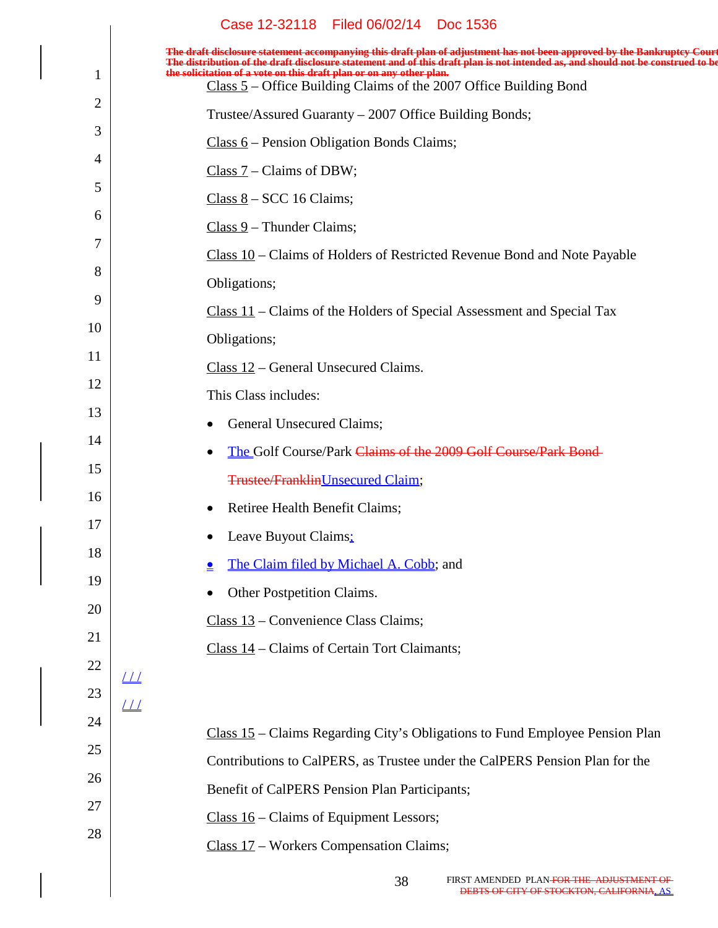|          | Case 12-32118 Filed 06/02/14 Doc 1536                                                                                                                                                                                                                                                                                             |
|----------|-----------------------------------------------------------------------------------------------------------------------------------------------------------------------------------------------------------------------------------------------------------------------------------------------------------------------------------|
|          | The draft disclosure statement accompanying this draft plan of adjustment has not been approved by the Bankruptcy Court<br>The distribution of the draft disclosure statement and of this draft plan is not intended as, and should not be construed to be<br>the solicitation of a vote on this draft plan or on any other plan. |
| 1        | $Class 5 - Office Building Claims of the 2007 Office Building Bond$                                                                                                                                                                                                                                                               |
| 2        | Trustee/Assured Guaranty – 2007 Office Building Bonds;                                                                                                                                                                                                                                                                            |
| 3        | $Class 6 - Pearson Obligation Bonds Claus;$                                                                                                                                                                                                                                                                                       |
| 4        | Class $7$ – Claims of DBW;                                                                                                                                                                                                                                                                                                        |
| 5        | $Class 8 - SCC 16 Clains;$                                                                                                                                                                                                                                                                                                        |
| 6        | $Class 9$ – Thunder Claims;                                                                                                                                                                                                                                                                                                       |
| 7        | Class 10 – Claims of Holders of Restricted Revenue Bond and Note Payable                                                                                                                                                                                                                                                          |
| 8        | Obligations;                                                                                                                                                                                                                                                                                                                      |
| 9        | $Class 11$ – Claims of the Holders of Special Assessment and Special Tax                                                                                                                                                                                                                                                          |
| 10       | Obligations;                                                                                                                                                                                                                                                                                                                      |
| 11       | $Class 12 - General Unsecured Claims.$                                                                                                                                                                                                                                                                                            |
| 12       | This Class includes:                                                                                                                                                                                                                                                                                                              |
| 13       | General Unsecured Claims;                                                                                                                                                                                                                                                                                                         |
| 14       | The Golf Course/Park Claims of the 2009 Golf Course/Park Bond-<br>$\bullet$                                                                                                                                                                                                                                                       |
| 15       | <b>Trustee/Franklin</b> Unsecured Claim;                                                                                                                                                                                                                                                                                          |
| 16       | Retiree Health Benefit Claims;                                                                                                                                                                                                                                                                                                    |
| 17       | Leave Buyout Claims:                                                                                                                                                                                                                                                                                                              |
| 18       | The Claim filed by Michael A. Cobb; and<br>≗                                                                                                                                                                                                                                                                                      |
| 19       | Other Postpetition Claims.<br>٠                                                                                                                                                                                                                                                                                                   |
| 20       | Class 13 – Convenience Class Claims;                                                                                                                                                                                                                                                                                              |
| 21<br>22 | Class 14 – Claims of Certain Tort Claimants;                                                                                                                                                                                                                                                                                      |
| 23       | $\perp\!\!\!\perp$                                                                                                                                                                                                                                                                                                                |
| 24       | $\sqrt{11}$                                                                                                                                                                                                                                                                                                                       |
| 25       | Class 15 – Claims Regarding City's Obligations to Fund Employee Pension Plan                                                                                                                                                                                                                                                      |
| 26       | Contributions to CalPERS, as Trustee under the CalPERS Pension Plan for the                                                                                                                                                                                                                                                       |
| 27       | Benefit of CalPERS Pension Plan Participants;                                                                                                                                                                                                                                                                                     |
| 28       | Class $16$ – Claims of Equipment Lessors;                                                                                                                                                                                                                                                                                         |
|          | Class 17 – Workers Compensation Claims;                                                                                                                                                                                                                                                                                           |
|          |                                                                                                                                                                                                                                                                                                                                   |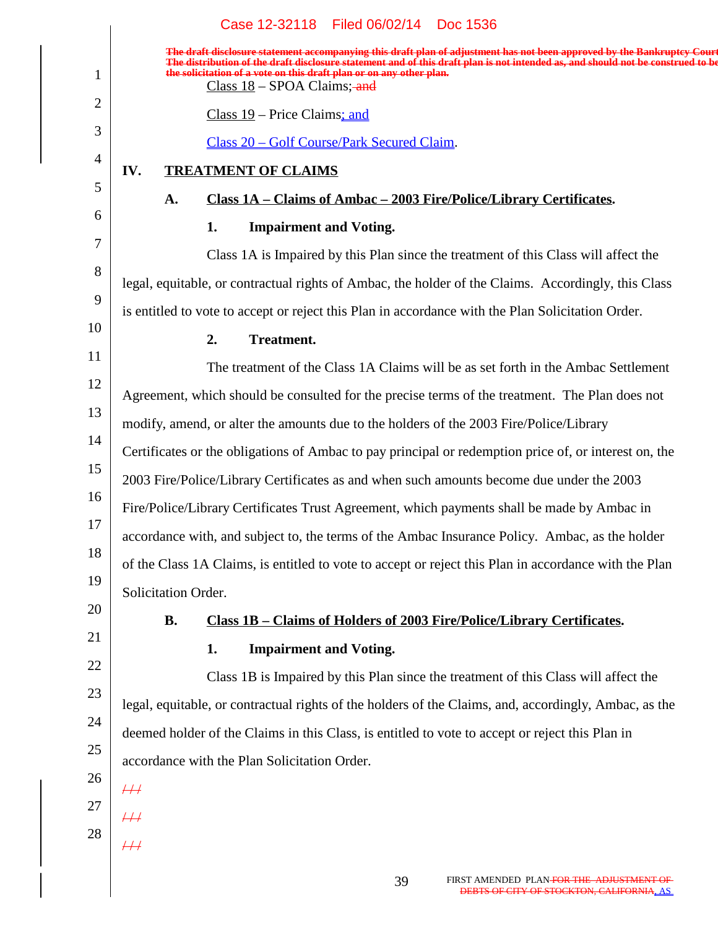|                | Case 12-32118<br>Filed 06/02/14<br>Doc 1536                                                                                                                                                                                                                                                                                                                        |
|----------------|--------------------------------------------------------------------------------------------------------------------------------------------------------------------------------------------------------------------------------------------------------------------------------------------------------------------------------------------------------------------|
| 1              | The draft disclosure statement accompanying this draft plan of adjustment has not been approved by the Bankruptcy Court<br>The distribution of the draft disclosure statement and of this draft plan is not intended as, and should not be construed to be<br>the solicitation of a vote on this draft plan or on any other plan.<br>$Class 18 - SPOA Clains;$ and |
| $\overline{2}$ | $Class 19 - Price Clains; and$                                                                                                                                                                                                                                                                                                                                     |
| 3              | Class 20 - Golf Course/Park Secured Claim.                                                                                                                                                                                                                                                                                                                         |
| $\overline{4}$ | IV.<br><b>TREATMENT OF CLAIMS</b>                                                                                                                                                                                                                                                                                                                                  |
| 5              | <u>Class 1A – Claims of Ambac – 2003 Fire/Police/Library Certificates.</u><br>A.                                                                                                                                                                                                                                                                                   |
| 6              | <b>Impairment and Voting.</b><br>1.                                                                                                                                                                                                                                                                                                                                |
| 7              | Class 1A is Impaired by this Plan since the treatment of this Class will affect the                                                                                                                                                                                                                                                                                |
| 8              |                                                                                                                                                                                                                                                                                                                                                                    |
| 9              | legal, equitable, or contractual rights of Ambac, the holder of the Claims. Accordingly, this Class                                                                                                                                                                                                                                                                |
| 10             | is entitled to vote to accept or reject this Plan in accordance with the Plan Solicitation Order.                                                                                                                                                                                                                                                                  |
| 11             | <b>Treatment.</b><br>2.                                                                                                                                                                                                                                                                                                                                            |
| 12             | The treatment of the Class 1A Claims will be as set forth in the Ambac Settlement                                                                                                                                                                                                                                                                                  |
| 13             | Agreement, which should be consulted for the precise terms of the treatment. The Plan does not                                                                                                                                                                                                                                                                     |
|                | modify, amend, or alter the amounts due to the holders of the 2003 Fire/Police/Library                                                                                                                                                                                                                                                                             |
| 14             | Certificates or the obligations of Ambac to pay principal or redemption price of, or interest on, the                                                                                                                                                                                                                                                              |
| 15             | 2003 Fire/Police/Library Certificates as and when such amounts become due under the 2003                                                                                                                                                                                                                                                                           |
| 16             | Fire/Police/Library Certificates Trust Agreement, which payments shall be made by Ambac in                                                                                                                                                                                                                                                                         |
| 17             | accordance with, and subject to, the terms of the Ambac Insurance Policy. Ambac, as the holder                                                                                                                                                                                                                                                                     |
| 18             | of the Class 1A Claims, is entitled to vote to accept or reject this Plan in accordance with the Plan                                                                                                                                                                                                                                                              |
| 19             | Solicitation Order.                                                                                                                                                                                                                                                                                                                                                |
| 20             | Class 1B – Claims of Holders of 2003 Fire/Police/Library Certificates.<br><b>B.</b>                                                                                                                                                                                                                                                                                |
| 21             | <b>Impairment and Voting.</b><br>1.                                                                                                                                                                                                                                                                                                                                |
| 22             | Class 1B is Impaired by this Plan since the treatment of this Class will affect the                                                                                                                                                                                                                                                                                |
| 23             | legal, equitable, or contractual rights of the holders of the Claims, and, accordingly, Ambac, as the                                                                                                                                                                                                                                                              |
| 24             | deemed holder of the Claims in this Class, is entitled to vote to accept or reject this Plan in                                                                                                                                                                                                                                                                    |
| 25             | accordance with the Plan Solicitation Order.                                                                                                                                                                                                                                                                                                                       |
| 26             | $\overline{++}$                                                                                                                                                                                                                                                                                                                                                    |
| 27             | $\#$                                                                                                                                                                                                                                                                                                                                                               |
| 28             | $\overline{+}\overline{+}\overline{+}$                                                                                                                                                                                                                                                                                                                             |
|                |                                                                                                                                                                                                                                                                                                                                                                    |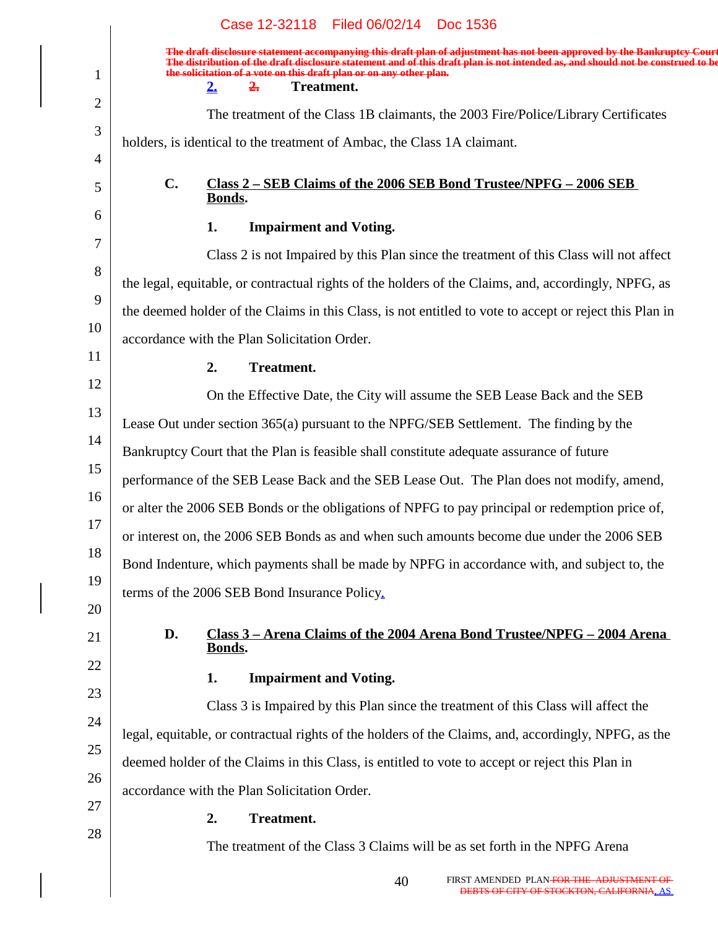|    | Case 12-32118 Filed 06/02/14 Doc 1536                                                                                                                                                                                                                                                                                                                                                  |
|----|----------------------------------------------------------------------------------------------------------------------------------------------------------------------------------------------------------------------------------------------------------------------------------------------------------------------------------------------------------------------------------------|
| 1  | The draft disclosure statement accompanying this draft plan of adjustment has not been approved by the Bankruptcy Court<br>The distribution of the draft disclosure statement and of this draft plan is not intended as, and should not be construed to be<br>the solicitation of a vote on this draft plan or on any other plan.<br><b>Treatment.</b><br>$2_{\circ}$<br>$2_{\bullet}$ |
| 2  | The treatment of the Class 1B claimants, the 2003 Fire/Police/Library Certificates                                                                                                                                                                                                                                                                                                     |
| 3  |                                                                                                                                                                                                                                                                                                                                                                                        |
| 4  | holders, is identical to the treatment of Ambac, the Class 1A claimant.                                                                                                                                                                                                                                                                                                                |
| 5  | $\mathbf{C}$ .<br>Class 2 – SEB Claims of the 2006 SEB Bond Trustee/NPFG – 2006 SEB<br>Bonds.                                                                                                                                                                                                                                                                                          |
| 6  | 1.<br><b>Impairment and Voting.</b>                                                                                                                                                                                                                                                                                                                                                    |
| 7  | Class 2 is not Impaired by this Plan since the treatment of this Class will not affect                                                                                                                                                                                                                                                                                                 |
| 8  | the legal, equitable, or contractual rights of the holders of the Claims, and, accordingly, NPFG, as                                                                                                                                                                                                                                                                                   |
| 9  | the deemed holder of the Claims in this Class, is not entitled to vote to accept or reject this Plan in                                                                                                                                                                                                                                                                                |
| 10 | accordance with the Plan Solicitation Order.                                                                                                                                                                                                                                                                                                                                           |
| 11 | <b>Treatment.</b><br>2.                                                                                                                                                                                                                                                                                                                                                                |
| 12 | On the Effective Date, the City will assume the SEB Lease Back and the SEB                                                                                                                                                                                                                                                                                                             |
| 13 | Lease Out under section 365(a) pursuant to the NPFG/SEB Settlement. The finding by the                                                                                                                                                                                                                                                                                                 |
| 14 | Bankruptcy Court that the Plan is feasible shall constitute adequate assurance of future                                                                                                                                                                                                                                                                                               |
| 15 | performance of the SEB Lease Back and the SEB Lease Out. The Plan does not modify, amend,                                                                                                                                                                                                                                                                                              |
| 16 | or alter the 2006 SEB Bonds or the obligations of NPFG to pay principal or redemption price of,                                                                                                                                                                                                                                                                                        |
| 17 | or interest on, the 2006 SEB Bonds as and when such amounts become due under the 2006 SEB                                                                                                                                                                                                                                                                                              |
| 18 | Bond Indenture, which payments shall be made by NPFG in accordance with, and subject to, the                                                                                                                                                                                                                                                                                           |
| 19 | terms of the 2006 SEB Bond Insurance Policy.                                                                                                                                                                                                                                                                                                                                           |
| 20 |                                                                                                                                                                                                                                                                                                                                                                                        |
| 21 | <u>Class 3 – Arena Claims of the 2004 Arena Bond Trustee/NPFG – 2004 Arena</u><br>D.<br>Bonds.                                                                                                                                                                                                                                                                                         |
| 22 | <b>Impairment and Voting.</b><br>1.                                                                                                                                                                                                                                                                                                                                                    |
| 23 | Class 3 is Impaired by this Plan since the treatment of this Class will affect the                                                                                                                                                                                                                                                                                                     |
| 24 | legal, equitable, or contractual rights of the holders of the Claims, and, accordingly, NPFG, as the                                                                                                                                                                                                                                                                                   |
| 25 | deemed holder of the Claims in this Class, is entitled to vote to accept or reject this Plan in                                                                                                                                                                                                                                                                                        |
| 26 | accordance with the Plan Solicitation Order.                                                                                                                                                                                                                                                                                                                                           |
| 27 | <b>Treatment.</b><br>2.                                                                                                                                                                                                                                                                                                                                                                |
| 28 | The treatment of the Class 3 Claims will be as set forth in the NPFG Arena                                                                                                                                                                                                                                                                                                             |
|    | AMENDED PI AN FOR THE ADHISTMENT OF                                                                                                                                                                                                                                                                                                                                                    |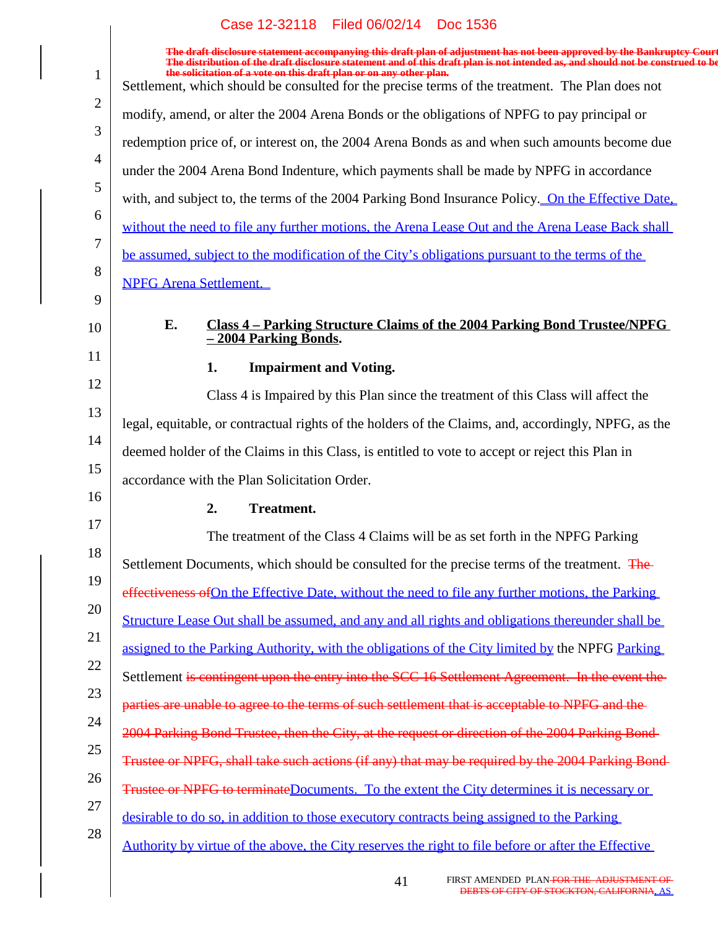|                | The draft disclosure statement accompanying this draft plan of adjustment has not been approved by the Bankruptcy Court<br>The distribution of the draft disclosure statement and of this draft plan is not intended as, and should not be construed to be |
|----------------|------------------------------------------------------------------------------------------------------------------------------------------------------------------------------------------------------------------------------------------------------------|
| $\mathbf{1}$   | the solicitation of a vote on this draft plan or on any other plan.<br>Settlement, which should be consulted for the precise terms of the treatment. The Plan does not                                                                                     |
| $\overline{2}$ | modify, amend, or alter the 2004 Arena Bonds or the obligations of NPFG to pay principal or                                                                                                                                                                |
| 3              | redemption price of, or interest on, the 2004 Arena Bonds as and when such amounts become due                                                                                                                                                              |
| $\overline{4}$ | under the 2004 Arena Bond Indenture, which payments shall be made by NPFG in accordance                                                                                                                                                                    |
| 5              | with, and subject to, the terms of the 2004 Parking Bond Insurance Policy. On the Effective Date,                                                                                                                                                          |
| 6              | without the need to file any further motions, the Arena Lease Out and the Arena Lease Back shall                                                                                                                                                           |
| 7              | be assumed, subject to the modification of the City's obligations pursuant to the terms of the                                                                                                                                                             |
| 8<br>9         | <b>NPFG Arena Settlement.</b>                                                                                                                                                                                                                              |
| 10             | E.<br><u>Class 4 – Parking Structure Claims of the 2004 Parking Bond Trustee/NPFG</u>                                                                                                                                                                      |
| 11             | $-2004$ Parking Bonds.                                                                                                                                                                                                                                     |
| 12             | <b>Impairment and Voting.</b><br>1.                                                                                                                                                                                                                        |
| 13             | Class 4 is Impaired by this Plan since the treatment of this Class will affect the                                                                                                                                                                         |
|                | legal, equitable, or contractual rights of the holders of the Claims, and, accordingly, NPFG, as the                                                                                                                                                       |
| 14             | deemed holder of the Claims in this Class, is entitled to vote to accept or reject this Plan in                                                                                                                                                            |
| 15             | accordance with the Plan Solicitation Order.                                                                                                                                                                                                               |
| 16             | 2.<br><b>Treatment.</b>                                                                                                                                                                                                                                    |
| 17             | The treatment of the Class 4 Claims will be as set forth in the NPFG Parking                                                                                                                                                                               |
| 18             | Settlement Documents, which should be consulted for the precise terms of the treatment. The                                                                                                                                                                |
| 19             | effectiveness of On the Effective Date, without the need to file any further motions, the Parking                                                                                                                                                          |
| 20             | Structure Lease Out shall be assumed, and any and all rights and obligations thereunder shall be                                                                                                                                                           |
| 21             | assigned to the Parking Authority, with the obligations of the City limited by the NPFG Parking                                                                                                                                                            |
| 22             | Settlement is contingent upon the entry into the SCC 16 Settlement Agreement. In the event the                                                                                                                                                             |
| 23             | parties are unable to agree to the terms of such settlement that is acceptable to NPFG and the-                                                                                                                                                            |
| 24             | 2004 Parking Bond Trustee, then the City, at the request or direction of the 2004 Parking Bond-                                                                                                                                                            |
| 25             | Trustee or NPFG, shall take such actions (if any) that may be required by the 2004 Parking Bond-                                                                                                                                                           |
| 26             | Trustee or NPFG to terminateDocuments. To the extent the City determines it is necessary or                                                                                                                                                                |
| 27             | desirable to do so, in addition to those executory contracts being assigned to the Parking                                                                                                                                                                 |
| 28             | Authority by virtue of the above, the City reserves the right to file before or after the Effective                                                                                                                                                        |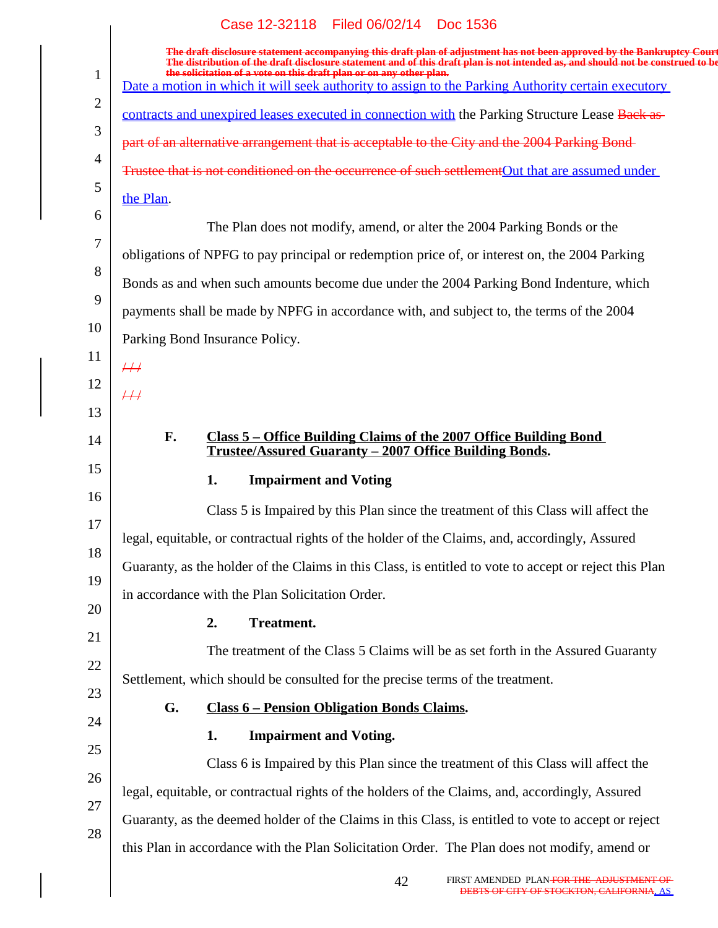|              | Case 12-32118 Filed 06/02/14 Doc 1536                                                                                                                                                                                                                                                                                             |
|--------------|-----------------------------------------------------------------------------------------------------------------------------------------------------------------------------------------------------------------------------------------------------------------------------------------------------------------------------------|
| $\mathbf{1}$ | The draft disclosure statement accompanying this draft plan of adjustment has not been approved by the Bankruptcy Court<br>The distribution of the draft disclosure statement and of this draft plan is not intended as, and should not be construed to be<br>the solicitation of a vote on this draft plan or on any other plan. |
|              | Date a motion in which it will seek authority to assign to the Parking Authority certain executory                                                                                                                                                                                                                                |
| 2            | contracts and unexpired leases executed in connection with the Parking Structure Lease Back as-                                                                                                                                                                                                                                   |
| 3            | part of an alternative arrangement that is acceptable to the City and the 2004 Parking Bond-                                                                                                                                                                                                                                      |
| 4<br>5       | Trustee that is not conditioned on the occurrence of such settlementOut that are assumed under                                                                                                                                                                                                                                    |
|              | the Plan.                                                                                                                                                                                                                                                                                                                         |
| 6            | The Plan does not modify, amend, or alter the 2004 Parking Bonds or the                                                                                                                                                                                                                                                           |
| 7            | obligations of NPFG to pay principal or redemption price of, or interest on, the 2004 Parking                                                                                                                                                                                                                                     |
| 8            | Bonds as and when such amounts become due under the 2004 Parking Bond Indenture, which                                                                                                                                                                                                                                            |
| 9            | payments shall be made by NPFG in accordance with, and subject to, the terms of the 2004                                                                                                                                                                                                                                          |
| 10           | Parking Bond Insurance Policy.                                                                                                                                                                                                                                                                                                    |
| 11           | $\#$                                                                                                                                                                                                                                                                                                                              |
| 12           | $\#$                                                                                                                                                                                                                                                                                                                              |
| 13           |                                                                                                                                                                                                                                                                                                                                   |
| 14           | F.<br><u>Class 5 – Office Building Claims of the 2007 Office Building Bond</u><br>Trustee/Assured Guaranty - 2007 Office Building Bonds.                                                                                                                                                                                          |
| 15           | <b>Impairment and Voting</b><br>1.                                                                                                                                                                                                                                                                                                |
| 16           | Class 5 is Impaired by this Plan since the treatment of this Class will affect the                                                                                                                                                                                                                                                |
| 17           | legal, equitable, or contractual rights of the holder of the Claims, and, accordingly, Assured                                                                                                                                                                                                                                    |
| 18           | Guaranty, as the holder of the Claims in this Class, is entitled to vote to accept or reject this Plan                                                                                                                                                                                                                            |
| 19           | in accordance with the Plan Solicitation Order.                                                                                                                                                                                                                                                                                   |
| 20           | <b>Treatment.</b><br>2.                                                                                                                                                                                                                                                                                                           |
| 21           | The treatment of the Class 5 Claims will be as set forth in the Assured Guaranty                                                                                                                                                                                                                                                  |
| 22           | Settlement, which should be consulted for the precise terms of the treatment.                                                                                                                                                                                                                                                     |
| 23           | G.<br><b>Class 6 – Pension Obligation Bonds Claims.</b>                                                                                                                                                                                                                                                                           |
| 24           | <b>Impairment and Voting.</b><br>1.                                                                                                                                                                                                                                                                                               |
| 25           | Class 6 is Impaired by this Plan since the treatment of this Class will affect the                                                                                                                                                                                                                                                |
| 26           | legal, equitable, or contractual rights of the holders of the Claims, and, accordingly, Assured                                                                                                                                                                                                                                   |
| 27           | Guaranty, as the deemed holder of the Claims in this Class, is entitled to vote to accept or reject                                                                                                                                                                                                                               |
| 28           | this Plan in accordance with the Plan Solicitation Order. The Plan does not modify, amend or                                                                                                                                                                                                                                      |
|              | FIRST AMENDED PLAN-FOR THE ADJUSTMENT OF<br>42<br>DEBTS OF CITY OF STOCKTON, CALIFORNIA, AS                                                                                                                                                                                                                                       |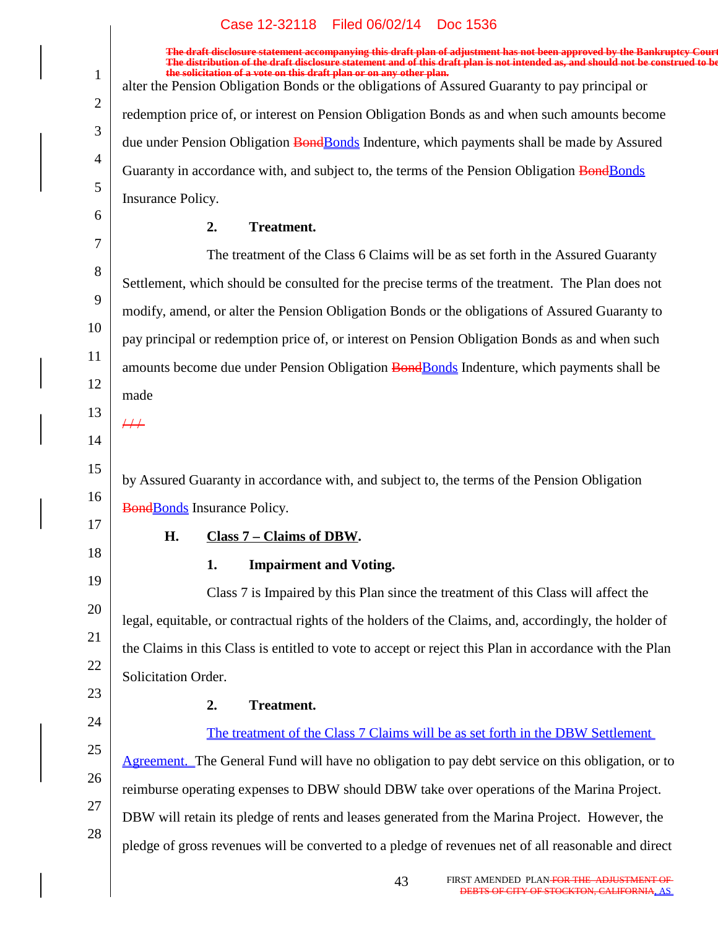|                | Case IZ-32110 Filed 00/02/14 DOC 1930                                                                                                                                                                                             |
|----------------|-----------------------------------------------------------------------------------------------------------------------------------------------------------------------------------------------------------------------------------|
|                | The draft disclosure statement accompanying this draft plan of adjustment has not been approved by the Bankruptcy Court<br>The distribution of the draft disclosure statement and of this draft plan is not intended as, and shou |
| $\mathbf{1}$   | the solicitation of a vote on this draft plan or on any other plan.<br>alter the Pension Obligation Bonds or the obligations of Assured Guaranty to pay principal or                                                              |
| 2              | redemption price of, or interest on Pension Obligation Bonds as and when such amounts become                                                                                                                                      |
| 3              | due under Pension Obligation BondBonds Indenture, which payments shall be made by Assured                                                                                                                                         |
| $\overline{4}$ | Guaranty in accordance with, and subject to, the terms of the Pension Obligation BondBonds                                                                                                                                        |
| 5              | Insurance Policy.                                                                                                                                                                                                                 |
| 6              | <b>Treatment.</b><br>2.                                                                                                                                                                                                           |
| 7              | The treatment of the Class 6 Claims will be as set forth in the Assured Guaranty                                                                                                                                                  |
| 8              | Settlement, which should be consulted for the precise terms of the treatment. The Plan does not                                                                                                                                   |
| 9              | modify, amend, or alter the Pension Obligation Bonds or the obligations of Assured Guaranty to                                                                                                                                    |
| 10             | pay principal or redemption price of, or interest on Pension Obligation Bonds as and when such                                                                                                                                    |
| 11             | amounts become due under Pension Obligation BondBonds Indenture, which payments shall be                                                                                                                                          |
| 12             | made                                                                                                                                                                                                                              |
| 13             | $\overline{++}$                                                                                                                                                                                                                   |
| 14             |                                                                                                                                                                                                                                   |
| 15             | by Assured Guaranty in accordance with, and subject to, the terms of the Pension Obligation                                                                                                                                       |
| 16             | <b>BondBonds</b> Insurance Policy.                                                                                                                                                                                                |
| 17             | H.<br>Class 7 – Claims of DBW.                                                                                                                                                                                                    |
| 18             | <b>Impairment and Voting.</b><br>1.                                                                                                                                                                                               |
| 19             | Class 7 is Impaired by this Plan since the treatment of this Class will affect the                                                                                                                                                |
| 20             | legal, equitable, or contractual rights of the holders of the Claims, and, accordingly, the holder of                                                                                                                             |
| 21             | the Claims in this Class is entitled to vote to accept or reject this Plan in accordance with the Plan                                                                                                                            |
| 22             | Solicitation Order.                                                                                                                                                                                                               |
| 23             | Treatment.<br>2.                                                                                                                                                                                                                  |
| 24             | The treatment of the Class 7 Claims will be as set forth in the DBW Settlement                                                                                                                                                    |
| 25             | Agreement. The General Fund will have no obligation to pay debt service on this obligation, or to                                                                                                                                 |
| 26             | reimburse operating expenses to DBW should DBW take over operations of the Marina Project.                                                                                                                                        |
| 27             | DBW will retain its pledge of rents and leases generated from the Marina Project. However, the                                                                                                                                    |
| 28             | pledge of gross revenues will be converted to a pledge of revenues net of all reasonable and direct                                                                                                                               |
|                |                                                                                                                                                                                                                                   |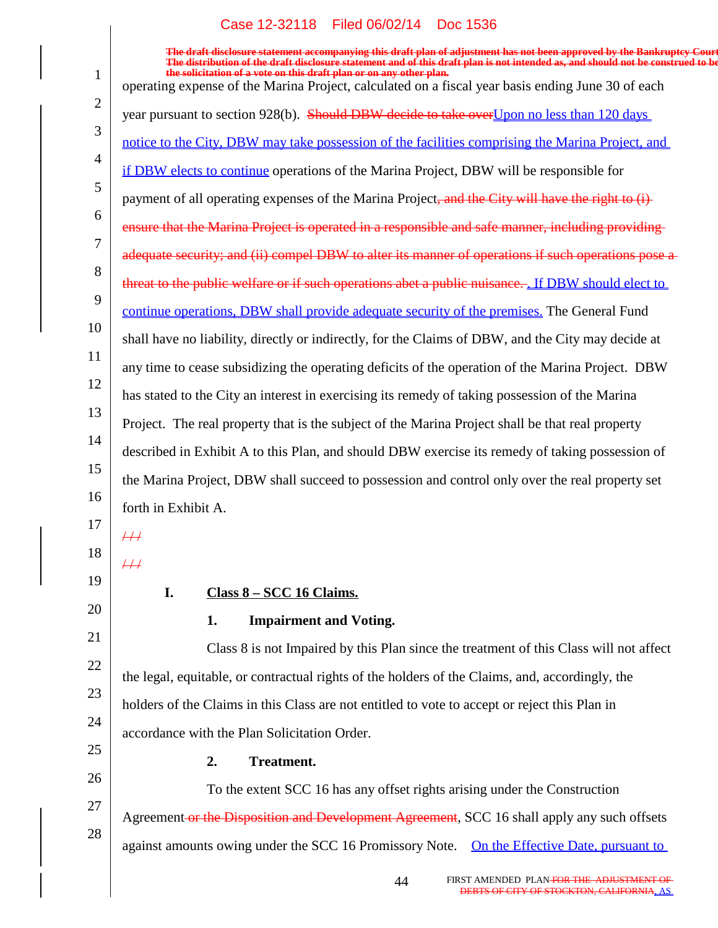$\begin{array}{c} \hline \end{array}$ 

|                | The draft disclosure statement accompanying this draft plan of adjustment has not been approved by the Bankruptcy Court<br>The distribution of the draft disclosure statement and of this draft plan is not intended as, and should not be construed to be<br>the solicitation of a vote on this draft plan or on any other plan. |
|----------------|-----------------------------------------------------------------------------------------------------------------------------------------------------------------------------------------------------------------------------------------------------------------------------------------------------------------------------------|
| $\mathbf{1}$   | operating expense of the Marina Project, calculated on a fiscal year basis ending June 30 of each                                                                                                                                                                                                                                 |
| 2              | year pursuant to section 928(b). Should DBW decide to take over Upon no less than 120 days                                                                                                                                                                                                                                        |
| 3              | notice to the City, DBW may take possession of the facilities comprising the Marina Project, and                                                                                                                                                                                                                                  |
| $\overline{4}$ | if DBW elects to continue operations of the Marina Project, DBW will be responsible for                                                                                                                                                                                                                                           |
| 5              | payment of all operating expenses of the Marina Project, and the City will have the right to (i)                                                                                                                                                                                                                                  |
| 6<br>7         | ensure that the Marina Project is operated in a responsible and safe manner, including providing                                                                                                                                                                                                                                  |
|                | adequate security; and (ii) compel DBW to alter its manner of operations if such operations pose a                                                                                                                                                                                                                                |
| 8<br>9         | threat to the public welfare or if such operations abet a public nuisance. If DBW should elect to                                                                                                                                                                                                                                 |
|                | continue operations, DBW shall provide adequate security of the premises. The General Fund                                                                                                                                                                                                                                        |
| 10<br>11       | shall have no liability, directly or indirectly, for the Claims of DBW, and the City may decide at                                                                                                                                                                                                                                |
|                | any time to cease subsidizing the operating deficits of the operation of the Marina Project. DBW                                                                                                                                                                                                                                  |
| 12             | has stated to the City an interest in exercising its remedy of taking possession of the Marina                                                                                                                                                                                                                                    |
| 13             | Project. The real property that is the subject of the Marina Project shall be that real property                                                                                                                                                                                                                                  |
| 14             | described in Exhibit A to this Plan, and should DBW exercise its remedy of taking possession of                                                                                                                                                                                                                                   |
| 15             | the Marina Project, DBW shall succeed to possession and control only over the real property set                                                                                                                                                                                                                                   |
| 16             | forth in Exhibit A.                                                                                                                                                                                                                                                                                                               |
| 17             | $\overline{++}$                                                                                                                                                                                                                                                                                                                   |
| 18             | $\overline{++}$                                                                                                                                                                                                                                                                                                                   |
| 19             | Class 8 – SCC 16 Claims.<br>I.                                                                                                                                                                                                                                                                                                    |
| 20             | <b>Impairment and Voting.</b><br>1.                                                                                                                                                                                                                                                                                               |
| 21             | Class 8 is not Impaired by this Plan since the treatment of this Class will not affect                                                                                                                                                                                                                                            |
| 22             | the legal, equitable, or contractual rights of the holders of the Claims, and, accordingly, the                                                                                                                                                                                                                                   |
| 23             | holders of the Claims in this Class are not entitled to vote to accept or reject this Plan in                                                                                                                                                                                                                                     |
| 24             | accordance with the Plan Solicitation Order.                                                                                                                                                                                                                                                                                      |
| 25             | <b>Treatment.</b><br>2.                                                                                                                                                                                                                                                                                                           |
| 26             | To the extent SCC 16 has any offset rights arising under the Construction                                                                                                                                                                                                                                                         |
| 27             | Agreement or the Disposition and Development Agreement, SCC 16 shall apply any such offsets                                                                                                                                                                                                                                       |
| 28             | against amounts owing under the SCC 16 Promissory Note. On the Effective Date, pursuant to                                                                                                                                                                                                                                        |
|                |                                                                                                                                                                                                                                                                                                                                   |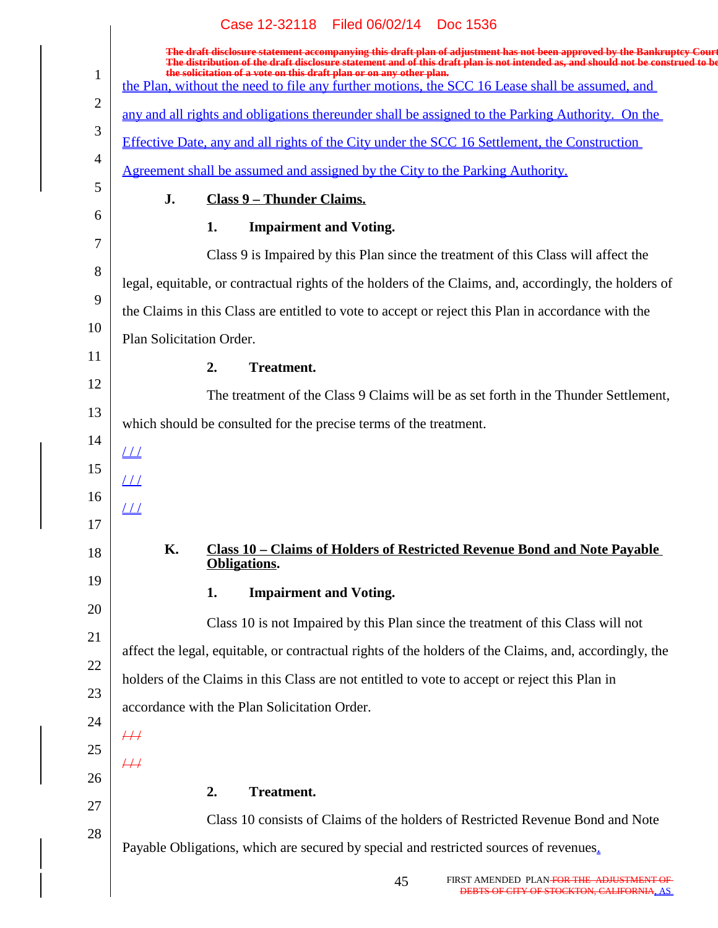|                | Case 12-32118 Filed 06/02/14 Doc 1536                                                                                                                                                                                                                                                                                                                                                                      |
|----------------|------------------------------------------------------------------------------------------------------------------------------------------------------------------------------------------------------------------------------------------------------------------------------------------------------------------------------------------------------------------------------------------------------------|
| $\mathbf{1}$   | The draft disclosure statement accompanying this draft plan of adjustment has not been approved by the Bankruptcy Court<br>The distribution of the draft disclosure statement and of this draft plan is not intended as, and shou<br>the solicitation of a vote on this draft plan or on any other plan.<br>the Plan, without the need to file any further motions, the SCC 16 Lease shall be assumed, and |
| $\overline{2}$ | any and all rights and obligations thereunder shall be assigned to the Parking Authority. On the                                                                                                                                                                                                                                                                                                           |
| 3              | Effective Date, any and all rights of the City under the SCC 16 Settlement, the Construction                                                                                                                                                                                                                                                                                                               |
| $\overline{4}$ | <u>Agreement shall be assumed and assigned by the City to the Parking Authority.</u>                                                                                                                                                                                                                                                                                                                       |
| 5              | J.<br><b>Class 9 - Thunder Claims.</b>                                                                                                                                                                                                                                                                                                                                                                     |
| 6              | 1.<br><b>Impairment and Voting.</b>                                                                                                                                                                                                                                                                                                                                                                        |
| 7              | Class 9 is Impaired by this Plan since the treatment of this Class will affect the                                                                                                                                                                                                                                                                                                                         |
| 8              | legal, equitable, or contractual rights of the holders of the Claims, and, accordingly, the holders of                                                                                                                                                                                                                                                                                                     |
| 9              |                                                                                                                                                                                                                                                                                                                                                                                                            |
| 10             | the Claims in this Class are entitled to vote to accept or reject this Plan in accordance with the                                                                                                                                                                                                                                                                                                         |
| 11             | Plan Solicitation Order.                                                                                                                                                                                                                                                                                                                                                                                   |
| 12             | <b>Treatment.</b><br>2.                                                                                                                                                                                                                                                                                                                                                                                    |
| 13             | The treatment of the Class 9 Claims will be as set forth in the Thunder Settlement,                                                                                                                                                                                                                                                                                                                        |
| 14             | which should be consulted for the precise terms of the treatment.                                                                                                                                                                                                                                                                                                                                          |
| 15             | $\perp\!\!\!\perp$                                                                                                                                                                                                                                                                                                                                                                                         |
| 16             | <u>       </u>                                                                                                                                                                                                                                                                                                                                                                                             |
| 17             | $\overline{\perp\perp}$                                                                                                                                                                                                                                                                                                                                                                                    |
| 18             | К.<br><u>Class 10 - Claims of Holders of Restricted Revenue Bond and Note Payable</u>                                                                                                                                                                                                                                                                                                                      |
| 19             | Obligations.                                                                                                                                                                                                                                                                                                                                                                                               |
| 20             | <b>Impairment and Voting.</b><br>1.                                                                                                                                                                                                                                                                                                                                                                        |
| 21             | Class 10 is not Impaired by this Plan since the treatment of this Class will not                                                                                                                                                                                                                                                                                                                           |
| 22             | affect the legal, equitable, or contractual rights of the holders of the Claims, and, accordingly, the                                                                                                                                                                                                                                                                                                     |
| 23             | holders of the Claims in this Class are not entitled to vote to accept or reject this Plan in                                                                                                                                                                                                                                                                                                              |
| 24             | accordance with the Plan Solicitation Order.                                                                                                                                                                                                                                                                                                                                                               |
| 25             | $\overline{++}$                                                                                                                                                                                                                                                                                                                                                                                            |
| 26             | $\overline{++}$                                                                                                                                                                                                                                                                                                                                                                                            |
| 27             | 2.<br><b>Treatment.</b>                                                                                                                                                                                                                                                                                                                                                                                    |
| 28             | Class 10 consists of Claims of the holders of Restricted Revenue Bond and Note                                                                                                                                                                                                                                                                                                                             |
|                | Payable Obligations, which are secured by special and restricted sources of revenues.                                                                                                                                                                                                                                                                                                                      |
|                |                                                                                                                                                                                                                                                                                                                                                                                                            |

45 FIRST AMENDED PLAN <del>FOR THE ADJUSTMENT OF<br>DEBTS OF CITY OF STOCKTON, CALIFORNIA, AS</del>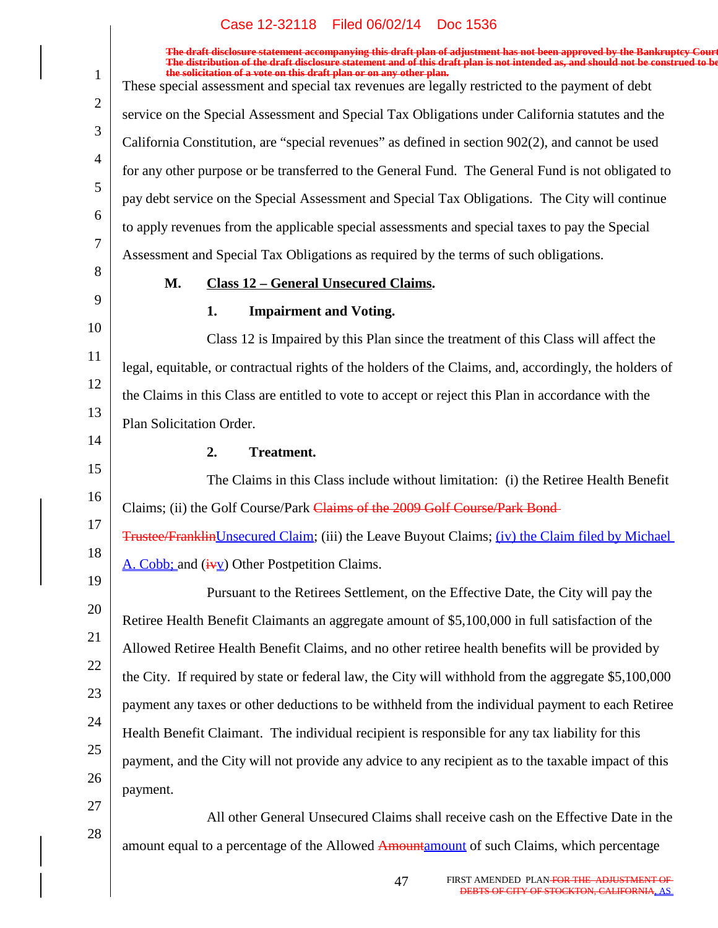|                |                          | Case 12-32118 Filed 06/02/14 DOC 1536                                                                                                                                                                                                                                                                                             |
|----------------|--------------------------|-----------------------------------------------------------------------------------------------------------------------------------------------------------------------------------------------------------------------------------------------------------------------------------------------------------------------------------|
|                |                          | The draft disclosure statement accompanying this draft plan of adjustment has not been approved by the Bankruptcy Court<br>The distribution of the draft disclosure statement and of this draft plan is not intended as, and should not be construed to be<br>the solicitation of a vote on this draft plan or on any other plan. |
|                |                          | These special assessment and special tax revenues are legally restricted to the payment of debt                                                                                                                                                                                                                                   |
|                |                          | service on the Special Assessment and Special Tax Obligations under California statutes and the                                                                                                                                                                                                                                   |
|                |                          | California Constitution, are "special revenues" as defined in section 902(2), and cannot be used                                                                                                                                                                                                                                  |
| $\overline{4}$ |                          | for any other purpose or be transferred to the General Fund. The General Fund is not obligated to                                                                                                                                                                                                                                 |
| 5<br>6         |                          | pay debt service on the Special Assessment and Special Tax Obligations. The City will continue                                                                                                                                                                                                                                    |
|                |                          | to apply revenues from the applicable special assessments and special taxes to pay the Special                                                                                                                                                                                                                                    |
| 7<br>8         |                          | Assessment and Special Tax Obligations as required by the terms of such obligations.                                                                                                                                                                                                                                              |
|                | M.                       | <b>Class 12 - General Unsecured Claims.</b>                                                                                                                                                                                                                                                                                       |
|                |                          | 1.<br><b>Impairment and Voting.</b>                                                                                                                                                                                                                                                                                               |
| 10             |                          | Class 12 is Impaired by this Plan since the treatment of this Class will affect the                                                                                                                                                                                                                                               |
| 11<br>12       |                          | legal, equitable, or contractual rights of the holders of the Claims, and, accordingly, the holders of                                                                                                                                                                                                                            |
|                |                          | the Claims in this Class are entitled to vote to accept or reject this Plan in accordance with the                                                                                                                                                                                                                                |
| 13<br>14       | Plan Solicitation Order. |                                                                                                                                                                                                                                                                                                                                   |
|                |                          | <b>Treatment.</b><br>2.                                                                                                                                                                                                                                                                                                           |
| 15             |                          | The Claims in this Class include without limitation: (i) the Retiree Health Benefit                                                                                                                                                                                                                                               |
| 16<br>17       |                          | Claims; (ii) the Golf Course/Park Claims of the 2009 Golf Course/Park Bond-                                                                                                                                                                                                                                                       |
|                |                          | <b>Trustee/Franklin Unsecured Claim; (iii) the Leave Buyout Claims; (iv) the Claim filed by Michael</b>                                                                                                                                                                                                                           |
| 18<br>19       |                          | A. Cobb; and $(\frac{i \cdot y}{y})$ Other Postpetition Claims.                                                                                                                                                                                                                                                                   |
| 20             |                          | Pursuant to the Retirees Settlement, on the Effective Date, the City will pay the                                                                                                                                                                                                                                                 |
|                |                          | Retiree Health Benefit Claimants an aggregate amount of \$5,100,000 in full satisfaction of the                                                                                                                                                                                                                                   |
|                |                          | Allowed Retiree Health Benefit Claims, and no other retiree health benefits will be provided by                                                                                                                                                                                                                                   |
| 22             |                          | the City. If required by state or federal law, the City will withhold from the aggregate \$5,100,000                                                                                                                                                                                                                              |
| 23             |                          | payment any taxes or other deductions to be withheld from the individual payment to each Retiree                                                                                                                                                                                                                                  |
| 24             |                          | Health Benefit Claimant. The individual recipient is responsible for any tax liability for this                                                                                                                                                                                                                                   |
| 25             |                          | payment, and the City will not provide any advice to any recipient as to the taxable impact of this                                                                                                                                                                                                                               |
| 26             | payment.                 |                                                                                                                                                                                                                                                                                                                                   |
| 27             |                          | All other General Unsecured Claims shall receive cash on the Effective Date in the                                                                                                                                                                                                                                                |
| 28             |                          | amount equal to a percentage of the Allowed Amountamount of such Claims, which percentage                                                                                                                                                                                                                                         |
|                |                          |                                                                                                                                                                                                                                                                                                                                   |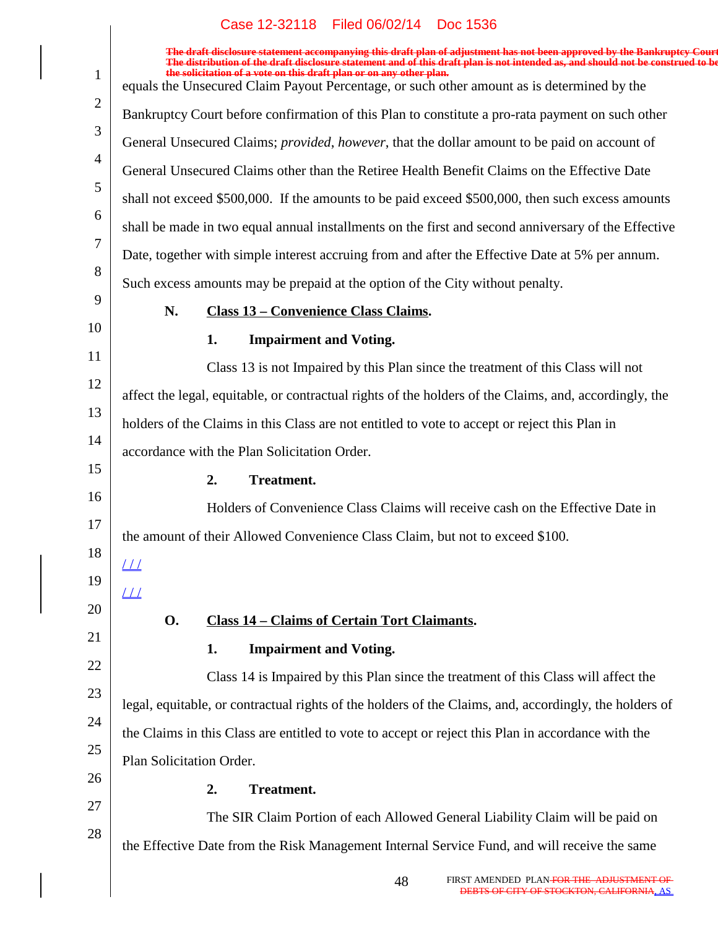| $\mathbf{1}$   | The draft disclosure statement accompanying this draft plan of adjustment has not been approved by the Bankruptcy Court<br>The distribution of the draft disclosure statement and of this draft plan is not intended as, and should not be construed to be<br>the solicitation of a vote on this draft plan or on any other plan.<br>equals the Unsecured Claim Payout Percentage, or such other amount as is determined by the |
|----------------|---------------------------------------------------------------------------------------------------------------------------------------------------------------------------------------------------------------------------------------------------------------------------------------------------------------------------------------------------------------------------------------------------------------------------------|
| $\overline{2}$ | Bankruptcy Court before confirmation of this Plan to constitute a pro-rata payment on such other                                                                                                                                                                                                                                                                                                                                |
| 3              | General Unsecured Claims; <i>provided, however</i> , that the dollar amount to be paid on account of                                                                                                                                                                                                                                                                                                                            |
| $\overline{4}$ | General Unsecured Claims other than the Retiree Health Benefit Claims on the Effective Date                                                                                                                                                                                                                                                                                                                                     |
| 5              | shall not exceed \$500,000. If the amounts to be paid exceed \$500,000, then such excess amounts                                                                                                                                                                                                                                                                                                                                |
| 6              | shall be made in two equal annual installments on the first and second anniversary of the Effective                                                                                                                                                                                                                                                                                                                             |
| 7              | Date, together with simple interest accruing from and after the Effective Date at 5% per annum.                                                                                                                                                                                                                                                                                                                                 |
| 8              | Such excess amounts may be prepaid at the option of the City without penalty.                                                                                                                                                                                                                                                                                                                                                   |
| 9              | N.<br><b>Class 13 - Convenience Class Claims.</b>                                                                                                                                                                                                                                                                                                                                                                               |
| 10             | 1.<br><b>Impairment and Voting.</b>                                                                                                                                                                                                                                                                                                                                                                                             |
| 11             | Class 13 is not Impaired by this Plan since the treatment of this Class will not                                                                                                                                                                                                                                                                                                                                                |
| 12             | affect the legal, equitable, or contractual rights of the holders of the Claims, and, accordingly, the                                                                                                                                                                                                                                                                                                                          |
| 13             | holders of the Claims in this Class are not entitled to vote to accept or reject this Plan in                                                                                                                                                                                                                                                                                                                                   |
| 14             | accordance with the Plan Solicitation Order.                                                                                                                                                                                                                                                                                                                                                                                    |
| 15             | 2.<br><b>Treatment.</b>                                                                                                                                                                                                                                                                                                                                                                                                         |
| 16             | Holders of Convenience Class Claims will receive cash on the Effective Date in                                                                                                                                                                                                                                                                                                                                                  |
| 17             | the amount of their Allowed Convenience Class Claim, but not to exceed \$100.                                                                                                                                                                                                                                                                                                                                                   |
| 18             | $\perp\!\!\!\perp$                                                                                                                                                                                                                                                                                                                                                                                                              |
| 19             | $\angle\angle\angle$                                                                                                                                                                                                                                                                                                                                                                                                            |
| 20             | <b>O.</b><br><b>Class 14 - Claims of Certain Tort Claimants.</b>                                                                                                                                                                                                                                                                                                                                                                |
| 21             | <b>Impairment and Voting.</b><br>1.                                                                                                                                                                                                                                                                                                                                                                                             |
| 22             | Class 14 is Impaired by this Plan since the treatment of this Class will affect the                                                                                                                                                                                                                                                                                                                                             |
| 23             | legal, equitable, or contractual rights of the holders of the Claims, and, accordingly, the holders of                                                                                                                                                                                                                                                                                                                          |
| 24             | the Claims in this Class are entitled to vote to accept or reject this Plan in accordance with the                                                                                                                                                                                                                                                                                                                              |
| 25             | Plan Solicitation Order.                                                                                                                                                                                                                                                                                                                                                                                                        |
| 26             | 2.<br><b>Treatment.</b>                                                                                                                                                                                                                                                                                                                                                                                                         |
| 27             | The SIR Claim Portion of each Allowed General Liability Claim will be paid on                                                                                                                                                                                                                                                                                                                                                   |
| 28             | the Effective Date from the Risk Management Internal Service Fund, and will receive the same                                                                                                                                                                                                                                                                                                                                    |
|                |                                                                                                                                                                                                                                                                                                                                                                                                                                 |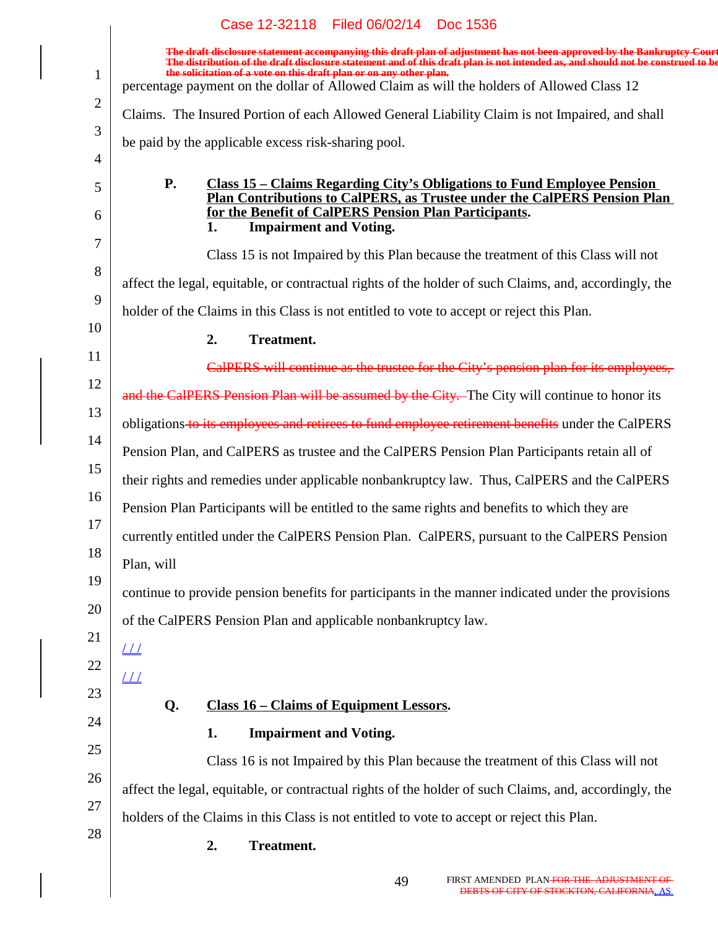|                | Case 12-32118 Filed 06/02/14 Doc 1536                                                                                                                                                                                                                      |
|----------------|------------------------------------------------------------------------------------------------------------------------------------------------------------------------------------------------------------------------------------------------------------|
|                | The draft disclosure statement accompanying this draft plan of adjustment has not been approved by the Bankruptcy Court<br>The distribution of the draft disclosure statement and of this draft plan is not intended as, and should not be construed to be |
| $\mathbf{1}$   | the solicitation of a vote on this draft plan or on any other plan.<br>percentage payment on the dollar of Allowed Claim as will the holders of Allowed Class 12                                                                                           |
| $\overline{2}$ | Claims. The Insured Portion of each Allowed General Liability Claim is not Impaired, and shall                                                                                                                                                             |
| 3              | be paid by the applicable excess risk-sharing pool.                                                                                                                                                                                                        |
| 4              |                                                                                                                                                                                                                                                            |
| 5              | <b>Class 15 - Claims Regarding City's Obligations to Fund Employee Pension</b><br><b>P.</b><br>Plan Contributions to CalPERS, as Trustee under the CalPERS Pension Plan                                                                                    |
| 6              | for the Benefit of CalPERS Pension Plan Participants.<br><b>Impairment and Voting.</b><br>1.                                                                                                                                                               |
| 7              | Class 15 is not Impaired by this Plan because the treatment of this Class will not                                                                                                                                                                         |
| 8              | affect the legal, equitable, or contractual rights of the holder of such Claims, and, accordingly, the                                                                                                                                                     |
| 9              | holder of the Claims in this Class is not entitled to vote to accept or reject this Plan.                                                                                                                                                                  |
| 10             | <b>Treatment.</b><br>2.                                                                                                                                                                                                                                    |
| 11             | CalPERS will continue as the trustee for the City's pension plan for its employees,                                                                                                                                                                        |
| 12             | and the CalPERS Pension Plan will be assumed by the City. The City will continue to honor its                                                                                                                                                              |
| 13             | obligations to its employees and retirees to fund employee retirement benefits under the CalPERS                                                                                                                                                           |
| 14             | Pension Plan, and CalPERS as trustee and the CalPERS Pension Plan Participants retain all of                                                                                                                                                               |
| 15             | their rights and remedies under applicable nonbankruptcy law. Thus, CalPERS and the CalPERS                                                                                                                                                                |
| 16             | Pension Plan Participants will be entitled to the same rights and benefits to which they are                                                                                                                                                               |
| 17             | currently entitled under the CalPERS Pension Plan. CalPERS, pursuant to the CalPERS Pension                                                                                                                                                                |
| 18             | Plan, will                                                                                                                                                                                                                                                 |
| 19<br>20       | continue to provide pension benefits for participants in the manner indicated under the provisions                                                                                                                                                         |
| 21             | of the CalPERS Pension Plan and applicable nonbankruptcy law.                                                                                                                                                                                              |
| 22             | $\perp\!\!\!\perp$                                                                                                                                                                                                                                         |
| 23             | $\angle L$                                                                                                                                                                                                                                                 |
| 24             | <b>Class 16 - Claims of Equipment Lessors.</b><br>Q.                                                                                                                                                                                                       |
| 25             | <b>Impairment and Voting.</b><br>1.                                                                                                                                                                                                                        |
| 26             | Class 16 is not Impaired by this Plan because the treatment of this Class will not                                                                                                                                                                         |
| 27             | affect the legal, equitable, or contractual rights of the holder of such Claims, and, accordingly, the                                                                                                                                                     |
| 28             | holders of the Claims in this Class is not entitled to vote to accept or reject this Plan.                                                                                                                                                                 |
|                | 2.<br><b>Treatment.</b>                                                                                                                                                                                                                                    |
|                | FIRST AMENDED PLAN <del>FOR THE ADJUSTMENT OF</del><br>49<br>DEBTS OF CITY OF STOCKTON, CALIFORNIA, AS                                                                                                                                                     |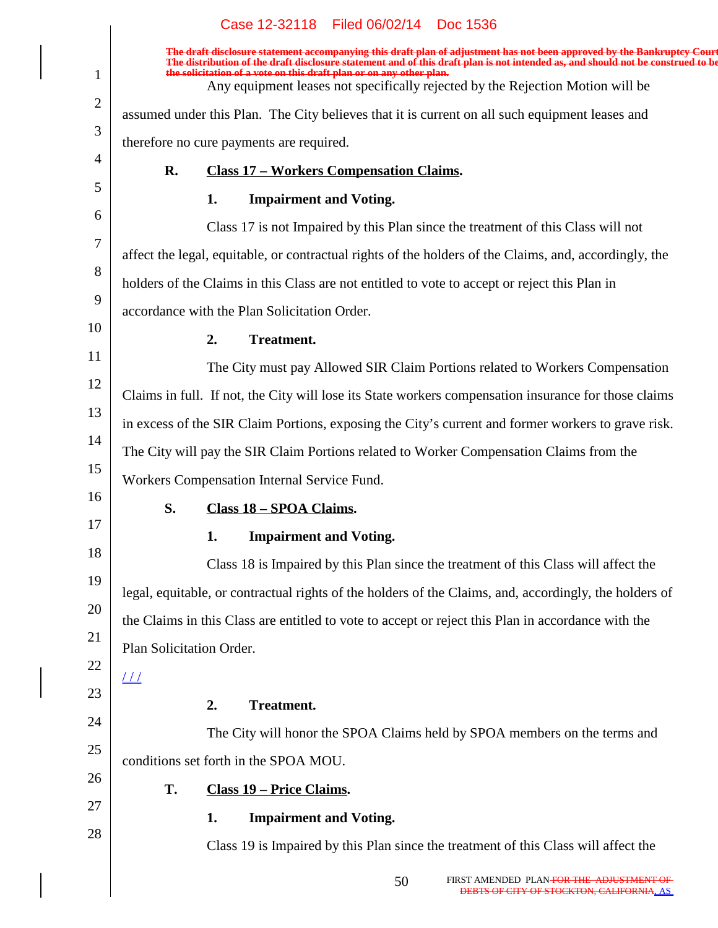|                | Case 12-32118 Filed 06/02/14 Doc 1536                                                                                                                                                                                                                                                                                                                                                                              |
|----------------|--------------------------------------------------------------------------------------------------------------------------------------------------------------------------------------------------------------------------------------------------------------------------------------------------------------------------------------------------------------------------------------------------------------------|
| $\mathbf{1}$   | The draft disclosure statement accompanying this draft plan of adjustment has not been approved by the Bankruptcy Cour<br>The distribution of the draft disclosure statement and of this draft plan is not intended as, and should not be construed to be<br>the solicitation of a vote on this draft plan or on any other plan.<br>Any equipment leases not specifically rejected by the Rejection Motion will be |
| $\overline{2}$ | assumed under this Plan. The City believes that it is current on all such equipment leases and                                                                                                                                                                                                                                                                                                                     |
| 3              | therefore no cure payments are required.                                                                                                                                                                                                                                                                                                                                                                           |
| 4              | <b>Class 17 - Workers Compensation Claims.</b><br>R.                                                                                                                                                                                                                                                                                                                                                               |
| 5              | <b>Impairment and Voting.</b><br>1.                                                                                                                                                                                                                                                                                                                                                                                |
| 6              | Class 17 is not Impaired by this Plan since the treatment of this Class will not                                                                                                                                                                                                                                                                                                                                   |
| 7              | affect the legal, equitable, or contractual rights of the holders of the Claims, and, accordingly, the                                                                                                                                                                                                                                                                                                             |
| 8              | holders of the Claims in this Class are not entitled to vote to accept or reject this Plan in                                                                                                                                                                                                                                                                                                                      |
| 9              | accordance with the Plan Solicitation Order.                                                                                                                                                                                                                                                                                                                                                                       |
| 10             | <b>Treatment.</b><br>2.                                                                                                                                                                                                                                                                                                                                                                                            |
| 11             | The City must pay Allowed SIR Claim Portions related to Workers Compensation                                                                                                                                                                                                                                                                                                                                       |
| 12             | Claims in full. If not, the City will lose its State workers compensation insurance for those claims                                                                                                                                                                                                                                                                                                               |
| 13             | in excess of the SIR Claim Portions, exposing the City's current and former workers to grave risk.                                                                                                                                                                                                                                                                                                                 |
| 14             | The City will pay the SIR Claim Portions related to Worker Compensation Claims from the                                                                                                                                                                                                                                                                                                                            |
| 15             | Workers Compensation Internal Service Fund.                                                                                                                                                                                                                                                                                                                                                                        |
| 16             | S.<br>Class 18 - SPOA Claims.                                                                                                                                                                                                                                                                                                                                                                                      |
| 17             | <b>Impairment and Voting.</b><br>1.                                                                                                                                                                                                                                                                                                                                                                                |
| 18             | Class 18 is Impaired by this Plan since the treatment of this Class will affect the                                                                                                                                                                                                                                                                                                                                |
| 19             | legal, equitable, or contractual rights of the holders of the Claims, and, accordingly, the holders of                                                                                                                                                                                                                                                                                                             |
| 20             | the Claims in this Class are entitled to vote to accept or reject this Plan in accordance with the                                                                                                                                                                                                                                                                                                                 |
| 21             | Plan Solicitation Order.                                                                                                                                                                                                                                                                                                                                                                                           |
| 22             |                                                                                                                                                                                                                                                                                                                                                                                                                    |
| 23             | <b>Treatment.</b><br>2.                                                                                                                                                                                                                                                                                                                                                                                            |
| 24             | The City will honor the SPOA Claims held by SPOA members on the terms and                                                                                                                                                                                                                                                                                                                                          |
| 25             | conditions set forth in the SPOA MOU.                                                                                                                                                                                                                                                                                                                                                                              |
| 26             | T.<br>Class 19 – Price Claims.                                                                                                                                                                                                                                                                                                                                                                                     |
| 27             | <b>Impairment and Voting.</b><br>1.                                                                                                                                                                                                                                                                                                                                                                                |
| 28             | Class 19 is Impaired by this Plan since the treatment of this Class will affect the                                                                                                                                                                                                                                                                                                                                |
|                |                                                                                                                                                                                                                                                                                                                                                                                                                    |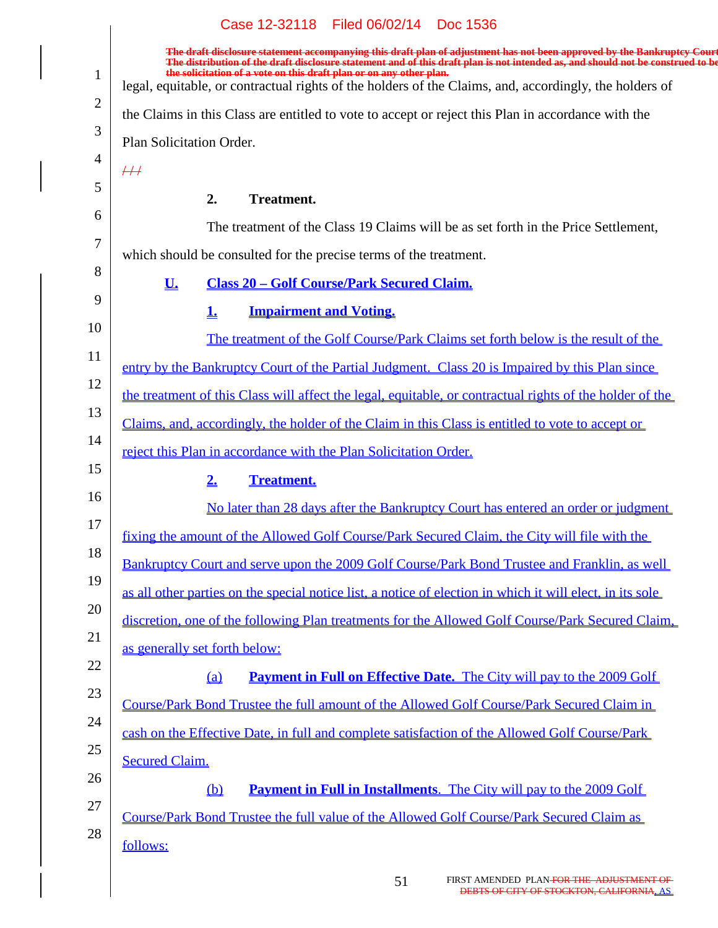|                | Case 12-32118    Filed 06/02/14     DOC 1536                                                                                                                                                                                                                                                                                      |
|----------------|-----------------------------------------------------------------------------------------------------------------------------------------------------------------------------------------------------------------------------------------------------------------------------------------------------------------------------------|
|                | The draft disclosure statement accompanying this draft plan of adjustment has not been approved by the Bankruptcy Court<br>The distribution of the draft disclosure statement and of this draft plan is not intended as, and should not be construed to be<br>the solicitation of a vote on this draft plan or on any other plan. |
| $\mathbf{1}$   | legal, equitable, or contractual rights of the holders of the Claims, and, accordingly, the holders of                                                                                                                                                                                                                            |
| $\overline{2}$ | the Claims in this Class are entitled to vote to accept or reject this Plan in accordance with the                                                                                                                                                                                                                                |
| 3              | Plan Solicitation Order.                                                                                                                                                                                                                                                                                                          |
| 4              | $\#$                                                                                                                                                                                                                                                                                                                              |
| 5              | 2.<br><b>Treatment.</b>                                                                                                                                                                                                                                                                                                           |
| 6              | The treatment of the Class 19 Claims will be as set forth in the Price Settlement,                                                                                                                                                                                                                                                |
| 7              | which should be consulted for the precise terms of the treatment.                                                                                                                                                                                                                                                                 |
| 8              | U.<br><b>Class 20 - Golf Course/Park Secured Claim.</b>                                                                                                                                                                                                                                                                           |
| 9              | <b>Impairment and Voting.</b><br><u>1.</u>                                                                                                                                                                                                                                                                                        |
| 10             | The treatment of the Golf Course/Park Claims set forth below is the result of the                                                                                                                                                                                                                                                 |
| 11             | entry by the Bankruptcy Court of the Partial Judgment. Class 20 is Impaired by this Plan since                                                                                                                                                                                                                                    |
| 12<br>13       | the treatment of this Class will affect the legal, equitable, or contractual rights of the holder of the                                                                                                                                                                                                                          |
| 14             | Claims, and, accordingly, the holder of the Claim in this Class is entitled to vote to accept or                                                                                                                                                                                                                                  |
| 15             | reject this Plan in accordance with the Plan Solicitation Order.                                                                                                                                                                                                                                                                  |
| 16             | 2.<br><b>Treatment.</b>                                                                                                                                                                                                                                                                                                           |
| 17             | No later than 28 days after the Bankruptcy Court has entered an order or judgment                                                                                                                                                                                                                                                 |
| 18             | fixing the amount of the Allowed Golf Course/Park Secured Claim, the City will file with the                                                                                                                                                                                                                                      |
| 19             | Bankruptcy Court and serve upon the 2009 Golf Course/Park Bond Trustee and Franklin, as well                                                                                                                                                                                                                                      |
| 20             | as all other parties on the special notice list, a notice of election in which it will elect, in its sole                                                                                                                                                                                                                         |
| 21             | discretion, one of the following Plan treatments for the Allowed Golf Course/Park Secured Claim.                                                                                                                                                                                                                                  |
| 22             | as generally set forth below:                                                                                                                                                                                                                                                                                                     |
| 23             | <b>Payment in Full on Effective Date.</b> The City will pay to the 2009 Golf<br>(a)                                                                                                                                                                                                                                               |
| 24             | Course/Park Bond Trustee the full amount of the Allowed Golf Course/Park Secured Claim in                                                                                                                                                                                                                                         |
| 25             | cash on the Effective Date, in full and complete satisfaction of the Allowed Golf Course/Park                                                                                                                                                                                                                                     |
| 26             | <b>Secured Claim.</b>                                                                                                                                                                                                                                                                                                             |
| 27             | $\underline{\mathbf{b}}$<br><b>Payment in Full in Installments.</b> The City will pay to the 2009 Golf                                                                                                                                                                                                                            |
| 28             | Course/Park Bond Trustee the full value of the Allowed Golf Course/Park Secured Claim as                                                                                                                                                                                                                                          |
|                | follows:                                                                                                                                                                                                                                                                                                                          |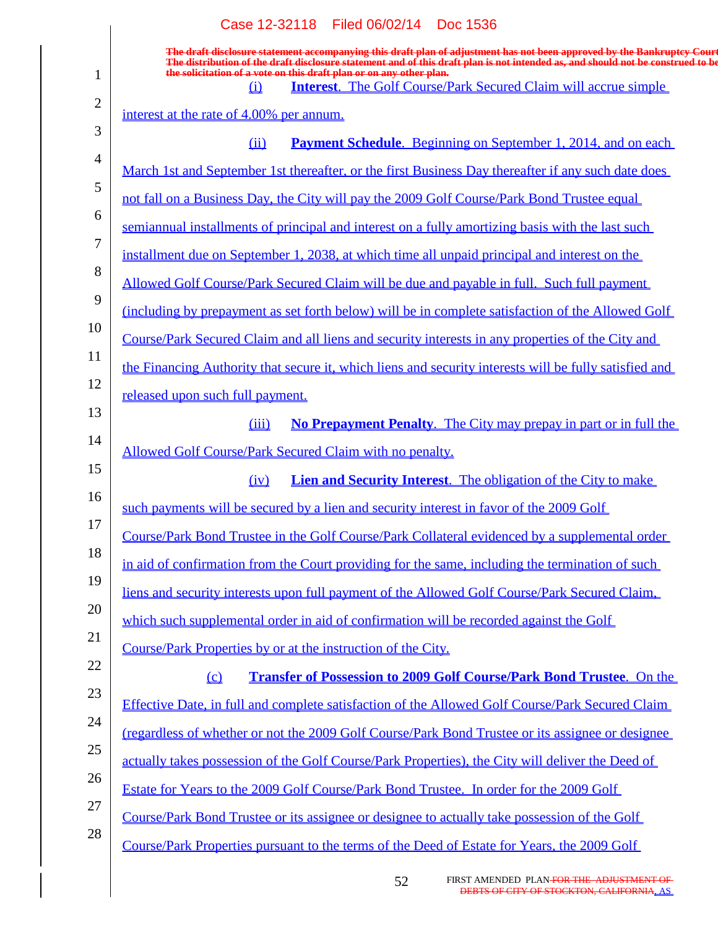|                | Case 12-32118 Filed 06/02/14 Doc 1536                                                                                                                                                                                                                                                                    |
|----------------|----------------------------------------------------------------------------------------------------------------------------------------------------------------------------------------------------------------------------------------------------------------------------------------------------------|
|                | The draft disclosure statement accompanying this draft plan of adjustment has not been approved by the Bankruptcy Court<br>The distribution of the draft disclosure statement and of this draft plan is not intended as, and shou<br>the solicitation of a vote on this draft plan or on any other plan. |
| $\mathbf{1}$   | <b>Interest.</b> The Golf Course/Park Secured Claim will accrue simple<br>$\Omega$                                                                                                                                                                                                                       |
| $\overline{2}$ | interest at the rate of 4.00% per annum.                                                                                                                                                                                                                                                                 |
| 3              | <b>Payment Schedule</b> . Beginning on September 1, 2014, and on each<br>(ii)                                                                                                                                                                                                                            |
| $\overline{4}$ | March 1st and September 1st thereafter, or the first Business Day thereafter if any such date does                                                                                                                                                                                                       |
| 5              | not fall on a Business Day, the City will pay the 2009 Golf Course/Park Bond Trustee equal                                                                                                                                                                                                               |
| 6              | semiannual installments of principal and interest on a fully amortizing basis with the last such                                                                                                                                                                                                         |
| 7              | installment due on September 1, 2038, at which time all unpaid principal and interest on the                                                                                                                                                                                                             |
| 8              | Allowed Golf Course/Park Secured Claim will be due and payable in full. Such full payment                                                                                                                                                                                                                |
| 9              | (including by prepayment as set forth below) will be in complete satisfaction of the Allowed Golf                                                                                                                                                                                                        |
| 10             | Course/Park Secured Claim and all liens and security interests in any properties of the City and                                                                                                                                                                                                         |
| 11             | the Financing Authority that secure it, which liens and security interests will be fully satisfied and                                                                                                                                                                                                   |
| 12             | released upon such full payment.                                                                                                                                                                                                                                                                         |
| 13             | No Prepayment Penalty. The City may prepay in part or in full the<br>(iii)                                                                                                                                                                                                                               |
| 14             | Allowed Golf Course/Park Secured Claim with no penalty.                                                                                                                                                                                                                                                  |
| 15             | <b>Lien and Security Interest.</b> The obligation of the City to make<br>(iv)                                                                                                                                                                                                                            |
| 16             | such payments will be secured by a lien and security interest in favor of the 2009 Golf                                                                                                                                                                                                                  |
| 17             | Course/Park Bond Trustee in the Golf Course/Park Collateral evidenced by a supplemental order                                                                                                                                                                                                            |
| 18             | in aid of confirmation from the Court providing for the same, including the termination of such                                                                                                                                                                                                          |
| 19             | liens and security interests upon full payment of the Allowed Golf Course/Park Secured Claim.                                                                                                                                                                                                            |
| 20             |                                                                                                                                                                                                                                                                                                          |
| 21             | which such supplemental order in aid of confirmation will be recorded against the Golf                                                                                                                                                                                                                   |
| 22             | Course/Park Properties by or at the instruction of the City.                                                                                                                                                                                                                                             |
| 23             | <b>Transfer of Possession to 2009 Golf Course/Park Bond Trustee.</b> On the<br>(c)                                                                                                                                                                                                                       |
| 24             | Effective Date, in full and complete satisfaction of the Allowed Golf Course/Park Secured Claim                                                                                                                                                                                                          |
| 25             | regardless of whether or not the 2009 Golf Course/Park Bond Trustee or its assignee or designee                                                                                                                                                                                                          |
| 26             | actually takes possession of the Golf Course/Park Properties), the City will deliver the Deed of                                                                                                                                                                                                         |
| 27             | Estate for Years to the 2009 Golf Course/Park Bond Trustee. In order for the 2009 Golf                                                                                                                                                                                                                   |
| 28             | Course/Park Bond Trustee or its assignee or designee to actually take possession of the Golf                                                                                                                                                                                                             |
|                | Course/Park Properties pursuant to the terms of the Deed of Estate for Years, the 2009 Golf                                                                                                                                                                                                              |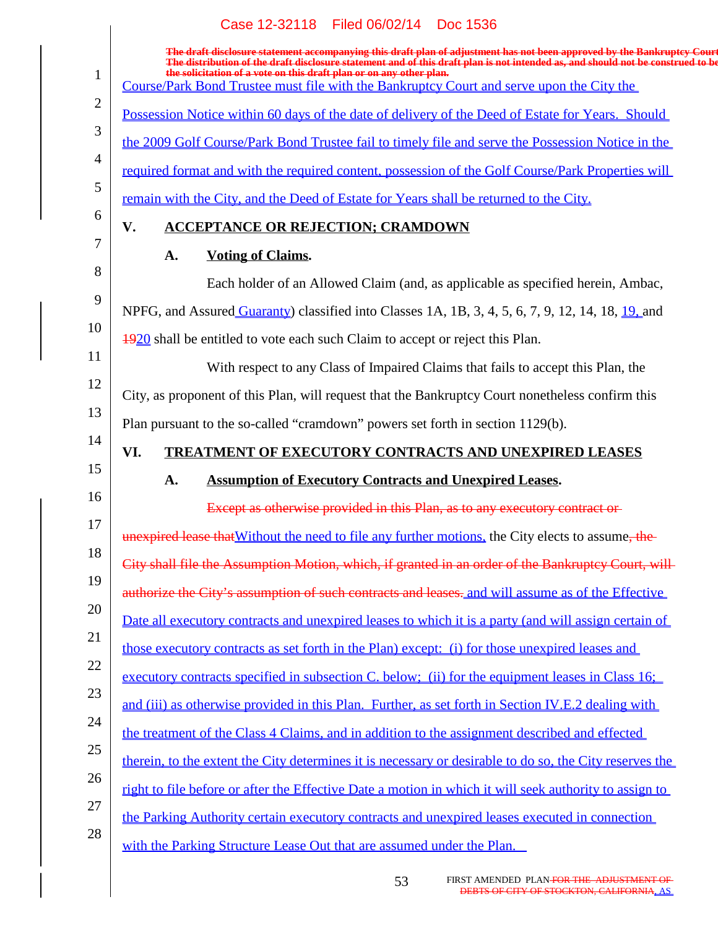|                | Case 12-32118 Filed 06/02/14 Doc 1536                                                                                                                                                                                                                                                                                             |
|----------------|-----------------------------------------------------------------------------------------------------------------------------------------------------------------------------------------------------------------------------------------------------------------------------------------------------------------------------------|
| $\mathbf{1}$   | The draft disclosure statement accompanying this draft plan of adjustment has not been approved by the Bankruptcy Court<br>The distribution of the draft disclosure statement and of this draft plan is not intended as, and should not be construed to be<br>the solicitation of a vote on this draft plan or on any other plan. |
|                | Course/Park Bond Trustee must file with the Bankruptcy Court and serve upon the City the                                                                                                                                                                                                                                          |
| $\overline{2}$ | Possession Notice within 60 days of the date of delivery of the Deed of Estate for Years. Should                                                                                                                                                                                                                                  |
| 3              | the 2009 Golf Course/Park Bond Trustee fail to timely file and serve the Possession Notice in the                                                                                                                                                                                                                                 |
| $\overline{4}$ | required format and with the required content, possession of the Golf Course/Park Properties will                                                                                                                                                                                                                                 |
| 5              | remain with the City, and the Deed of Estate for Years shall be returned to the City.                                                                                                                                                                                                                                             |
| 6              | <b>ACCEPTANCE OR REJECTION; CRAMDOWN</b><br>V.                                                                                                                                                                                                                                                                                    |
| 7              | <b>Voting of Claims.</b><br>A.                                                                                                                                                                                                                                                                                                    |
| 8              | Each holder of an Allowed Claim (and, as applicable as specified herein, Ambac,                                                                                                                                                                                                                                                   |
| 9              | NPFG, and Assured Guaranty) classified into Classes 1A, 1B, 3, 4, 5, 6, 7, 9, 12, 14, 18, 19, and                                                                                                                                                                                                                                 |
| 10             | 4920 shall be entitled to vote each such Claim to accept or reject this Plan.                                                                                                                                                                                                                                                     |
| 11             | With respect to any Class of Impaired Claims that fails to accept this Plan, the                                                                                                                                                                                                                                                  |
| 12             | City, as proponent of this Plan, will request that the Bankruptcy Court nonetheless confirm this                                                                                                                                                                                                                                  |
| 13             | Plan pursuant to the so-called "cramdown" powers set forth in section 1129(b).                                                                                                                                                                                                                                                    |
| 14             | TREATMENT OF EXECUTORY CONTRACTS AND UNEXPIRED LEASES<br>VI.                                                                                                                                                                                                                                                                      |
| 15             | <b>Assumption of Executory Contracts and Unexpired Leases.</b><br>A.                                                                                                                                                                                                                                                              |
| 16             | Except as otherwise provided in this Plan, as to any executory contract or-                                                                                                                                                                                                                                                       |
| 17             | unexpired lease that Without the need to file any further motions, the City elects to assume, the                                                                                                                                                                                                                                 |
| 18             | City shall file the Assumption Motion, which, if granted in an order of the Bankruptcy Court, will-                                                                                                                                                                                                                               |
| 19             | authorize the City's assumption of such contracts and leases. and will assume as of the Effective                                                                                                                                                                                                                                 |
| 20             | Date all executory contracts and unexpired leases to which it is a party (and will assign certain of                                                                                                                                                                                                                              |
| 21             | those executory contracts as set forth in the Plan) except: (i) for those unexpired leases and                                                                                                                                                                                                                                    |
| 22             | executory contracts specified in subsection C, below; (ii) for the equipment leases in Class 16;                                                                                                                                                                                                                                  |
| 23             | and (iii) as otherwise provided in this Plan. Further, as set forth in Section IV.E.2 dealing with                                                                                                                                                                                                                                |
| 24             | the treatment of the Class 4 Claims, and in addition to the assignment described and effected                                                                                                                                                                                                                                     |
| 25             | therein, to the extent the City determines it is necessary or desirable to do so, the City reserves the                                                                                                                                                                                                                           |
| 26             | right to file before or after the Effective Date a motion in which it will seek authority to assign to                                                                                                                                                                                                                            |
| 27             | the Parking Authority certain executory contracts and unexpired leases executed in connection                                                                                                                                                                                                                                     |
| 28             | with the Parking Structure Lease Out that are assumed under the Plan.                                                                                                                                                                                                                                                             |
|                |                                                                                                                                                                                                                                                                                                                                   |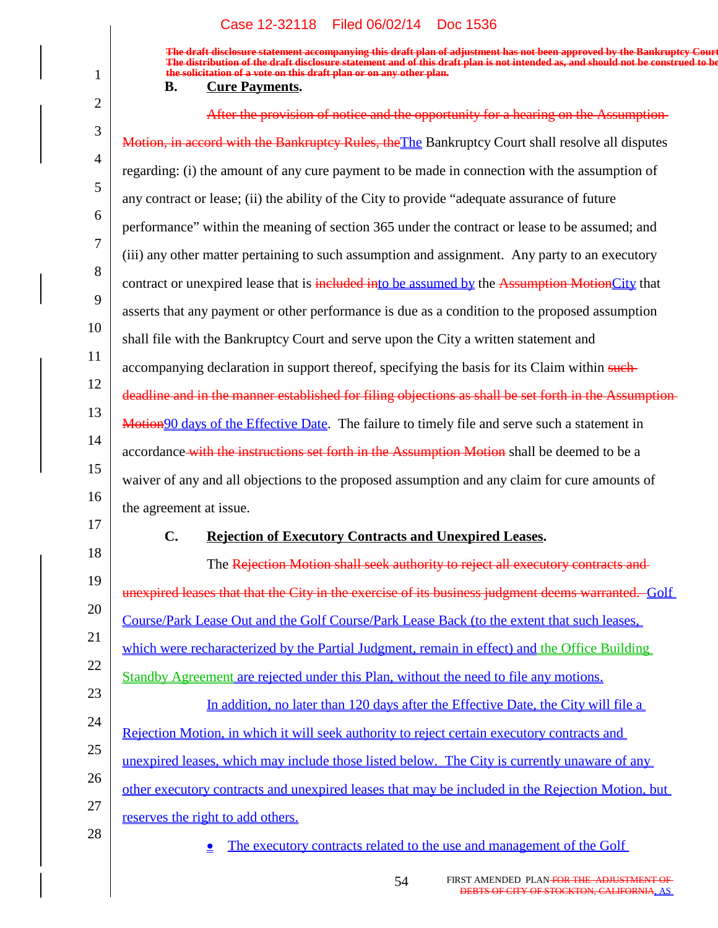**The draft disclosure statement accompanying this draft plan of adjustment has not been approved by the Bankruptcy Court. The distribution of the draft disclosure statement and of this draft plan is not intended as, and should not be construed to be, the solicitation of a vote on this draft plan or on any other plan.**

#### **B.** Cure Payments.

1

| $\overline{2}$ | After the provision of notice and the opportunity for a hearing on the Assumption-                    |
|----------------|-------------------------------------------------------------------------------------------------------|
| 3              | Motion, in accord with the Bankruptcy Rules, the The Bankruptcy Court shall resolve all disputes      |
| 4              | regarding: (i) the amount of any cure payment to be made in connection with the assumption of         |
| 5              | any contract or lease; (ii) the ability of the City to provide "adequate assurance of future          |
| 6              | performance" within the meaning of section 365 under the contract or lease to be assumed; and         |
| 7              | (iii) any other matter pertaining to such assumption and assignment. Any party to an executory        |
| 8              | contract or unexpired lease that is included into be assumed by the Assumption MotionCity that        |
| 9              | asserts that any payment or other performance is due as a condition to the proposed assumption        |
| 10             | shall file with the Bankruptcy Court and serve upon the City a written statement and                  |
| 11             | accompanying declaration in support thereof, specifying the basis for its Claim within such           |
| 12             | deadline and in the manner established for filing objections as shall be set forth in the Assumption- |
| 13             | Motion 90 days of the Effective Date. The failure to timely file and serve such a statement in        |
| 14             | accordance-with the instructions set forth in the Assumption Motion shall be deemed to be a           |
| 15             | waiver of any and all objections to the proposed assumption and any claim for cure amounts of         |
| 16             | the agreement at issue.                                                                               |
| 17             | C.<br><b>Rejection of Executory Contracts and Unexpired Leases.</b>                                   |
| 18             | The Rejection Motion shall seek authority to reject all executory contracts and                       |
| 19             | unexpired leases that that the City in the exercise of its business judgment deems warranted. Golf    |
| 20             | Course/Park Lease Out and the Golf Course/Park Lease Back (to the extent that such leases,            |
| 21<br>22       | which were recharacterized by the Partial Judgment, remain in effect) and the Office Building         |
| 23             | Standby Agreement are rejected under this Plan, without the need to file any motions.                 |
| 24             | In addition, no later than 120 days after the Effective Date, the City will file a                    |
|                |                                                                                                       |
|                | Rejection Motion, in which it will seek authority to reject certain executory contracts and           |
| 25             | unexpired leases, which may include those listed below. The City is currently unaware of any          |
| 26             | other executory contracts and unexpired leases that may be included in the Rejection Motion, but      |
| 27<br>28       | reserves the right to add others.                                                                     |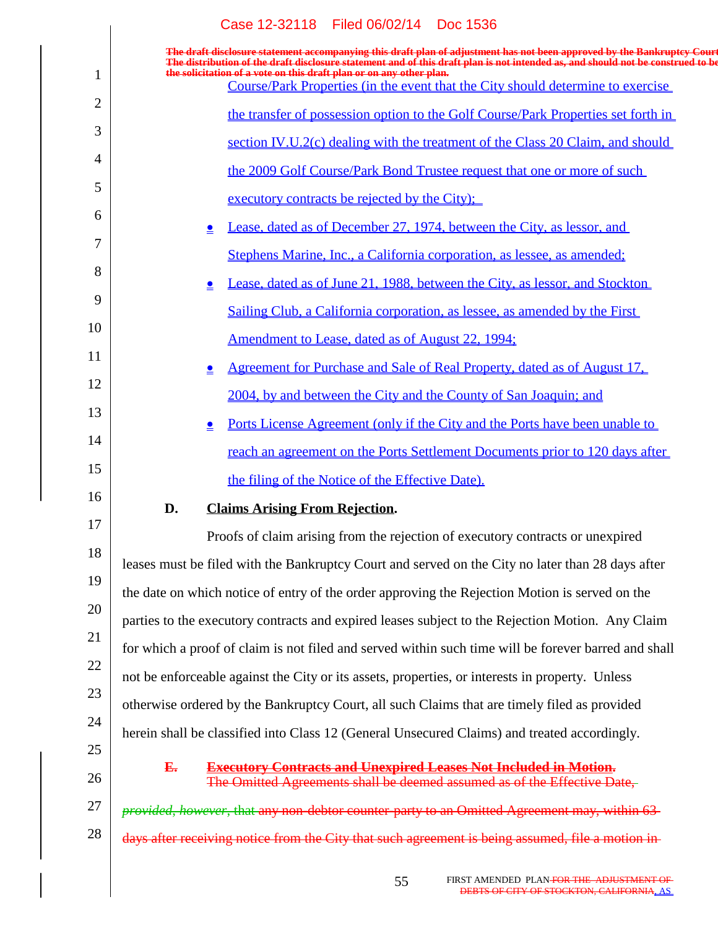|                | Case 12-32118 Filed 06/02/14 Doc 1536                                                                                                                                                                                                                      |
|----------------|------------------------------------------------------------------------------------------------------------------------------------------------------------------------------------------------------------------------------------------------------------|
|                | The draft disclosure statement accompanying this draft plan of adjustment has not been approved by the Bankruptcy Court<br>The distribution of the draft disclosure statement and of this draft plan is not intended as, and should not be construed to be |
| 1              | the solicitation of a vote on this draft plan or on any other plan.<br>Course/Park Properties (in the event that the City should determine to exercise                                                                                                     |
| $\overline{2}$ | the transfer of possession option to the Golf Course/Park Properties set forth in                                                                                                                                                                          |
| 3              | section IV.U.2(c) dealing with the treatment of the Class 20 Claim, and should                                                                                                                                                                             |
| 4              | the 2009 Golf Course/Park Bond Trustee request that one or more of such                                                                                                                                                                                    |
| 5              | executory contracts be rejected by the City);                                                                                                                                                                                                              |
| 6              | Lease, dated as of December 27, 1974, between the City, as lessor, and<br>≗                                                                                                                                                                                |
| 7              | Stephens Marine, Inc., a California corporation, as lessee, as amended;                                                                                                                                                                                    |
| 8              | Lease, dated as of June 21, 1988, between the City, as lessor, and Stockton<br>≗                                                                                                                                                                           |
| 9              | Sailing Club, a California corporation, as lessee, as amended by the First                                                                                                                                                                                 |
| 10             | Amendment to Lease, dated as of August 22, 1994;                                                                                                                                                                                                           |
| 11             | <u>Agreement for Purchase and Sale of Real Property, dated as of August 17.</u><br>≗                                                                                                                                                                       |
| 12             | 2004, by and between the City and the County of San Joaquin; and                                                                                                                                                                                           |
| 13             | <u>Ports License Agreement (only if the City and the Ports have been unable to</u><br>≗                                                                                                                                                                    |
| 14             | reach an agreement on the Ports Settlement Documents prior to 120 days after                                                                                                                                                                               |
| 15             | the filing of the Notice of the Effective Date).                                                                                                                                                                                                           |
| 16             | <b>Claims Arising From Rejection.</b><br>D.                                                                                                                                                                                                                |
| 17             | Proofs of claim arising from the rejection of executory contracts or unexpired                                                                                                                                                                             |
| 18             | leases must be filed with the Bankruptcy Court and served on the City no later than 28 days after                                                                                                                                                          |
| 19             | the date on which notice of entry of the order approving the Rejection Motion is served on the                                                                                                                                                             |
| 20             | parties to the executory contracts and expired leases subject to the Rejection Motion. Any Claim                                                                                                                                                           |
| 21             | for which a proof of claim is not filed and served within such time will be forever barred and shall                                                                                                                                                       |
| 22             | not be enforceable against the City or its assets, properties, or interests in property. Unless                                                                                                                                                            |
| 23             | otherwise ordered by the Bankruptcy Court, all such Claims that are timely filed as provided                                                                                                                                                               |
| 24             | herein shall be classified into Class 12 (General Unsecured Claims) and treated accordingly.                                                                                                                                                               |
| 25<br>26       | <b>Executory Contracts and Unexpired Leases Not Included in Motion.</b><br>E.<br>The Omitted Agreements shall be deemed assumed as of the Effective Date,                                                                                                  |
| 27             | provided, however, that any non-debtor counter-party to an Omitted Agreement may, within 63-                                                                                                                                                               |
| 28             | days after receiving notice from the City that such agreement is being assumed, file a motion in-                                                                                                                                                          |
|                |                                                                                                                                                                                                                                                            |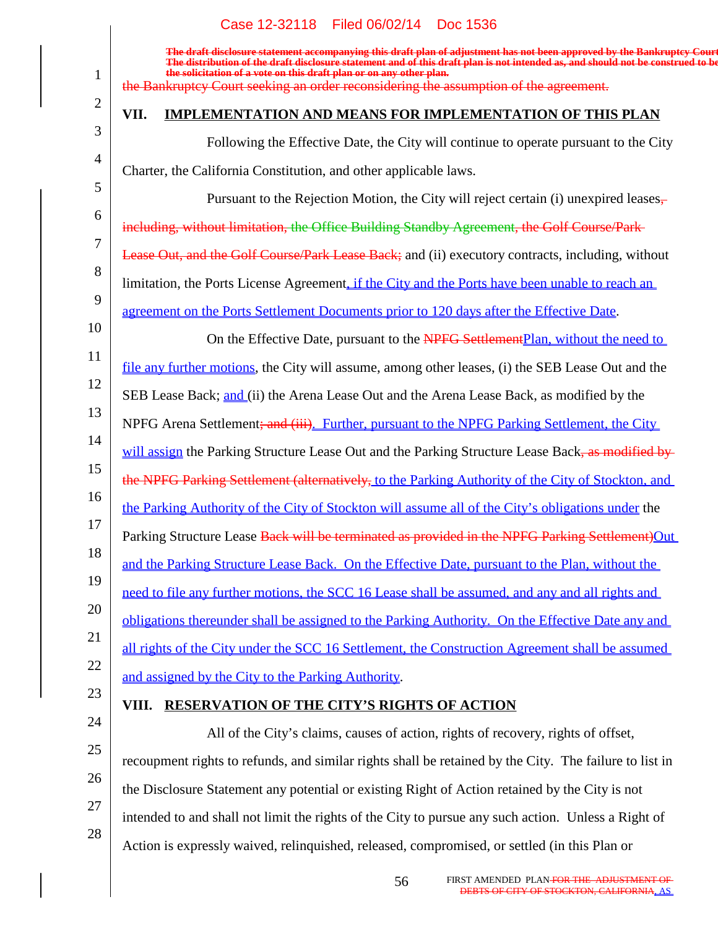#### 1 2 3 4 5 6 7 8 9 10 11 12 13 14 15 16 17 18 19 20 21 22 23 24 25 26 27 28 **The draft disclosure statement accompanying this draft plan of adjustment has not been approved by the Bankruptcy Court.** The distribution of the draft disclosure statement and of this draft plan is not intended as, and should no **the solicitation of a vote on this draft plan or on any other plan.** the Bankruptcy Court seeking an order reconsidering the assumption of the agreement. **VII. IMPLEMENTATION AND MEANS FOR IMPLEMENTATION OF THIS PLAN** Following the Effective Date, the City will continue to operate pursuant to the City Charter, the California Constitution, and other applicable laws. Pursuant to the Rejection Motion, the City will reject certain (i) unexpired leases. including, without limitation, the Office Building Standby Agreement, the Golf Course/Park Lease Out, and the Golf Course/Park Lease Back; and (ii) executory contracts, including, without limitation, the Ports License Agreement, if the City and the Ports have been unable to reach an agreement on the Ports Settlement Documents prior to 120 days after the Effective Date. On the Effective Date, pursuant to the NPFG SettlementPlan, without the need to file any further motions, the City will assume, among other leases, (i) the SEB Lease Out and the SEB Lease Back; and (ii) the Arena Lease Out and the Arena Lease Back, as modified by the NPFG Arena Settlement<del>; and (iii)</del>. Further, pursuant to the NPFG Parking Settlement, the City will assign the Parking Structure Lease Out and the Parking Structure Lease Back, as modified by the NPFG Parking Settlement (alternatively, to the Parking Authority of the City of Stockton, and the Parking Authority of the City of Stockton will assume all of the City's obligations under the Parking Structure Lease Back will be terminated as provided in the NPFG Parking Settlement)Out and the Parking Structure Lease Back. On the Effective Date, pursuant to the Plan, without the need to file any further motions, the SCC 16 Lease shall be assumed, and any and all rights and obligations thereunder shall be assigned to the Parking Authority. On the Effective Date any and all rights of the City under the SCC 16 Settlement, the Construction Agreement shall be assumed and assigned by the City to the Parking Authority. **VIII. RESERVATION OF THE CITY'S RIGHTS OF ACTION** All of the City's claims, causes of action, rights of recovery, rights of offset, recoupment rights to refunds, and similar rights shall be retained by the City. The failure to list in the Disclosure Statement any potential or existing Right of Action retained by the City is not intended to and shall not limit the rights of the City to pursue any such action. Unless a Right of Action is expressly waived, relinquished, released, compromised, or settled (in this Plan or Case 12-32118 Filed 06/02/14 Doc 1536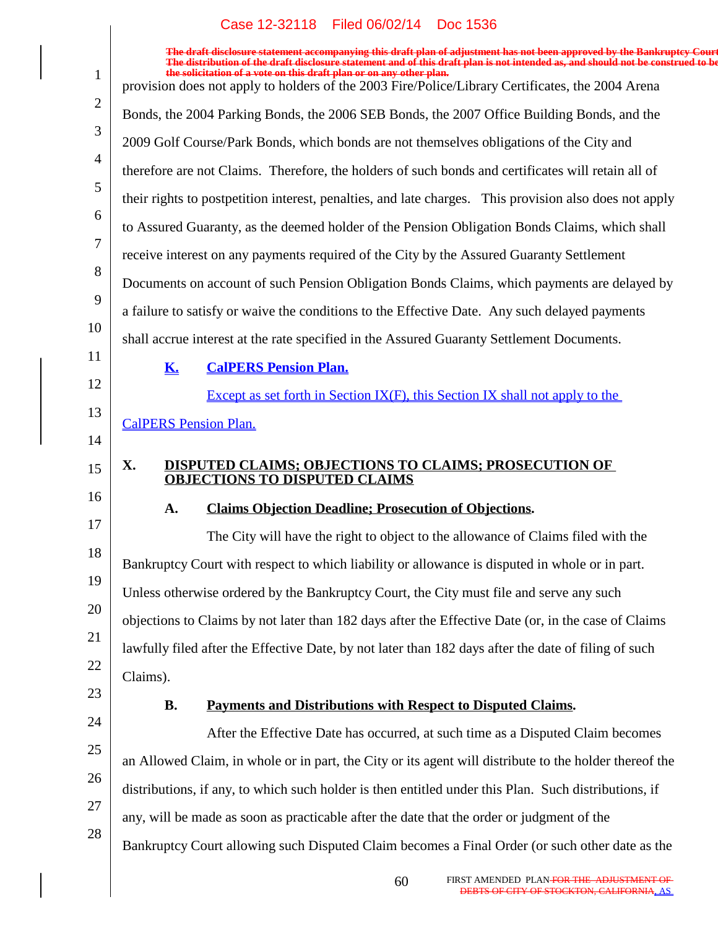|                | The draft disclosure statement accompanying this draft plan of adjustment has not been approved by the Bankruptcy Court<br>The distribution of the draft disclosure statement and of this draft plan is not intended as, and should not be construed to be |
|----------------|------------------------------------------------------------------------------------------------------------------------------------------------------------------------------------------------------------------------------------------------------------|
|                | the solicitation of a vote on this draft plan or on any other plan.<br>provision does not apply to holders of the 2003 Fire/Police/Library Certificates, the 2004 Arena                                                                                    |
| $\overline{2}$ | Bonds, the 2004 Parking Bonds, the 2006 SEB Bonds, the 2007 Office Building Bonds, and the                                                                                                                                                                 |
| 3              | 2009 Golf Course/Park Bonds, which bonds are not themselves obligations of the City and                                                                                                                                                                    |
| $\overline{4}$ | therefore are not Claims. Therefore, the holders of such bonds and certificates will retain all of                                                                                                                                                         |
| 5              | their rights to postpetition interest, penalties, and late charges. This provision also does not apply                                                                                                                                                     |
| 6              | to Assured Guaranty, as the deemed holder of the Pension Obligation Bonds Claims, which shall                                                                                                                                                              |
| 7              | receive interest on any payments required of the City by the Assured Guaranty Settlement                                                                                                                                                                   |
| 8              | Documents on account of such Pension Obligation Bonds Claims, which payments are delayed by                                                                                                                                                                |
| 9              | a failure to satisfy or waive the conditions to the Effective Date. Any such delayed payments                                                                                                                                                              |
| 10<br>11       | shall accrue interest at the rate specified in the Assured Guaranty Settlement Documents.                                                                                                                                                                  |
| 12             | <b>K.</b><br><b>CalPERS Pension Plan.</b>                                                                                                                                                                                                                  |
|                | Except as set forth in Section $IX(F)$ , this Section IX shall not apply to the                                                                                                                                                                            |
| 13<br>14       | <b>CalPERS Pension Plan.</b>                                                                                                                                                                                                                               |
| 15             | X.<br><b>DISPUTED CLAIMS; OBJECTIONS TO CLAIMS; PROSECUTION OF</b>                                                                                                                                                                                         |
| 16             | <b>OBJECTIONS TO DISPUTED CLAIMS</b>                                                                                                                                                                                                                       |
| 17             | <b>Claims Objection Deadline; Prosecution of Objections.</b><br>A.                                                                                                                                                                                         |
|                | The City will have the right to object to the allowance of Claims filed with the                                                                                                                                                                           |
| 18<br>19       | Bankruptcy Court with respect to which liability or allowance is disputed in whole or in part.                                                                                                                                                             |
|                | Unless otherwise ordered by the Bankruptcy Court, the City must file and serve any such                                                                                                                                                                    |
| 20             | objections to Claims by not later than 182 days after the Effective Date (or, in the case of Claims                                                                                                                                                        |
| 21<br>22       | lawfully filed after the Effective Date, by not later than 182 days after the date of filing of such                                                                                                                                                       |
| 23             | Claims).                                                                                                                                                                                                                                                   |
| 24             | <b>B.</b><br>Payments and Distributions with Respect to Disputed Claims.                                                                                                                                                                                   |
|                | After the Effective Date has occurred, at such time as a Disputed Claim becomes                                                                                                                                                                            |
| 25             | an Allowed Claim, in whole or in part, the City or its agent will distribute to the holder thereof the                                                                                                                                                     |
| 26             | distributions, if any, to which such holder is then entitled under this Plan. Such distributions, if                                                                                                                                                       |
| 27             | any, will be made as soon as practicable after the date that the order or judgment of the                                                                                                                                                                  |
| 28             | Bankruptcy Court allowing such Disputed Claim becomes a Final Order (or such other date as the                                                                                                                                                             |
|                |                                                                                                                                                                                                                                                            |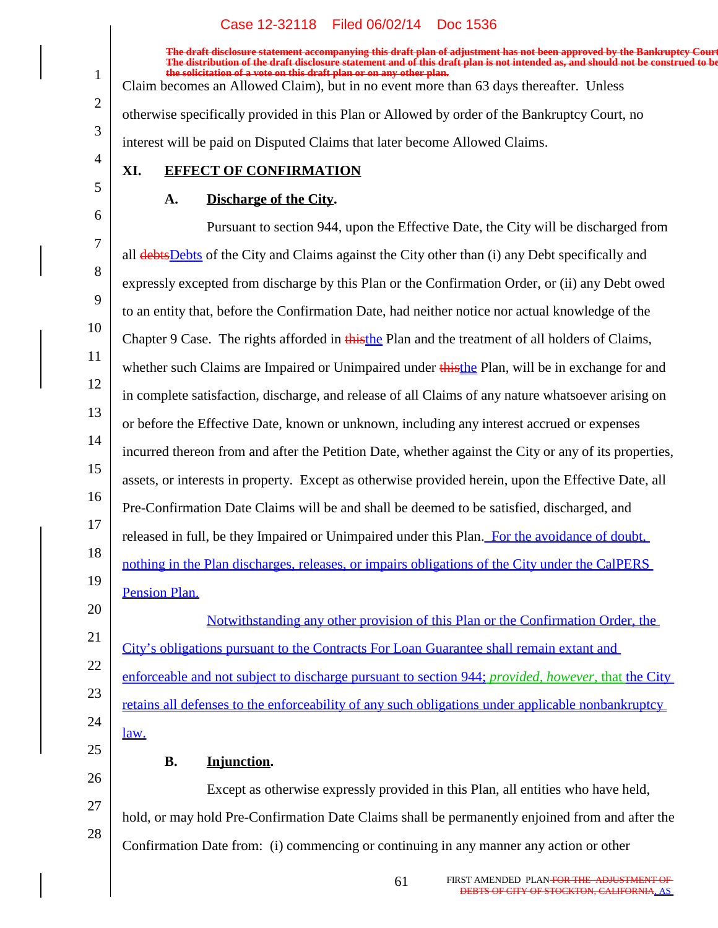**The draft disclosure statement accompanying this draft plan of adjustment has not been approved by the Bankruptcy Court. The distribution of the draft disclosure statement and of this draft plan is not intended as, and should not be construed to be, the solicitation of a vote on this draft plan or on any other plan.** Claim becomes an Allowed Claim), but in no event more than 63 days thereafter. Unless otherwise specifically provided in this Plan or Allowed by order of the Bankruptcy Court, no interest will be paid on Disputed Claims that later become Allowed Claims.

# **XI. EFFECT OF CONFIRMATION**

1

2

3

4

5

21

23

24

25

## **A.** Discharge of the City.

6 7 8 9 10 11 12 13 14 15 16 17 18 19 20 Pursuant to section 944, upon the Effective Date, the City will be discharged from all debtsDebts of the City and Claims against the City other than (i) any Debt specifically and expressly excepted from discharge by this Plan or the Confirmation Order, or (ii) any Debt owed to an entity that, before the Confirmation Date, had neither notice nor actual knowledge of the Chapter 9 Case. The rights afforded in this the Plan and the treatment of all holders of Claims, whether such Claims are Impaired or Unimpaired under thisthe Plan, will be in exchange for and in complete satisfaction, discharge, and release of all Claims of any nature whatsoever arising on or before the Effective Date, known or unknown, including any interest accrued or expenses incurred thereon from and after the Petition Date, whether against the City or any of its properties, assets, or interests in property. Except as otherwise provided herein, upon the Effective Date, all Pre-Confirmation Date Claims will be and shall be deemed to be satisfied, discharged, and released in full, be they Impaired or Unimpaired under this Plan. For the avoidance of doubt, nothing in the Plan discharges, releases, or impairs obligations of the City under the CalPERS Pension Plan.

22 Notwithstanding any other provision of this Plan or the Confirmation Order, the City's obligations pursuant to the Contracts For Loan Guarantee shall remain extant and enforceable and not subject to discharge pursuant to section 944; *provided, however*, that the City retains all defenses to the enforceability of any such obligations under applicable nonbankruptcy law.

B. Injunction.

26 27 28 Except as otherwise expressly provided in this Plan, all entities who have held, hold, or may hold Pre-Confirmation Date Claims shall be permanently enjoined from and after the Confirmation Date from: (i) commencing or continuing in any manner any action or other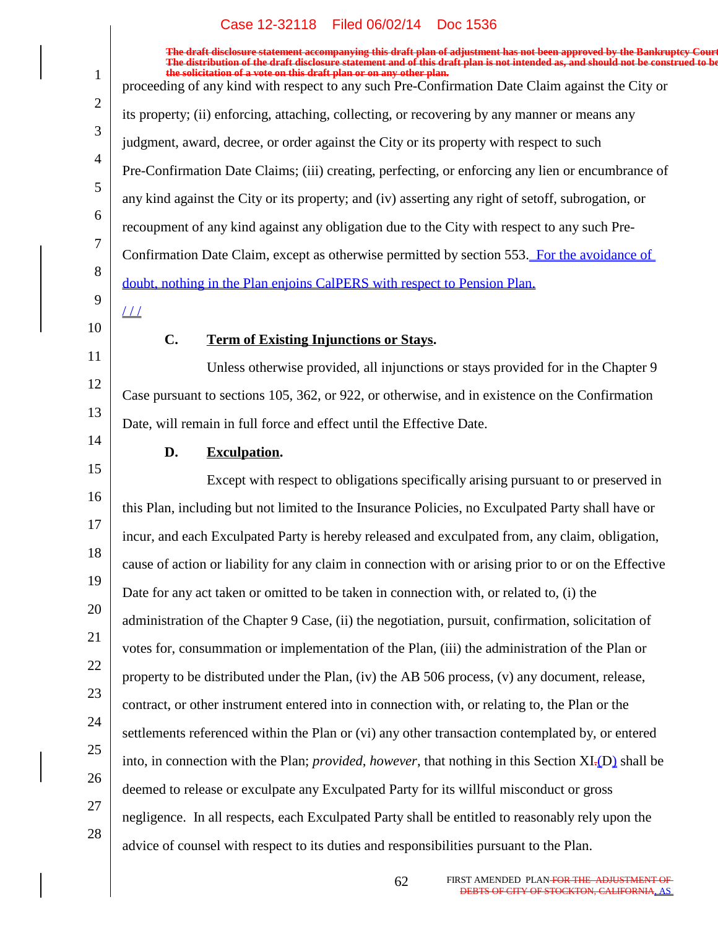1 2 3 4 5 6 7 8 9 10 11 12 13 14 15 16 17 18 19 20 21 22 23 24 25 26 27 28 **The draft disclosure statement accompanying this draft plan of adjustment has not been approved by the Bankruptcy Court. The distribution of the draft disclosure statement and of this draft plan is not intended as, and should not be construed to be, the solicit solicity of a vote on the solicit of a vote on this draft plan.** proceeding of any kind with respect to any such Pre-Confirmation Date Claim against the City or its property; (ii) enforcing, attaching, collecting, or recovering by any manner or means any judgment, award, decree, or order against the City or its property with respect to such Pre-Confirmation Date Claims; (iii) creating, perfecting, or enforcing any lien or encumbrance of any kind against the City or its property; and (iv) asserting any right of setoff, subrogation, or recoupment of any kind against any obligation due to the City with respect to any such Pre-Confirmation Date Claim, except as otherwise permitted by section 553. For the avoidance of doubt, nothing in the Plan enjoins CalPERS with respect to Pension Plan.  $1/1$ **C.** Term of Existing Injunctions or Stays. Unless otherwise provided, all injunctions or stays provided for in the Chapter 9 Case pursuant to sections 105, 362, or 922, or otherwise, and in existence on the Confirmation Date, will remain in full force and effect until the Effective Date. **D.** Exculpation. Except with respect to obligations specifically arising pursuant to or preserved in this Plan, including but not limited to the Insurance Policies, no Exculpated Party shall have or incur, and each Exculpated Party is hereby released and exculpated from, any claim, obligation, cause of action or liability for any claim in connection with or arising prior to or on the Effective Date for any act taken or omitted to be taken in connection with, or related to, (i) the administration of the Chapter 9 Case, (ii) the negotiation, pursuit, confirmation, solicitation of votes for, consummation or implementation of the Plan, (iii) the administration of the Plan or property to be distributed under the Plan, (iv) the AB 506 process, (v) any document, release, contract, or other instrument entered into in connection with, or relating to, the Plan or the settlements referenced within the Plan or (vi) any other transaction contemplated by, or entered into, in connection with the Plan; *provided*, *however*, that nothing in this Section XI.(D) shall be deemed to release or exculpate any Exculpated Party for its willful misconduct or gross negligence. In all respects, each Exculpated Party shall be entitled to reasonably rely upon the advice of counsel with respect to its duties and responsibilities pursuant to the Plan.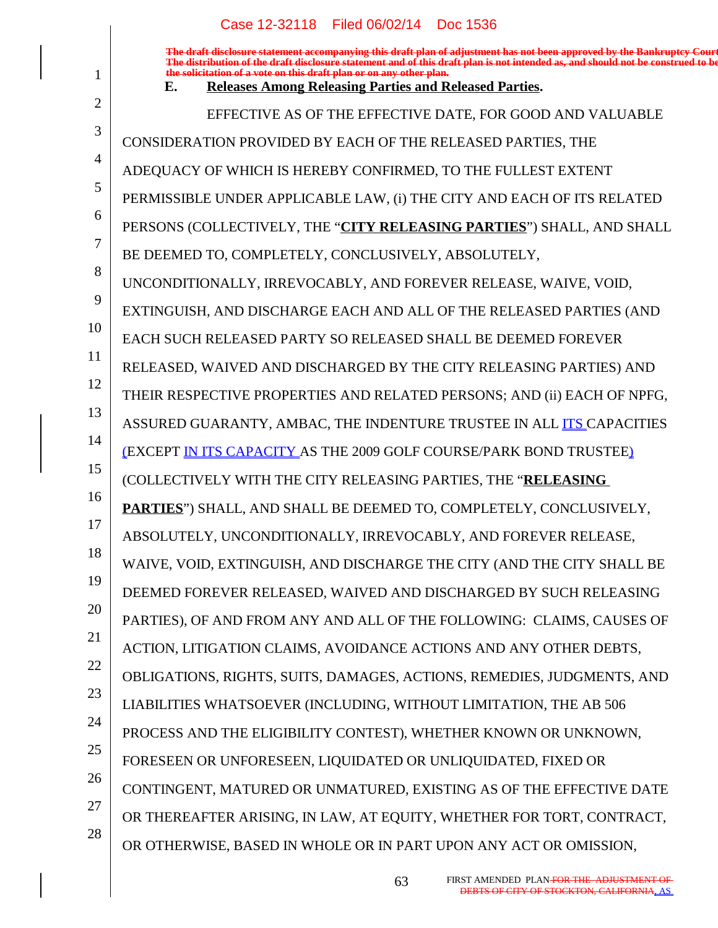|    | Case 12-32118   Filed 06/02/14   Doc 1536                                                                                                                                                                                                                                                                                                                                       |
|----|---------------------------------------------------------------------------------------------------------------------------------------------------------------------------------------------------------------------------------------------------------------------------------------------------------------------------------------------------------------------------------|
| 1  | The draft disclosure statement accompanying this draft plan of adjustment has not been approved by the Bankruptcy Court<br>The distribution of the draft disclosure statement and of this draft plan is not intended as, and shou<br>the solicitation of a vote on this draft plan or on any other plan.<br><b>Releases Among Releasing Parties and Released Parties.</b><br>Е. |
| 2  | EFFECTIVE AS OF THE EFFECTIVE DATE, FOR GOOD AND VALUABLE                                                                                                                                                                                                                                                                                                                       |
| 3  | CONSIDERATION PROVIDED BY EACH OF THE RELEASED PARTIES, THE                                                                                                                                                                                                                                                                                                                     |
| 4  | ADEQUACY OF WHICH IS HEREBY CONFIRMED, TO THE FULLEST EXTENT                                                                                                                                                                                                                                                                                                                    |
| 5  | PERMISSIBLE UNDER APPLICABLE LAW, (i) THE CITY AND EACH OF ITS RELATED                                                                                                                                                                                                                                                                                                          |
| 6  | PERSONS (COLLECTIVELY, THE "CITY RELEASING PARTIES") SHALL, AND SHALL                                                                                                                                                                                                                                                                                                           |
| 7  | BE DEEMED TO, COMPLETELY, CONCLUSIVELY, ABSOLUTELY,                                                                                                                                                                                                                                                                                                                             |
| 8  | UNCONDITIONALLY, IRREVOCABLY, AND FOREVER RELEASE, WAIVE, VOID,                                                                                                                                                                                                                                                                                                                 |
| 9  | EXTINGUISH, AND DISCHARGE EACH AND ALL OF THE RELEASED PARTIES (AND                                                                                                                                                                                                                                                                                                             |
| 10 | EACH SUCH RELEASED PARTY SO RELEASED SHALL BE DEEMED FOREVER                                                                                                                                                                                                                                                                                                                    |
| 11 | RELEASED, WAIVED AND DISCHARGED BY THE CITY RELEASING PARTIES) AND                                                                                                                                                                                                                                                                                                              |
| 12 | THEIR RESPECTIVE PROPERTIES AND RELATED PERSONS; AND (ii) EACH OF NPFG,                                                                                                                                                                                                                                                                                                         |
| 13 | ASSURED GUARANTY, AMBAC, THE INDENTURE TRUSTEE IN ALL ITS CAPACITIES                                                                                                                                                                                                                                                                                                            |
| 14 | <b>(EXCEPT IN ITS CAPACITY AS THE 2009 GOLF COURSE/PARK BOND TRUSTEE)</b>                                                                                                                                                                                                                                                                                                       |
| 15 | (COLLECTIVELY WITH THE CITY RELEASING PARTIES, THE "RELEASING                                                                                                                                                                                                                                                                                                                   |
| 16 | PARTIES") SHALL, AND SHALL BE DEEMED TO, COMPLETELY, CONCLUSIVELY,                                                                                                                                                                                                                                                                                                              |
| 17 | ABSOLUTELY, UNCONDITIONALLY, IRREVOCABLY, AND FOREVER RELEASE,                                                                                                                                                                                                                                                                                                                  |
| 18 | WAIVE, VOID, EXTINGUISH, AND DISCHARGE THE CITY (AND THE CITY SHALL BE                                                                                                                                                                                                                                                                                                          |
| 19 | DEEMED FOREVER RELEASED, WAIVED AND DISCHARGED BY SUCH RELEASING                                                                                                                                                                                                                                                                                                                |
| 20 | PARTIES), OF AND FROM ANY AND ALL OF THE FOLLOWING: CLAIMS, CAUSES OF                                                                                                                                                                                                                                                                                                           |
| 21 | ACTION, LITIGATION CLAIMS, AVOIDANCE ACTIONS AND ANY OTHER DEBTS,                                                                                                                                                                                                                                                                                                               |
| 22 | OBLIGATIONS, RIGHTS, SUITS, DAMAGES, ACTIONS, REMEDIES, JUDGMENTS, AND                                                                                                                                                                                                                                                                                                          |
| 23 | LIABILITIES WHATSOEVER (INCLUDING, WITHOUT LIMITATION, THE AB 506                                                                                                                                                                                                                                                                                                               |
| 24 | PROCESS AND THE ELIGIBILITY CONTEST), WHETHER KNOWN OR UNKNOWN,                                                                                                                                                                                                                                                                                                                 |
| 25 | FORESEEN OR UNFORESEEN, LIQUIDATED OR UNLIQUIDATED, FIXED OR                                                                                                                                                                                                                                                                                                                    |
| 26 | CONTINGENT, MATURED OR UNMATURED, EXISTING AS OF THE EFFECTIVE DATE                                                                                                                                                                                                                                                                                                             |
| 27 | OR THEREAFTER ARISING, IN LAW, AT EQUITY, WHETHER FOR TORT, CONTRACT,                                                                                                                                                                                                                                                                                                           |
| 28 | OR OTHERWISE, BASED IN WHOLE OR IN PART UPON ANY ACT OR OMISSION,                                                                                                                                                                                                                                                                                                               |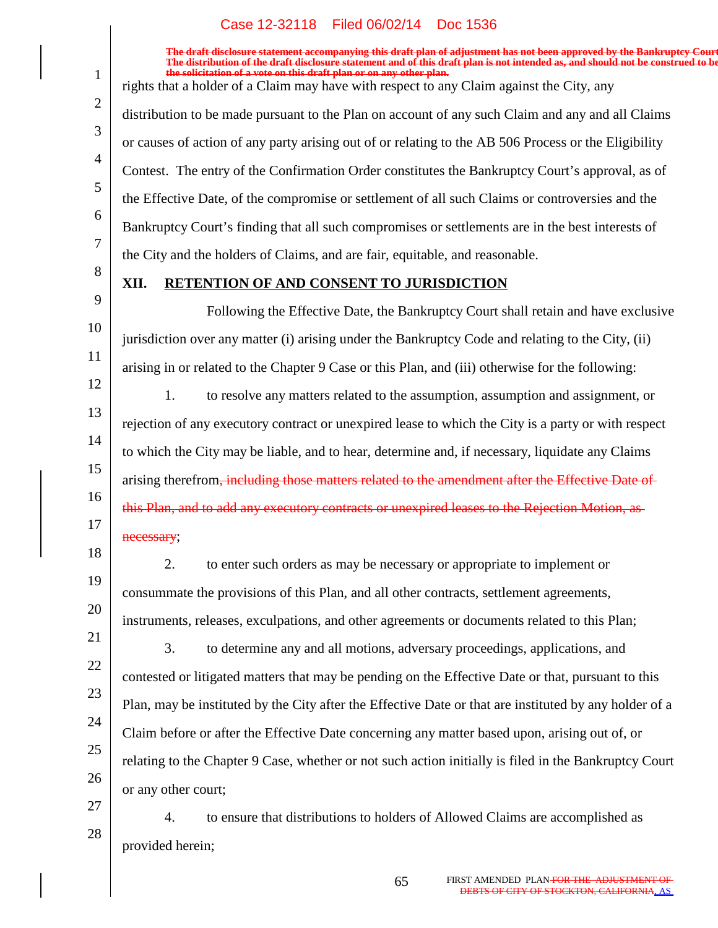**The draft disclosure statement accompanying this draft plan of adjustment has not been approved by the Bankruptcy Court. The distribution of the draft disclosure statement and of this draft plan is not intended as, and should not be construed to be, the solicitation of a vote on this draft plan or on any other plan.** rights that a holder of a Claim may have with respect to any Claim against the City, any

distribution to be made pursuant to the Plan on account of any such Claim and any and all Claims or causes of action of any party arising out of or relating to the AB 506 Process or the Eligibility Contest. The entry of the Confirmation Order constitutes the Bankruptcy Court's approval, as of the Effective Date, of the compromise or settlement of all such Claims or controversies and the Bankruptcy Court's finding that all such compromises or settlements are in the best interests of the City and the holders of Claims, and are fair, equitable, and reasonable.

8

18

19

20

1

2

3

4

5

6

7

# **XII. RETENTION OF AND CONSENT TO JURISDICTION**

9 10 11 Following the Effective Date, the Bankruptcy Court shall retain and have exclusive jurisdiction over any matter (i) arising under the Bankruptcy Code and relating to the City, (ii) arising in or related to the Chapter 9 Case or this Plan, and (iii) otherwise for the following:

- 12 13 14 15 16 17 to resolve any matters related to the assumption, assumption and assignment, or1. rejection of any executory contract or unexpired lease to which the City is a party or with respect to which the City may be liable, and to hear, determine and, if necessary, liquidate any Claims arising therefrom<del>, including those matters related to the amendment after the Effective Date of</del> this Plan, and to add any executory contracts or unexpired leases to the Rejection Motion, as necessary;
	- to enter such orders as may be necessary or appropriate to implement or2. consummate the provisions of this Plan, and all other contracts, settlement agreements, instruments, releases, exculpations, and other agreements or documents related to this Plan;
- 21 22 23 24 25 26 to determine any and all motions, adversary proceedings, applications, and3. contested or litigated matters that may be pending on the Effective Date or that, pursuant to this Plan, may be instituted by the City after the Effective Date or that are instituted by any holder of a Claim before or after the Effective Date concerning any matter based upon, arising out of, or relating to the Chapter 9 Case, whether or not such action initially is filed in the Bankruptcy Court or any other court;
- 27 28 to ensure that distributions to holders of Allowed Claims are accomplished as4. provided herein;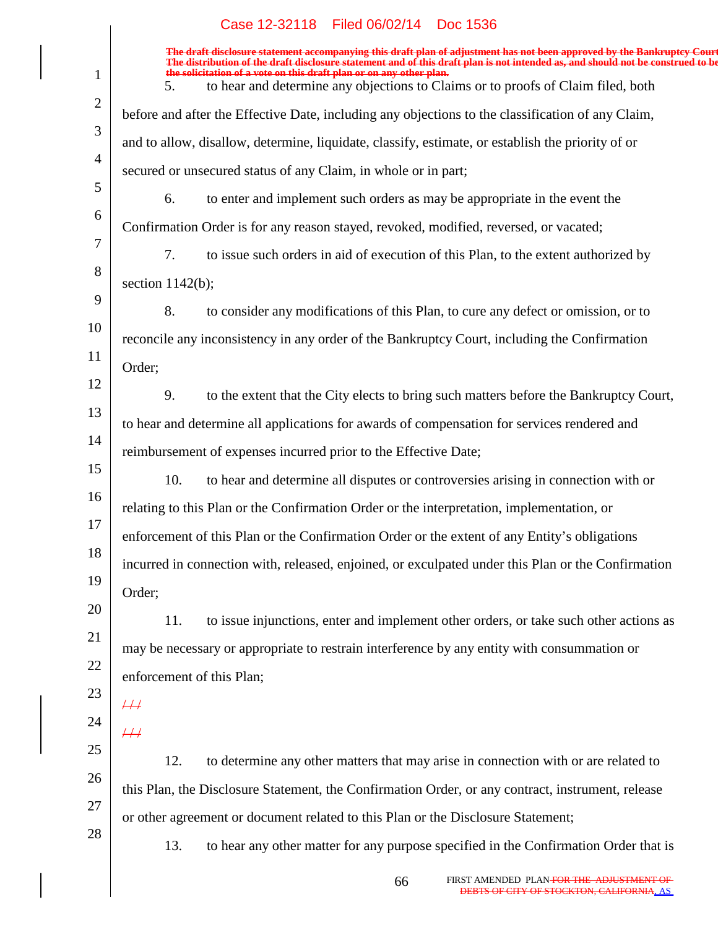|                | The draft disclosure statement accompanying this draft plan of adjustment has not been approved by the Bankruptcy Court<br>The distribution of the draft disclosure statement and of this draft plan is not intended as, and shou |
|----------------|-----------------------------------------------------------------------------------------------------------------------------------------------------------------------------------------------------------------------------------|
| $\mathbf{1}$   | the solicitation of a vote on this draft plan or on any other plan.<br>to hear and determine any objections to Claims or to proofs of Claim filed, both<br>5.                                                                     |
| $\overline{2}$ | before and after the Effective Date, including any objections to the classification of any Claim,                                                                                                                                 |
| 3              | and to allow, disallow, determine, liquidate, classify, estimate, or establish the priority of or                                                                                                                                 |
| $\overline{4}$ | secured or unsecured status of any Claim, in whole or in part;                                                                                                                                                                    |
| 5              | 6.<br>to enter and implement such orders as may be appropriate in the event the                                                                                                                                                   |
| 6              | Confirmation Order is for any reason stayed, revoked, modified, reversed, or vacated;                                                                                                                                             |
| 7              | 7.<br>to issue such orders in aid of execution of this Plan, to the extent authorized by                                                                                                                                          |
| 8              | section $1142(b)$ ;                                                                                                                                                                                                               |
| 9              | 8.<br>to consider any modifications of this Plan, to cure any defect or omission, or to                                                                                                                                           |
| 10             | reconcile any inconsistency in any order of the Bankruptcy Court, including the Confirmation                                                                                                                                      |
| 11             | Order;                                                                                                                                                                                                                            |
| 12             | 9.<br>to the extent that the City elects to bring such matters before the Bankruptcy Court,                                                                                                                                       |
| 13             | to hear and determine all applications for awards of compensation for services rendered and                                                                                                                                       |
| 14             | reimbursement of expenses incurred prior to the Effective Date;                                                                                                                                                                   |
| 15             | 10.<br>to hear and determine all disputes or controversies arising in connection with or                                                                                                                                          |
| 16             | relating to this Plan or the Confirmation Order or the interpretation, implementation, or                                                                                                                                         |
| 17             | enforcement of this Plan or the Confirmation Order or the extent of any Entity's obligations                                                                                                                                      |
| 18             | incurred in connection with, released, enjoined, or exculpated under this Plan or the Confirmation                                                                                                                                |
| 19             | Order;                                                                                                                                                                                                                            |
| 20             | 11.<br>to issue injunctions, enter and implement other orders, or take such other actions as                                                                                                                                      |
| 21             | may be necessary or appropriate to restrain interference by any entity with consummation or                                                                                                                                       |
| 22             | enforcement of this Plan;                                                                                                                                                                                                         |
| 23             | $\#$                                                                                                                                                                                                                              |
| 24             | #                                                                                                                                                                                                                                 |
| 25             | 12.<br>to determine any other matters that may arise in connection with or are related to                                                                                                                                         |
| 26             | this Plan, the Disclosure Statement, the Confirmation Order, or any contract, instrument, release                                                                                                                                 |
| 27             | or other agreement or document related to this Plan or the Disclosure Statement;                                                                                                                                                  |
| 28             | to hear any other matter for any purpose specified in the Confirmation Order that is<br>13.                                                                                                                                       |
|                |                                                                                                                                                                                                                                   |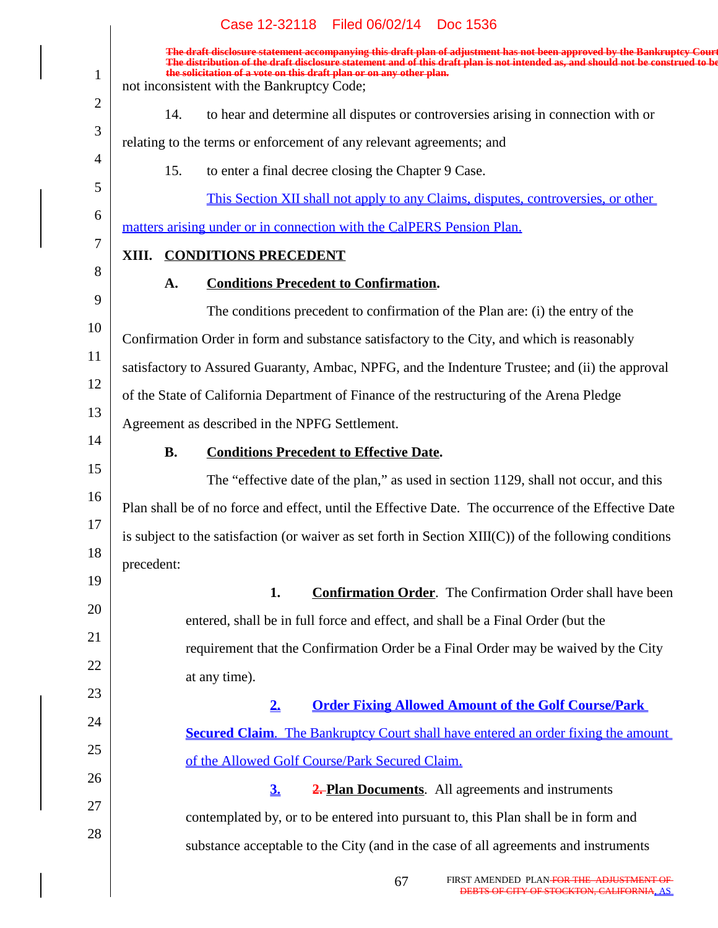|                | Case 12-32118   Filed 06/02/14   Doc 1536                                                                                                                                                                                                                                                                                                                                       |
|----------------|---------------------------------------------------------------------------------------------------------------------------------------------------------------------------------------------------------------------------------------------------------------------------------------------------------------------------------------------------------------------------------|
| $\mathbf{1}$   | The draft disclosure statement accompanying this draft plan of adjustment has not been approved by the Bankruptcy Court<br>The distribution of the draft disclosure statement and of this draft plan is not intended as, and should not be construed to be<br>the solicitation of a vote on this draft plan or on any other plan.<br>not inconsistent with the Bankruptcy Code; |
| $\overline{2}$ | to hear and determine all disputes or controversies arising in connection with or<br>14.                                                                                                                                                                                                                                                                                        |
| 3              | relating to the terms or enforcement of any relevant agreements; and                                                                                                                                                                                                                                                                                                            |
| $\overline{4}$ | 15.<br>to enter a final decree closing the Chapter 9 Case.                                                                                                                                                                                                                                                                                                                      |
| 5              | This Section XII shall not apply to any Claims, disputes, controversies, or other                                                                                                                                                                                                                                                                                               |
| 6              | matters arising under or in connection with the CalPERS Pension Plan.                                                                                                                                                                                                                                                                                                           |
| 7              | XIII. CONDITIONS PRECEDENT                                                                                                                                                                                                                                                                                                                                                      |
| 8              | <b>Conditions Precedent to Confirmation.</b><br>A.                                                                                                                                                                                                                                                                                                                              |
| 9              | The conditions precedent to confirmation of the Plan are: (i) the entry of the                                                                                                                                                                                                                                                                                                  |
| 10             | Confirmation Order in form and substance satisfactory to the City, and which is reasonably                                                                                                                                                                                                                                                                                      |
| 11             | satisfactory to Assured Guaranty, Ambac, NPFG, and the Indenture Trustee; and (ii) the approval                                                                                                                                                                                                                                                                                 |
| 12             | of the State of California Department of Finance of the restructuring of the Arena Pledge                                                                                                                                                                                                                                                                                       |
| 13             | Agreement as described in the NPFG Settlement.                                                                                                                                                                                                                                                                                                                                  |
| 14             | <b>B.</b><br><b>Conditions Precedent to Effective Date.</b>                                                                                                                                                                                                                                                                                                                     |
| 15             | The "effective date of the plan," as used in section 1129, shall not occur, and this                                                                                                                                                                                                                                                                                            |
| 16             | Plan shall be of no force and effect, until the Effective Date. The occurrence of the Effective Date                                                                                                                                                                                                                                                                            |
| 17             | is subject to the satisfaction (or waiver as set forth in Section XIII(C)) of the following conditions                                                                                                                                                                                                                                                                          |
| 18             | precedent:                                                                                                                                                                                                                                                                                                                                                                      |
| 19             | 1.<br><b>Confirmation Order.</b> The Confirmation Order shall have been                                                                                                                                                                                                                                                                                                         |
| 20             | entered, shall be in full force and effect, and shall be a Final Order (but the                                                                                                                                                                                                                                                                                                 |
| 21             | requirement that the Confirmation Order be a Final Order may be waived by the City                                                                                                                                                                                                                                                                                              |
| 22             | at any time).                                                                                                                                                                                                                                                                                                                                                                   |
| 23             | <b>Order Fixing Allowed Amount of the Golf Course/Park</b><br>2.                                                                                                                                                                                                                                                                                                                |
| 24<br>25       | <b><u>Secured Claim. The Bankruptcy Court shall have entered an order fixing the amount</u></b>                                                                                                                                                                                                                                                                                 |
| 26             | of the Allowed Golf Course/Park Secured Claim.                                                                                                                                                                                                                                                                                                                                  |
| 27             | 3 <sub>1</sub><br><b>2. Plan Documents.</b> All agreements and instruments                                                                                                                                                                                                                                                                                                      |
| 28             | contemplated by, or to be entered into pursuant to, this Plan shall be in form and                                                                                                                                                                                                                                                                                              |
|                | substance acceptable to the City (and in the case of all agreements and instruments                                                                                                                                                                                                                                                                                             |
|                |                                                                                                                                                                                                                                                                                                                                                                                 |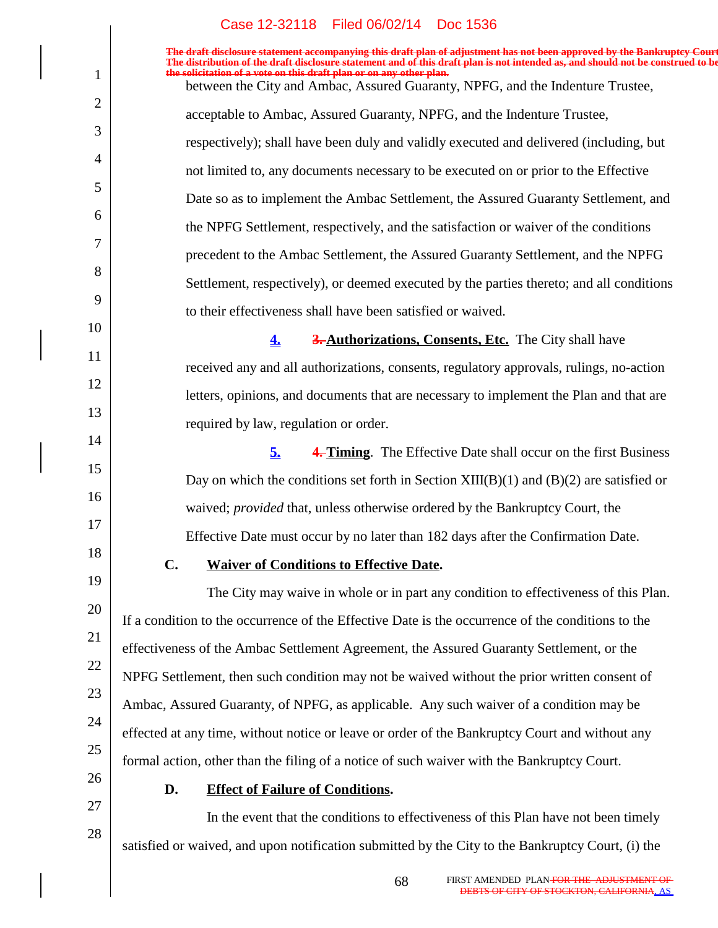|                | Case IZ-32110 Filed 00/02/14 DOC 1330                                                                                                                                                                                             |
|----------------|-----------------------------------------------------------------------------------------------------------------------------------------------------------------------------------------------------------------------------------|
|                | The draft disclosure statement accompanying this draft plan of adjustment has not been approved by the Bankruptcy Cour<br>The distribution of the draft disclosure statement and of this draft plan is not intended as, and shoul |
| 1              | the solicitation of a vote on this draft plan or on any other plan.<br>between the City and Ambac, Assured Guaranty, NPFG, and the Indenture Trustee,                                                                             |
| $\overline{2}$ | acceptable to Ambac, Assured Guaranty, NPFG, and the Indenture Trustee,                                                                                                                                                           |
| 3              | respectively); shall have been duly and validly executed and delivered (including, but                                                                                                                                            |
| 4              | not limited to, any documents necessary to be executed on or prior to the Effective                                                                                                                                               |
| 5              | Date so as to implement the Ambac Settlement, the Assured Guaranty Settlement, and                                                                                                                                                |
| 6              | the NPFG Settlement, respectively, and the satisfaction or waiver of the conditions                                                                                                                                               |
| 7              | precedent to the Ambac Settlement, the Assured Guaranty Settlement, and the NPFG                                                                                                                                                  |
| 8              | Settlement, respectively), or deemed executed by the parties thereto; and all conditions                                                                                                                                          |
| 9              | to their effectiveness shall have been satisfied or waived.                                                                                                                                                                       |
| 10             | 3. Authorizations, Consents, Etc. The City shall have<br>4.                                                                                                                                                                       |
| 11             | received any and all authorizations, consents, regulatory approvals, rulings, no-action                                                                                                                                           |
| 12<br>13       | letters, opinions, and documents that are necessary to implement the Plan and that are                                                                                                                                            |
| 14             | required by law, regulation or order.                                                                                                                                                                                             |
| 15             | <b>4. Timing.</b> The Effective Date shall occur on the first Business<br>5.                                                                                                                                                      |
| 16             | Day on which the conditions set forth in Section $XIII(B)(1)$ and $(B)(2)$ are satisfied or                                                                                                                                       |
| 17             | waived; <i>provided</i> that, unless otherwise ordered by the Bankruptcy Court, the                                                                                                                                               |
| 18             | Effective Date must occur by no later than 182 days after the Confirmation Date.                                                                                                                                                  |
| 19             | C.<br><b>Waiver of Conditions to Effective Date.</b>                                                                                                                                                                              |
| 20             | The City may waive in whole or in part any condition to effectiveness of this Plan.                                                                                                                                               |
| 21             | If a condition to the occurrence of the Effective Date is the occurrence of the conditions to the                                                                                                                                 |
| 22             | effectiveness of the Ambac Settlement Agreement, the Assured Guaranty Settlement, or the                                                                                                                                          |
| 23             | NPFG Settlement, then such condition may not be waived without the prior written consent of                                                                                                                                       |
| 24             | Ambac, Assured Guaranty, of NPFG, as applicable. Any such waiver of a condition may be                                                                                                                                            |
| 25             | effected at any time, without notice or leave or order of the Bankruptcy Court and without any                                                                                                                                    |
| 26             | formal action, other than the filing of a notice of such waiver with the Bankruptcy Court.<br>D.                                                                                                                                  |
| 27             | <b>Effect of Failure of Conditions.</b><br>In the event that the conditions to effectiveness of this Plan have not been timely                                                                                                    |
| 28             |                                                                                                                                                                                                                                   |

satisfied or waived, and upon notification submitted by the City to the Bankruptcy Court, (i) the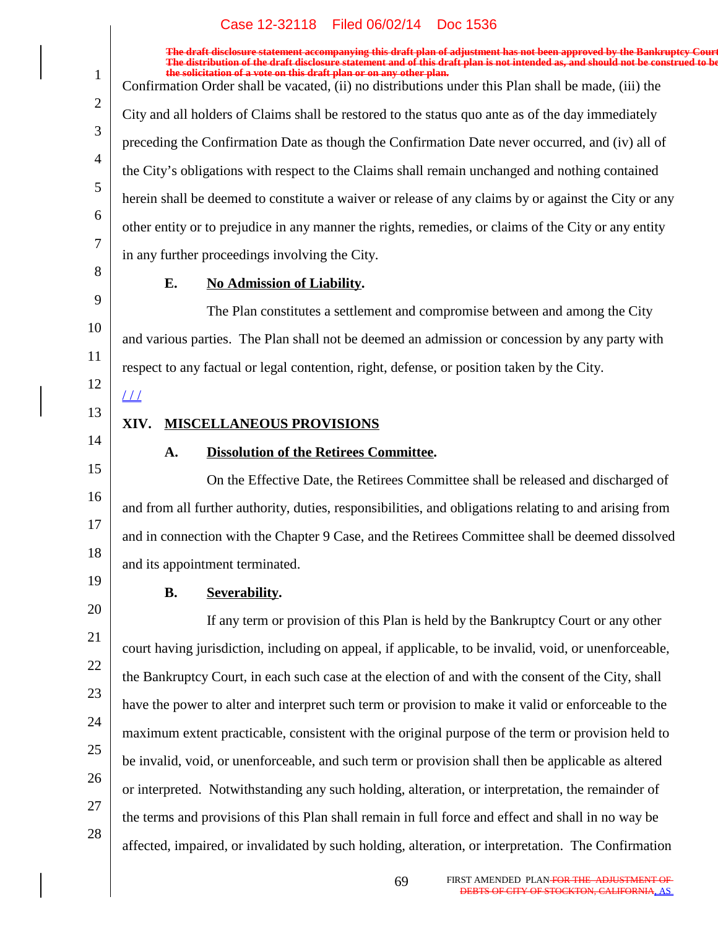**The distribution of the draft disclosure statement and of this draft plan is not intended as, and should not be construed to be,** solicitation of a vote on this draft plan or on any other plan. Confirmation Order shall be vacated, (ii) no distributions under this Plan shall be made, (iii) the City and all holders of Claims shall be restored to the status quo ante as of the day immediately preceding the Confirmation Date as though the Confirmation Date never occurred, and (iv) all of the City's obligations with respect to the Claims shall remain unchanged and nothing contained herein shall be deemed to constitute a waiver or release of any claims by or against the City or any other entity or to prejudice in any manner the rights, remedies, or claims of the City or any entity in any further proceedings involving the City.

**The draft disclosure statement accompanying this draft plan of adjustment has not been approved by the Bankruptcy Court.**

8 9

10

11

1

2

3

4

5

6

7

# **E.** No Admission of Liability.

The Plan constitutes a settlement and compromise between and among the City and various parties. The Plan shall not be deemed an admission or concession by any party with respect to any factual or legal contention, right, defense, or position taken by the City.

12  $\angle\angle\angle$ 

- 13
- 14 15

16

17

18

# **XIV. MISCELLANEOUS PROVISIONS**

# A. Dissolution of the Retirees Committee.

On the Effective Date, the Retirees Committee shall be released and discharged of and from all further authority, duties, responsibilities, and obligations relating to and arising from and in connection with the Chapter 9 Case, and the Retirees Committee shall be deemed dissolved and its appointment terminated.

19

# **B.** Severability.

20 21 22 23 24 25 26 27 28 If any term or provision of this Plan is held by the Bankruptcy Court or any other court having jurisdiction, including on appeal, if applicable, to be invalid, void, or unenforceable, the Bankruptcy Court, in each such case at the election of and with the consent of the City, shall have the power to alter and interpret such term or provision to make it valid or enforceable to the maximum extent practicable, consistent with the original purpose of the term or provision held to be invalid, void, or unenforceable, and such term or provision shall then be applicable as altered or interpreted. Notwithstanding any such holding, alteration, or interpretation, the remainder of the terms and provisions of this Plan shall remain in full force and effect and shall in no way be affected, impaired, or invalidated by such holding, alteration, or interpretation. The Confirmation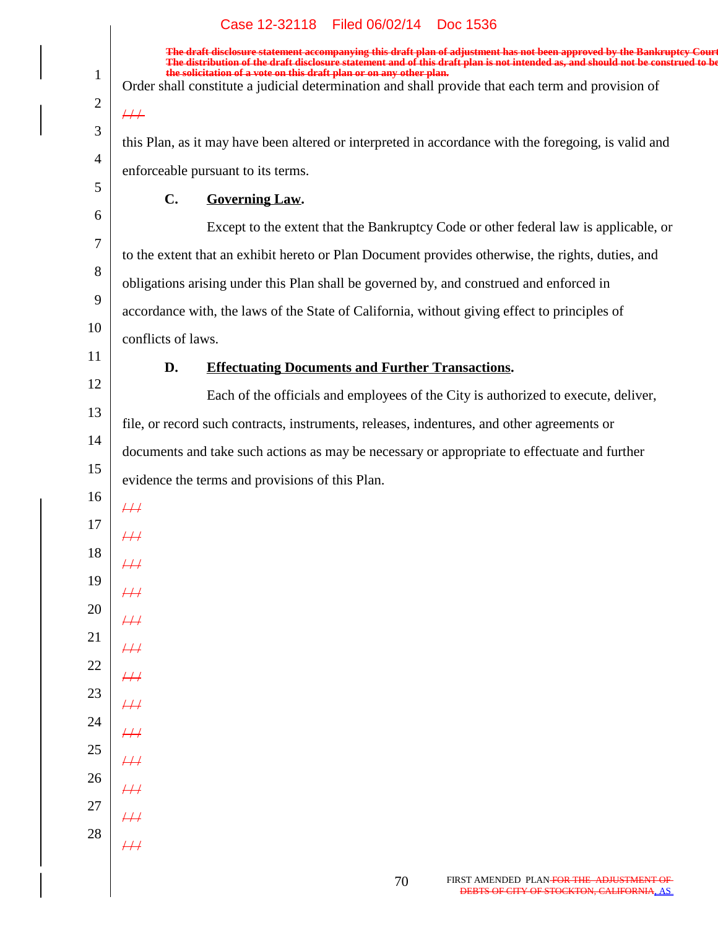**The draft disclosure statement accompanying this draft plan of adjustment has not been approved by the Bankruptcy Court. The distribution of the draft disclosure statement and of this draft plan is not intended as, and should not be construed to be, the solicitation of a vote on this draft plan or on any other plan.**

Order shall constitute a judicial determination and shall provide that each term and provision of

this Plan, as it may have been altered or interpreted in accordance with the foregoing, is valid and enforceable pursuant to its terms.

#### **C.** Governing Law.

Except to the extent that the Bankruptcy Code or other federal law is applicable, or to the extent that an exhibit hereto or Plan Document provides otherwise, the rights, duties, and obligations arising under this Plan shall be governed by, and construed and enforced in accordance with, the laws of the State of California, without giving effect to principles of conflicts of laws.

11

1

2

 $/ 1$ 

3

4

5

6

7

8

9

10

## **D.** Effectuating Documents and Further Transactions.

12 13 14 15 Each of the officials and employees of the City is authorized to execute, deliver, file, or record such contracts, instruments, releases, indentures, and other agreements or documents and take such actions as may be necessary or appropriate to effectuate and further evidence the terms and provisions of this Plan.

16 17 18

 $\overline{++}$ 

 $/ 1$ 

 $#$ 

 $/ 1$ 

 $/ 1$ 

 $\overline{++}$ 

- 19 20
- 21 22  $\overline{H}$
- 23
- 24  $/ 1$  $/ 1$
- 25 26  $\overline{11}$  $\frac{1}{2}$
- 27 28  $\frac{1}{2}$ 
	- $\overline{11}$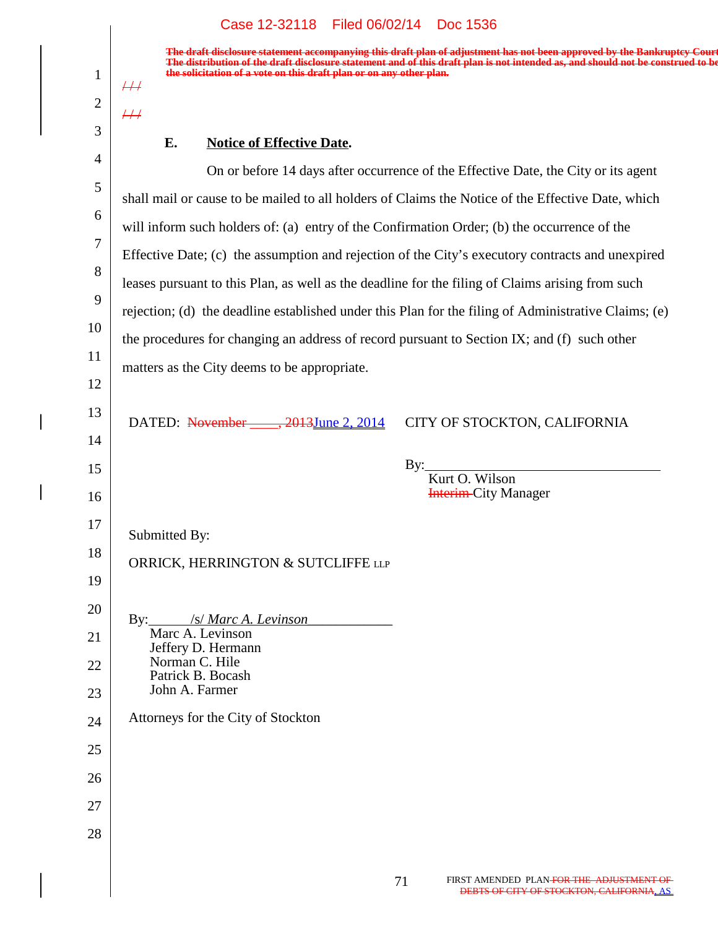## Case 12-32118 Filed 06/02/14 Doc 1536

**The draft disclosure statement accompanying this draft plan of adjustment has not been approved by the Bankruptcy Court. The distribution of the draft disclosure statement and of this draft plan is not intended as, and should not be construed to be, the solicitation of a vote on this draft plan or on any other plan.**

## **E.** Notice of Effective Date.

1

 $#$ 

 $1/1$ 

2

3

4 5 6 7 8 9 10 11 12 13 14 15 16 17 18 19 20 21 22 23 24 25 26 27 28 **Interim-City Manager** DATED: November \_\_\_\_, 2013June 2, 2014 Submitted By: By: ORRICK, HERRINGTON & SUTCLIFFE LLP By: */s/ Marc A. Levinson\_* Marc A. Levinson Jeffery D. Hermann Norman C. Hile Patrick B. Bocash John A. Farmer Attorneys for the City of Stockton CITY OF STOCKTON, CALIFORNIA Kurt O. Wilson On or before 14 days after occurrence of the Effective Date, the City or its agent shall mail or cause to be mailed to all holders of Claims the Notice of the Effective Date, which will inform such holders of: (a) entry of the Confirmation Order; (b) the occurrence of the Effective Date; (c) the assumption and rejection of the City's executory contracts and unexpired leases pursuant to this Plan, as well as the deadline for the filing of Claims arising from such rejection; (d) the deadline established under this Plan for the filing of Administrative Claims; (e) the procedures for changing an address of record pursuant to Section IX; and (f) such other matters as the City deems to be appropriate.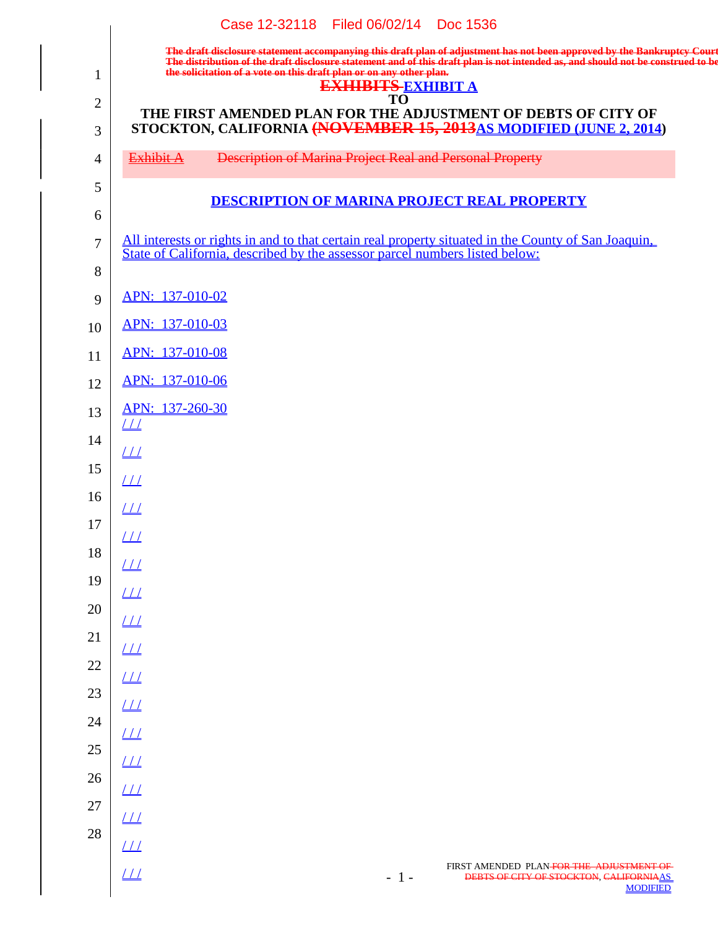|                     | Case 12-32118 Filed 06/02/14 Doc 1536                                                                                                                                                                                             |
|---------------------|-----------------------------------------------------------------------------------------------------------------------------------------------------------------------------------------------------------------------------------|
|                     | The draft disclosure statement accompanying this draft plan of adjustment has not been approved by the Bankruptcy Court<br>The distribution of the draft disclosure statement and of this draft plan is not intended as, and shou |
| $\mathbf{1}$        | the solicitation of a vote on this draft plan or on any other plan.<br><b>EXHIBITS EXHIBIT A</b><br>TO                                                                                                                            |
| $\overline{2}$<br>3 | THE FIRST AMENDED PLAN FOR THE ADJUSTMENT OF DEBTS OF CITY OF<br>STOCKTON, CALIFORNIA (NOVEMBER 15, 2013AS MODIFIED (JUNE 2, 2014)                                                                                                |
| $\overline{4}$      | <b>Description of Marina Project Real and Personal Property</b><br>Exhibit A                                                                                                                                                      |
| 5                   | <b>DESCRIPTION OF MARINA PROJECT REAL PROPERTY</b>                                                                                                                                                                                |
| 6                   |                                                                                                                                                                                                                                   |
| $\overline{7}$<br>8 | All interests or rights in and to that certain real property situated in the County of San Joaquin,<br>State of California, described by the assessor parcel numbers listed below:                                                |
| 9                   | APN: 137-010-02                                                                                                                                                                                                                   |
| 10                  | APN: 137-010-03                                                                                                                                                                                                                   |
| 11                  | APN: 137-010-08                                                                                                                                                                                                                   |
| 12                  | APN: 137-010-06                                                                                                                                                                                                                   |
| 13                  | APN: 137-260-30<br>$\perp\!\!\!\perp$                                                                                                                                                                                             |
| 14                  | $\perp\!\!\!\perp$                                                                                                                                                                                                                |
| 15                  | $\perp\!\!\!\perp$                                                                                                                                                                                                                |
| 16                  | $\perp\!\!\!\perp$                                                                                                                                                                                                                |
| 17                  | 111                                                                                                                                                                                                                               |
| 18                  | $\underline{\sqcup\!\sqcup}$                                                                                                                                                                                                      |
| 19                  | $\sqrt{11}$                                                                                                                                                                                                                       |
| 20                  | $\angle \angle \angle$                                                                                                                                                                                                            |
| 21                  | $\angle \angle \angle$                                                                                                                                                                                                            |
| 22<br>23            | $\sqrt{11}$                                                                                                                                                                                                                       |
| 24                  | $\angle \angle \angle$                                                                                                                                                                                                            |
| 25                  | $\angle \angle \angle$                                                                                                                                                                                                            |
| 26                  | $\overline{\perp\perp}$                                                                                                                                                                                                           |
| 27                  | $\underline{\mu}\underline{\mu}$                                                                                                                                                                                                  |
| 28                  | $\sqrt{11}$                                                                                                                                                                                                                       |
|                     | $\sqrt{11}$<br>FIRST AMENDED PLAN <del>FOR THE ADJUSTMENT OF</del>                                                                                                                                                                |
|                     | $\overline{\perp\perp}$<br>$-1-$<br>DEBTS OF CITY OF STOCKTON, CALIFORNIAAS<br><b>MODIFIED</b>                                                                                                                                    |